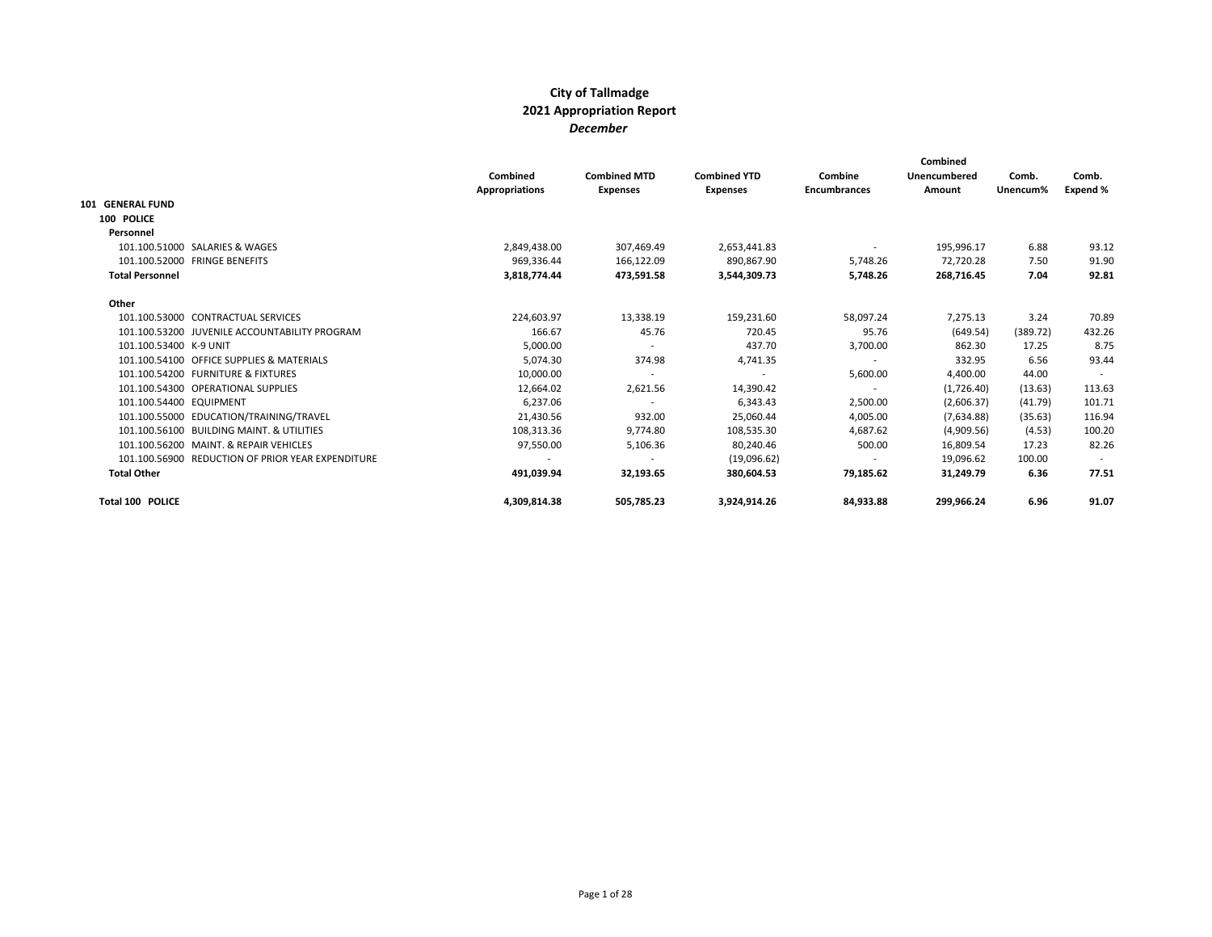|                         |                                                   | Combined<br><b>Appropriations</b> | <b>Combined MTD</b><br><b>Expenses</b> | <b>Combined YTD</b><br><b>Expenses</b> | Combine<br><b>Encumbrances</b> | Combined<br>Unencumbered<br>Amount | Comb.<br>Unencum% | Comb.<br>Expend % |
|-------------------------|---------------------------------------------------|-----------------------------------|----------------------------------------|----------------------------------------|--------------------------------|------------------------------------|-------------------|-------------------|
| 101 GENERAL FUND        |                                                   |                                   |                                        |                                        |                                |                                    |                   |                   |
| 100 POLICE              |                                                   |                                   |                                        |                                        |                                |                                    |                   |                   |
| Personnel               |                                                   |                                   |                                        |                                        |                                |                                    |                   |                   |
|                         | 101.100.51000 SALARIES & WAGES                    | 2,849,438.00                      | 307,469.49                             | 2,653,441.83                           | $\sim$                         | 195,996.17                         | 6.88              | 93.12             |
|                         | 101.100.52000 FRINGE BENEFITS                     | 969,336.44                        | 166,122.09                             | 890,867.90                             | 5,748.26                       | 72,720.28                          | 7.50              | 91.90             |
| <b>Total Personnel</b>  |                                                   | 3.818.774.44                      | 473.591.58                             | 3.544.309.73                           | 5.748.26                       | 268.716.45                         | 7.04              | 92.81             |
| Other                   |                                                   |                                   |                                        |                                        |                                |                                    |                   |                   |
|                         | 101.100.53000 CONTRACTUAL SERVICES                | 224,603.97                        | 13,338.19                              | 159,231.60                             | 58.097.24                      | 7,275.13                           | 3.24              | 70.89             |
|                         | 101.100.53200 JUVENILE ACCOUNTABILITY PROGRAM     | 166.67                            | 45.76                                  | 720.45                                 | 95.76                          | (649.54)                           | (389.72)          | 432.26            |
| 101.100.53400 K-9 UNIT  |                                                   | 5,000.00                          |                                        | 437.70                                 | 3,700.00                       | 862.30                             | 17.25             | 8.75              |
|                         | 101.100.54100 OFFICE SUPPLIES & MATERIALS         | 5,074.30                          | 374.98                                 | 4,741.35                               | $\overline{\phantom{a}}$       | 332.95                             | 6.56              | 93.44             |
|                         | 101.100.54200 FURNITURE & FIXTURES                | 10,000.00                         |                                        | $\sim$                                 | 5,600.00                       | 4,400.00                           | 44.00             |                   |
|                         | 101.100.54300 OPERATIONAL SUPPLIES                | 12,664.02                         | 2,621.56                               | 14,390.42                              | $\sim$                         | (1,726.40)                         | (13.63)           | 113.63            |
| 101.100.54400 EQUIPMENT |                                                   | 6,237.06                          |                                        | 6,343.43                               | 2,500.00                       | (2,606.37)                         | (41.79)           | 101.71            |
|                         | 101.100.55000 EDUCATION/TRAINING/TRAVEL           | 21,430.56                         | 932.00                                 | 25,060.44                              | 4,005.00                       | (7,634.88)                         | (35.63)           | 116.94            |
|                         | 101.100.56100 BUILDING MAINT, & UTILITIES         | 108,313.36                        | 9.774.80                               | 108,535.30                             | 4.687.62                       | (4,909.56)                         | (4.53)            | 100.20            |
|                         | 101.100.56200 MAINT, & REPAIR VEHICLES            | 97,550.00                         | 5,106.36                               | 80,240.46                              | 500.00                         | 16,809.54                          | 17.23             | 82.26             |
|                         | 101.100.56900 REDUCTION OF PRIOR YEAR EXPENDITURE |                                   |                                        | (19,096.62)                            | $\overline{\phantom{a}}$       | 19,096.62                          | 100.00            |                   |
| <b>Total Other</b>      |                                                   | 491,039.94                        | 32,193.65                              | 380,604.53                             | 79,185.62                      | 31,249.79                          | 6.36              | 77.51             |
| Total 100 POLICE        |                                                   | 4,309,814.38                      | 505,785.23                             | 3,924,914.26                           | 84,933.88                      | 299,966.24                         | 6.96              | 91.07             |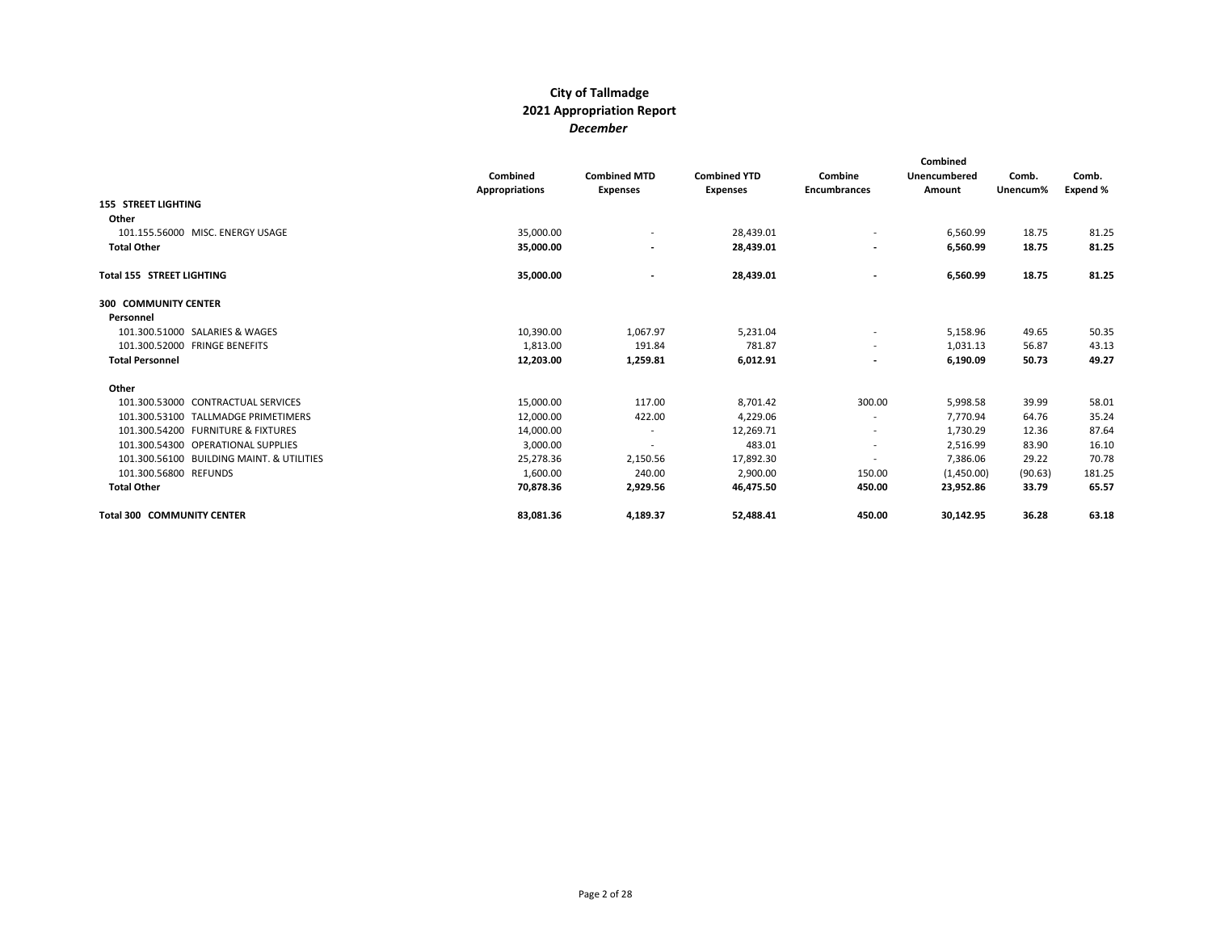|                                           | Combined<br><b>Appropriations</b> | <b>Combined MTD</b><br><b>Expenses</b> | <b>Combined YTD</b><br><b>Expenses</b> | Combine<br><b>Encumbrances</b> | Combined<br>Unencumbered<br>Amount | Comb.<br>Unencum% | Comb.<br>Expend % |
|-------------------------------------------|-----------------------------------|----------------------------------------|----------------------------------------|--------------------------------|------------------------------------|-------------------|-------------------|
| <b>155 STREET LIGHTING</b>                |                                   |                                        |                                        |                                |                                    |                   |                   |
| Other                                     |                                   |                                        |                                        |                                |                                    |                   |                   |
| 101.155.56000 MISC. ENERGY USAGE          | 35,000.00                         | $\overline{\phantom{a}}$               | 28,439.01                              | $\overline{\phantom{a}}$       | 6,560.99                           | 18.75             | 81.25             |
| <b>Total Other</b>                        | 35,000.00                         | $\overline{\phantom{a}}$               | 28,439.01                              |                                | 6,560.99                           | 18.75             | 81.25             |
| Total 155 STREET LIGHTING                 | 35,000.00                         | $\overline{\phantom{0}}$               | 28,439.01                              | $\overline{\phantom{a}}$       | 6,560.99                           | 18.75             | 81.25             |
| <b>300 COMMUNITY CENTER</b>               |                                   |                                        |                                        |                                |                                    |                   |                   |
| Personnel                                 |                                   |                                        |                                        |                                |                                    |                   |                   |
| 101.300.51000 SALARIES & WAGES            | 10,390.00                         | 1,067.97                               | 5,231.04                               | $\overline{\phantom{a}}$       | 5,158.96                           | 49.65             | 50.35             |
| 101.300.52000 FRINGE BENEFITS             | 1,813.00                          | 191.84                                 | 781.87                                 | $\sim$                         | 1,031.13                           | 56.87             | 43.13             |
| <b>Total Personnel</b>                    | 12,203.00                         | 1,259.81                               | 6,012.91                               |                                | 6,190.09                           | 50.73             | 49.27             |
| Other                                     |                                   |                                        |                                        |                                |                                    |                   |                   |
| 101.300.53000 CONTRACTUAL SERVICES        | 15,000.00                         | 117.00                                 | 8,701.42                               | 300.00                         | 5,998.58                           | 39.99             | 58.01             |
| 101.300.53100 TALLMADGE PRIMETIMERS       | 12,000.00                         | 422.00                                 | 4,229.06                               |                                | 7,770.94                           | 64.76             | 35.24             |
| 101.300.54200 FURNITURE & FIXTURES        | 14,000.00                         | $\overline{\phantom{a}}$               | 12,269.71                              | $\overline{\phantom{a}}$       | 1,730.29                           | 12.36             | 87.64             |
| 101.300.54300 OPERATIONAL SUPPLIES        | 3,000.00                          |                                        | 483.01                                 |                                | 2,516.99                           | 83.90             | 16.10             |
| 101.300.56100 BUILDING MAINT. & UTILITIES | 25,278.36                         | 2,150.56                               | 17,892.30                              |                                | 7,386.06                           | 29.22             | 70.78             |
| 101.300.56800 REFUNDS                     | 1,600.00                          | 240.00                                 | 2,900.00                               | 150.00                         | (1,450.00)                         | (90.63)           | 181.25            |
| <b>Total Other</b>                        | 70,878.36                         | 2,929.56                               | 46,475.50                              | 450.00                         | 23,952.86                          | 33.79             | 65.57             |
| <b>Total 300 COMMUNITY CENTER</b>         | 83,081.36                         | 4,189.37                               | 52,488.41                              | 450.00                         | 30,142.95                          | 36.28             | 63.18             |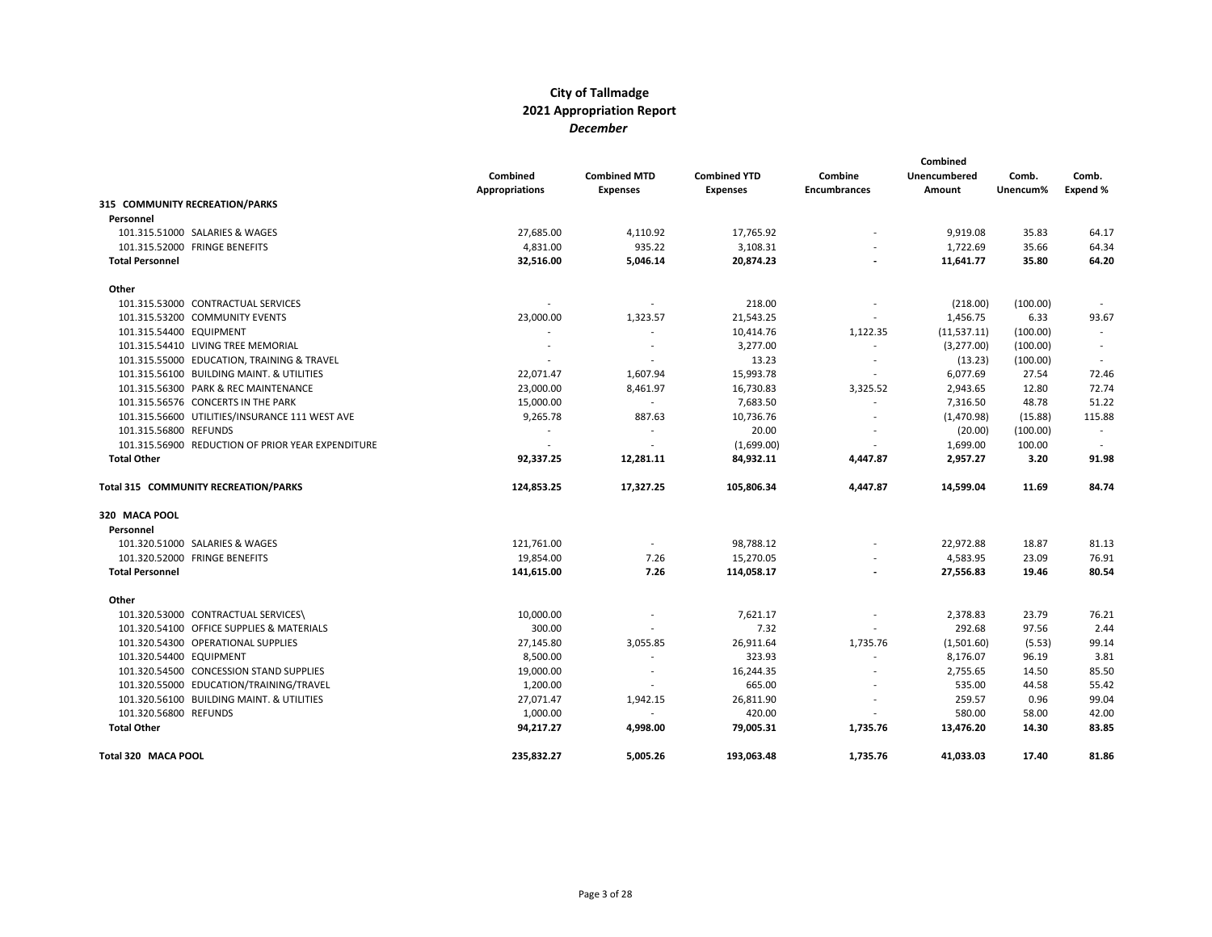|                                                   | Combined<br><b>Appropriations</b> | <b>Combined MTD</b><br><b>Expenses</b> | <b>Combined YTD</b><br><b>Expenses</b> | Combine<br><b>Encumbrances</b> | Combined<br>Unencumbered<br>Amount | Comb.<br>Unencum% | Comb.<br>Expend % |
|---------------------------------------------------|-----------------------------------|----------------------------------------|----------------------------------------|--------------------------------|------------------------------------|-------------------|-------------------|
| 315 COMMUNITY RECREATION/PARKS                    |                                   |                                        |                                        |                                |                                    |                   |                   |
| Personnel                                         |                                   |                                        |                                        |                                |                                    |                   |                   |
| 101.315.51000 SALARIES & WAGES                    | 27,685.00                         | 4,110.92                               | 17,765.92                              |                                | 9,919.08                           | 35.83             | 64.17             |
| 101.315.52000 FRINGE BENEFITS                     | 4,831.00                          | 935.22                                 | 3,108.31                               |                                | 1,722.69                           | 35.66             | 64.34             |
| <b>Total Personnel</b>                            | 32,516.00                         | 5,046.14                               | 20,874.23                              |                                | 11,641.77                          | 35.80             | 64.20             |
| Other                                             |                                   |                                        |                                        |                                |                                    |                   |                   |
| 101.315.53000 CONTRACTUAL SERVICES                |                                   | $\sim$                                 | 218.00                                 |                                | (218.00)                           | (100.00)          |                   |
| 101.315.53200 COMMUNITY EVENTS                    | 23,000.00                         | 1,323.57                               | 21,543.25                              |                                | 1,456.75                           | 6.33              | 93.67             |
| 101.315.54400 EQUIPMENT                           |                                   | $\overline{\phantom{a}}$               | 10,414.76                              | 1,122.35                       | (11, 537.11)                       | (100.00)          |                   |
| 101.315.54410 LIVING TREE MEMORIAL                |                                   | $\overline{\phantom{a}}$               | 3,277.00                               |                                | (3,277.00)                         | (100.00)          |                   |
| 101.315.55000 EDUCATION, TRAINING & TRAVEL        |                                   |                                        | 13.23                                  |                                | (13.23)                            | (100.00)          |                   |
| 101.315.56100 BUILDING MAINT. & UTILITIES         | 22,071.47                         | 1,607.94                               | 15,993.78                              | $\overline{\phantom{a}}$       | 6,077.69                           | 27.54             | 72.46             |
| 101.315.56300 PARK & REC MAINTENANCE              | 23,000.00                         | 8,461.97                               | 16,730.83                              | 3,325.52                       | 2,943.65                           | 12.80             | 72.74             |
| 101.315.56576 CONCERTS IN THE PARK                | 15,000.00                         | $\sim$                                 | 7,683.50                               |                                | 7,316.50                           | 48.78             | 51.22             |
| 101.315.56600 UTILITIES/INSURANCE 111 WEST AVE    | 9,265.78                          | 887.63                                 | 10,736.76                              |                                | (1,470.98)                         | (15.88)           | 115.88            |
| 101.315.56800 REFUNDS                             | $\overline{\phantom{a}}$          | $\overline{\phantom{a}}$               | 20.00                                  |                                | (20.00)                            | (100.00)          | $\sim$            |
| 101.315.56900 REDUCTION OF PRIOR YEAR EXPENDITURE |                                   | $\overline{\phantom{a}}$               | (1,699.00)                             |                                | 1,699.00                           | 100.00            |                   |
| <b>Total Other</b>                                | 92,337.25                         | 12,281.11                              | 84,932.11                              | 4,447.87                       | 2,957.27                           | 3.20              | 91.98             |
| Total 315 COMMUNITY RECREATION/PARKS              | 124,853.25                        | 17,327.25                              | 105,806.34                             | 4,447.87                       | 14,599.04                          | 11.69             | 84.74             |
| 320 MACA POOL                                     |                                   |                                        |                                        |                                |                                    |                   |                   |
| Personnel                                         |                                   |                                        |                                        |                                |                                    |                   |                   |
| 101.320.51000 SALARIES & WAGES                    | 121,761.00                        | $\overline{\phantom{a}}$               | 98,788.12                              |                                | 22,972.88                          | 18.87             | 81.13             |
| 101.320.52000 FRINGE BENEFITS                     | 19,854.00                         | 7.26                                   | 15,270.05                              |                                | 4,583.95                           | 23.09             | 76.91             |
| <b>Total Personnel</b>                            | 141,615.00                        | 7.26                                   | 114,058.17                             |                                | 27,556.83                          | 19.46             | 80.54             |
| Other                                             |                                   |                                        |                                        |                                |                                    |                   |                   |
| 101.320.53000 CONTRACTUAL SERVICES\               | 10,000.00                         |                                        | 7,621.17                               |                                | 2,378.83                           | 23.79             | 76.21             |
| 101.320.54100 OFFICE SUPPLIES & MATERIALS         | 300.00                            | $\overline{\phantom{a}}$               | 7.32                                   |                                | 292.68                             | 97.56             | 2.44              |
| 101.320.54300 OPERATIONAL SUPPLIES                | 27,145.80                         | 3,055.85                               | 26,911.64                              | 1,735.76                       | (1,501.60)                         | (5.53)            | 99.14             |
| 101.320.54400 EQUIPMENT                           | 8,500.00                          | $\overline{\phantom{a}}$               | 323.93                                 |                                | 8,176.07                           | 96.19             | 3.81              |
| 101.320.54500 CONCESSION STAND SUPPLIES           | 19,000.00                         | $\overline{\phantom{a}}$               | 16,244.35                              |                                | 2,755.65                           | 14.50             | 85.50             |
| 101.320.55000 EDUCATION/TRAINING/TRAVEL           | 1,200.00                          | $\overline{\phantom{a}}$               | 665.00                                 |                                | 535.00                             | 44.58             | 55.42             |
| 101.320.56100 BUILDING MAINT. & UTILITIES         | 27,071.47                         | 1,942.15                               | 26,811.90                              |                                | 259.57                             | 0.96              | 99.04             |
| 101.320.56800 REFUNDS                             | 1,000.00                          |                                        | 420.00                                 |                                | 580.00                             | 58.00             | 42.00             |
| <b>Total Other</b>                                | 94,217.27                         | 4,998.00                               | 79,005.31                              | 1,735.76                       | 13,476.20                          | 14.30             | 83.85             |
| Total 320 MACA POOL                               | 235.832.27                        | 5.005.26                               | 193.063.48                             | 1,735.76                       | 41.033.03                          | 17.40             | 81.86             |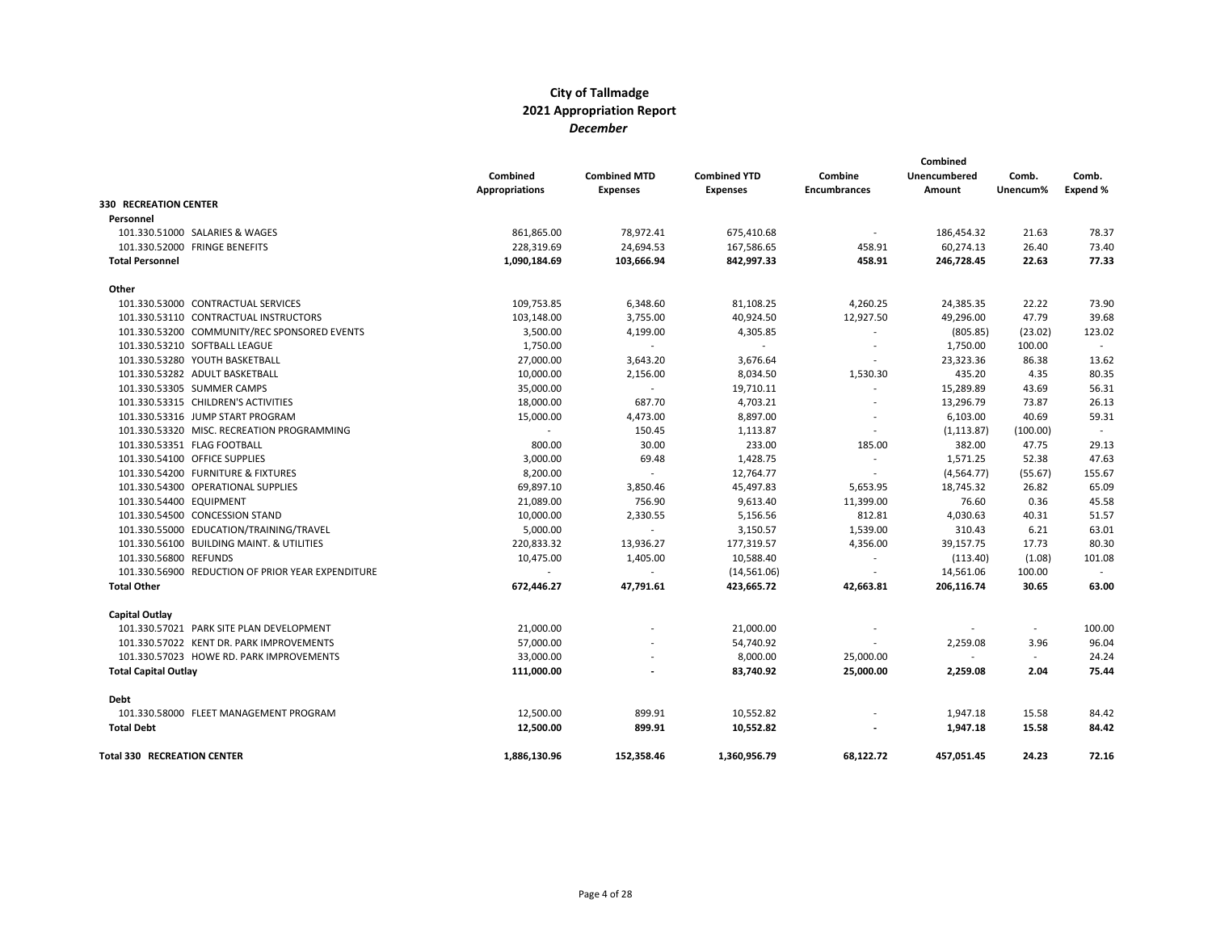|                                                   | Combined<br><b>Appropriations</b> | <b>Combined MTD</b><br><b>Expenses</b> | <b>Combined YTD</b><br><b>Expenses</b> | Combine<br><b>Encumbrances</b> | Combined<br>Unencumbered<br>Amount | Comb.<br>Unencum% | Comb.<br>Expend % |
|---------------------------------------------------|-----------------------------------|----------------------------------------|----------------------------------------|--------------------------------|------------------------------------|-------------------|-------------------|
| <b>330 RECREATION CENTER</b>                      |                                   |                                        |                                        |                                |                                    |                   |                   |
| Personnel                                         |                                   |                                        |                                        |                                |                                    |                   |                   |
| 101.330.51000 SALARIES & WAGES                    | 861,865.00                        | 78,972.41                              | 675,410.68                             |                                | 186,454.32                         | 21.63             | 78.37             |
| 101.330.52000 FRINGE BENEFITS                     | 228,319.69                        | 24,694.53                              | 167,586.65                             | 458.91                         | 60,274.13                          | 26.40             | 73.40             |
| <b>Total Personnel</b>                            | 1,090,184.69                      | 103,666.94                             | 842,997.33                             | 458.91                         | 246,728.45                         | 22.63             | 77.33             |
| Other                                             |                                   |                                        |                                        |                                |                                    |                   |                   |
| 101.330.53000 CONTRACTUAL SERVICES                | 109,753.85                        | 6,348.60                               | 81,108.25                              | 4,260.25                       | 24,385.35                          | 22.22             | 73.90             |
| 101.330.53110 CONTRACTUAL INSTRUCTORS             | 103,148.00                        | 3,755.00                               | 40,924.50                              | 12,927.50                      | 49,296.00                          | 47.79             | 39.68             |
| 101.330.53200 COMMUNITY/REC SPONSORED EVENTS      | 3,500.00                          | 4,199.00                               | 4,305.85                               |                                | (805.85)                           | (23.02)           | 123.02            |
| 101.330.53210 SOFTBALL LEAGUE                     | 1,750.00                          | $\sim$                                 | $\sim$                                 | $\overline{\phantom{a}}$       | 1,750.00                           | 100.00            | $\sim$            |
| 101.330.53280 YOUTH BASKETBALL                    | 27,000.00                         | 3,643.20                               | 3,676.64                               |                                | 23,323.36                          | 86.38             | 13.62             |
| 101.330.53282 ADULT BASKETBALL                    | 10,000.00                         | 2,156.00                               | 8,034.50                               | 1,530.30                       | 435.20                             | 4.35              | 80.35             |
| 101.330.53305 SUMMER CAMPS                        | 35,000.00                         | $\overline{a}$                         | 19,710.11                              |                                | 15,289.89                          | 43.69             | 56.31             |
| 101.330.53315 CHILDREN'S ACTIVITIES               | 18,000.00                         | 687.70                                 | 4,703.21                               |                                | 13,296.79                          | 73.87             | 26.13             |
| 101.330.53316 JUMP START PROGRAM                  | 15,000.00                         | 4,473.00                               | 8,897.00                               |                                | 6,103.00                           | 40.69             | 59.31             |
| 101.330.53320 MISC. RECREATION PROGRAMMING        | $\sim$                            | 150.45                                 | 1,113.87                               | $\overline{\phantom{a}}$       | (1, 113.87)                        | (100.00)          | $\sim$            |
| 101.330.53351 FLAG FOOTBALL                       | 800.00                            | 30.00                                  | 233.00                                 | 185.00                         | 382.00                             | 47.75             | 29.13             |
| 101.330.54100 OFFICE SUPPLIES                     | 3,000.00                          | 69.48                                  | 1,428.75                               | $\overline{\phantom{a}}$       | 1,571.25                           | 52.38             | 47.63             |
| 101.330.54200 FURNITURE & FIXTURES                | 8,200.00                          | $\overline{\phantom{a}}$               | 12,764.77                              | $\overline{\phantom{a}}$       | (4, 564.77)                        | (55.67)           | 155.67            |
| 101.330.54300 OPERATIONAL SUPPLIES                | 69,897.10                         | 3,850.46                               | 45,497.83                              | 5,653.95                       | 18,745.32                          | 26.82             | 65.09             |
| 101.330.54400 EQUIPMENT                           | 21,089.00                         | 756.90                                 | 9,613.40                               | 11,399.00                      | 76.60                              | 0.36              | 45.58             |
| 101.330.54500 CONCESSION STAND                    | 10,000.00                         | 2,330.55                               | 5,156.56                               | 812.81                         | 4,030.63                           | 40.31             | 51.57             |
| 101.330.55000 EDUCATION/TRAINING/TRAVEL           | 5,000.00                          | $\sim$                                 | 3,150.57                               | 1,539.00                       | 310.43                             | 6.21              | 63.01             |
| 101.330.56100 BUILDING MAINT. & UTILITIES         | 220,833.32                        | 13,936.27                              | 177,319.57                             | 4,356.00                       | 39,157.75                          | 17.73             | 80.30             |
| 101.330.56800 REFUNDS                             | 10,475.00                         | 1,405.00                               | 10,588.40                              | $\overline{\phantom{a}}$       | (113.40)                           | (1.08)            | 101.08            |
| 101.330.56900 REDUCTION OF PRIOR YEAR EXPENDITURE |                                   | $\sim$                                 | (14,561.06)                            | $\overline{\phantom{a}}$       | 14,561.06                          | 100.00            | $\sim$            |
| <b>Total Other</b>                                | 672,446.27                        | 47,791.61                              | 423,665.72                             | 42,663.81                      | 206,116.74                         | 30.65             | 63.00             |
| Capital Outlay                                    |                                   |                                        |                                        |                                |                                    |                   |                   |
| 101.330.57021 PARK SITE PLAN DEVELOPMENT          | 21,000.00                         |                                        | 21,000.00                              |                                |                                    | $\sim$            | 100.00            |
| 101.330.57022 KENT DR. PARK IMPROVEMENTS          | 57,000.00                         |                                        | 54,740.92                              |                                | 2,259.08                           | 3.96              | 96.04             |
| 101.330.57023 HOWE RD. PARK IMPROVEMENTS          | 33,000.00                         |                                        | 8,000.00                               | 25,000.00                      | $\sim$                             | $\sim$            | 24.24             |
| <b>Total Capital Outlay</b>                       | 111,000.00                        |                                        | 83,740.92                              | 25,000.00                      | 2,259.08                           | 2.04              | 75.44             |
| Debt                                              |                                   |                                        |                                        |                                |                                    |                   |                   |
| 101.330.58000 FLEET MANAGEMENT PROGRAM            | 12,500.00                         | 899.91                                 | 10,552.82                              |                                | 1,947.18                           | 15.58             | 84.42             |
| <b>Total Debt</b>                                 | 12,500.00                         | 899.91                                 | 10,552.82                              |                                | 1,947.18                           | 15.58             | 84.42             |
| <b>Total 330 RECREATION CENTER</b>                | 1,886,130.96                      | 152,358.46                             | 1,360,956.79                           | 68.122.72                      | 457,051.45                         | 24.23             | 72.16             |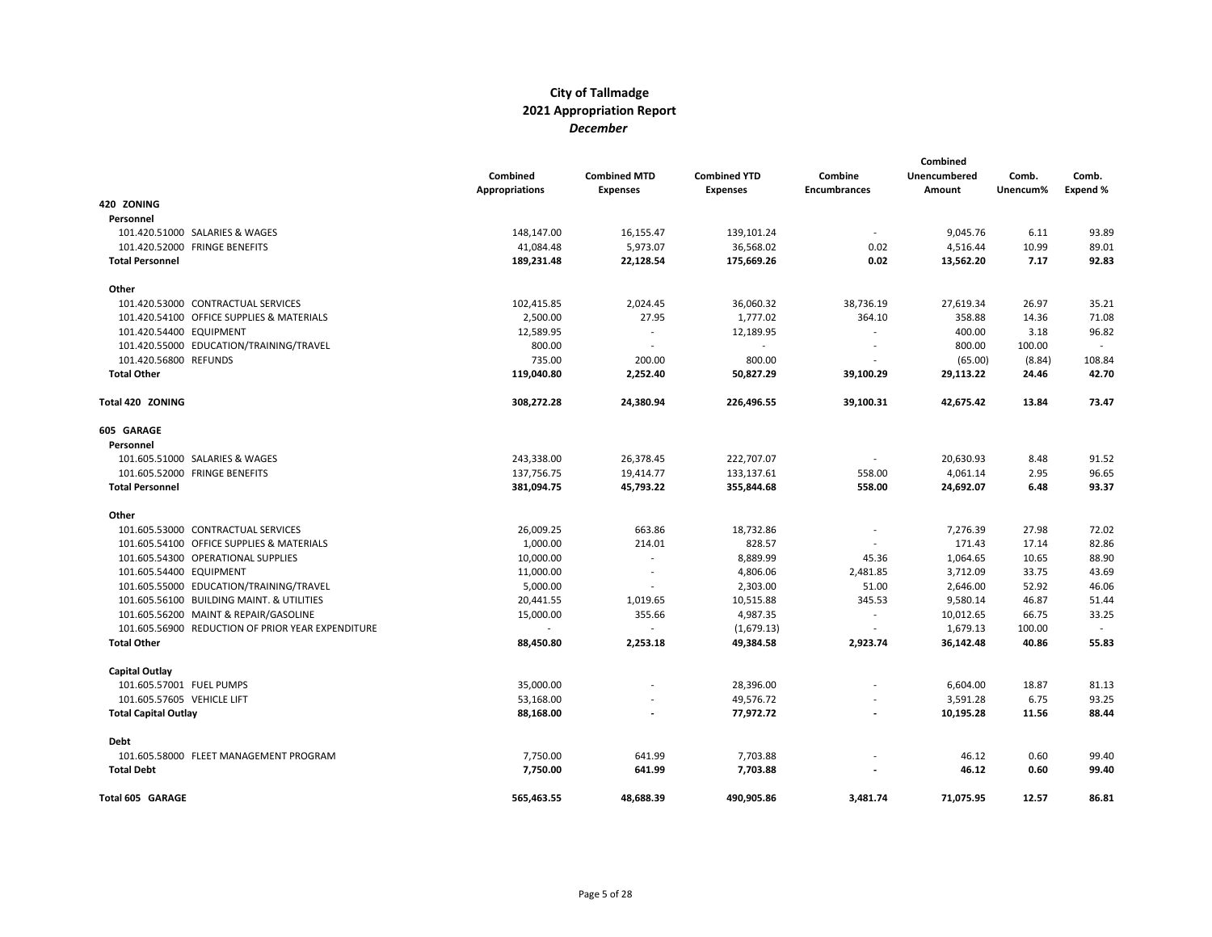|                             |                                                   | Combined<br><b>Appropriations</b> | <b>Combined MTD</b><br><b>Expenses</b> | <b>Combined YTD</b><br><b>Expenses</b> | Combine<br><b>Encumbrances</b> | <b>Combined</b><br>Unencumbered<br>Amount | Comb.<br>Unencum% | Comb.<br>Expend % |
|-----------------------------|---------------------------------------------------|-----------------------------------|----------------------------------------|----------------------------------------|--------------------------------|-------------------------------------------|-------------------|-------------------|
| 420 ZONING                  |                                                   |                                   |                                        |                                        |                                |                                           |                   |                   |
| Personnel                   |                                                   |                                   |                                        |                                        |                                |                                           |                   |                   |
|                             | 101.420.51000 SALARIES & WAGES                    | 148,147.00                        | 16,155.47                              | 139,101.24                             | $\blacksquare$                 | 9,045.76                                  | 6.11              | 93.89             |
|                             | 101.420.52000 FRINGE BENEFITS                     | 41,084.48                         | 5,973.07                               | 36,568.02                              | 0.02                           | 4,516.44                                  | 10.99             | 89.01             |
| <b>Total Personnel</b>      |                                                   | 189,231.48                        | 22,128.54                              | 175,669.26                             | 0.02                           | 13,562.20                                 | 7.17              | 92.83             |
| Other                       |                                                   |                                   |                                        |                                        |                                |                                           |                   |                   |
|                             | 101.420.53000 CONTRACTUAL SERVICES                | 102,415.85                        | 2,024.45                               | 36,060.32                              | 38,736.19                      | 27,619.34                                 | 26.97             | 35.21             |
|                             | 101.420.54100 OFFICE SUPPLIES & MATERIALS         | 2,500.00                          | 27.95                                  | 1,777.02                               | 364.10                         | 358.88                                    | 14.36             | 71.08             |
| 101.420.54400 EQUIPMENT     |                                                   | 12,589.95                         | $\overline{\phantom{a}}$               | 12,189.95                              | $\overline{\phantom{a}}$       | 400.00                                    | 3.18              | 96.82             |
|                             | 101.420.55000 EDUCATION/TRAINING/TRAVEL           | 800.00                            | $\overline{\phantom{a}}$               | $\overline{\phantom{a}}$               |                                | 800.00                                    | 100.00            | $\sim$            |
| 101.420.56800 REFUNDS       |                                                   | 735.00                            | 200.00                                 | 800.00                                 |                                | (65.00)                                   | (8.84)            | 108.84            |
| <b>Total Other</b>          |                                                   | 119,040.80                        | 2,252.40                               | 50,827.29                              | 39,100.29                      | 29,113.22                                 | 24.46             | 42.70             |
| Total 420 ZONING            |                                                   | 308,272.28                        | 24,380.94                              | 226,496.55                             | 39,100.31                      | 42,675.42                                 | 13.84             | 73.47             |
| 605 GARAGE                  |                                                   |                                   |                                        |                                        |                                |                                           |                   |                   |
| Personnel                   |                                                   |                                   |                                        |                                        |                                |                                           |                   |                   |
|                             | 101.605.51000 SALARIES & WAGES                    | 243,338.00                        | 26,378.45                              | 222,707.07                             | $\overline{\phantom{a}}$       | 20,630.93                                 | 8.48              | 91.52             |
|                             | 101.605.52000 FRINGE BENEFITS                     | 137,756.75                        | 19,414.77                              | 133,137.61                             | 558.00                         | 4,061.14                                  | 2.95              | 96.65             |
| <b>Total Personnel</b>      |                                                   | 381,094.75                        | 45,793.22                              | 355,844.68                             | 558.00                         | 24,692.07                                 | 6.48              | 93.37             |
| Other                       |                                                   |                                   |                                        |                                        |                                |                                           |                   |                   |
|                             | 101.605.53000 CONTRACTUAL SERVICES                | 26,009.25                         | 663.86                                 | 18,732.86                              |                                | 7,276.39                                  | 27.98             | 72.02             |
|                             | 101.605.54100 OFFICE SUPPLIES & MATERIALS         | 1,000.00                          | 214.01                                 | 828.57                                 |                                | 171.43                                    | 17.14             | 82.86             |
|                             | 101.605.54300 OPERATIONAL SUPPLIES                | 10,000.00                         | $\overline{\phantom{a}}$               | 8,889.99                               | 45.36                          | 1,064.65                                  | 10.65             | 88.90             |
| 101.605.54400 EQUIPMENT     |                                                   | 11,000.00                         | $\overline{\phantom{a}}$               | 4,806.06                               | 2,481.85                       | 3,712.09                                  | 33.75             | 43.69             |
|                             | 101.605.55000 EDUCATION/TRAINING/TRAVEL           | 5,000.00                          | $\overline{\phantom{a}}$               | 2,303.00                               | 51.00                          | 2,646.00                                  | 52.92             | 46.06             |
|                             | 101.605.56100 BUILDING MAINT. & UTILITIES         | 20,441.55                         | 1,019.65                               | 10,515.88                              | 345.53                         | 9,580.14                                  | 46.87             | 51.44             |
|                             | 101.605.56200 MAINT & REPAIR/GASOLINE             | 15,000.00                         | 355.66                                 | 4,987.35                               | $\overline{\phantom{a}}$       | 10,012.65                                 | 66.75             | 33.25             |
|                             | 101.605.56900 REDUCTION OF PRIOR YEAR EXPENDITURE | $\overline{\phantom{a}}$          | $\mathcal{L}$                          | (1,679.13)                             | $\overline{\phantom{a}}$       | 1,679.13                                  | 100.00            | $\sim$            |
| <b>Total Other</b>          |                                                   | 88,450.80                         | 2,253.18                               | 49,384.58                              | 2,923.74                       | 36,142.48                                 | 40.86             | 55.83             |
| Capital Outlay              |                                                   |                                   |                                        |                                        |                                |                                           |                   |                   |
| 101.605.57001 FUEL PUMPS    |                                                   | 35,000.00                         |                                        | 28,396.00                              |                                | 6,604.00                                  | 18.87             | 81.13             |
| 101.605.57605 VEHICLE LIFT  |                                                   | 53,168.00                         |                                        | 49,576.72                              |                                | 3,591.28                                  | 6.75              | 93.25             |
| <b>Total Capital Outlay</b> |                                                   | 88,168.00                         |                                        | 77,972.72                              |                                | 10,195.28                                 | 11.56             | 88.44             |
| <b>Debt</b>                 |                                                   |                                   |                                        |                                        |                                |                                           |                   |                   |
|                             | 101.605.58000 FLEET MANAGEMENT PROGRAM            | 7,750.00                          | 641.99                                 | 7,703.88                               |                                | 46.12                                     | 0.60              | 99.40             |
| <b>Total Debt</b>           |                                                   | 7,750.00                          | 641.99                                 | 7,703.88                               |                                | 46.12                                     | 0.60              | 99.40             |
| <b>Total 605 GARAGE</b>     |                                                   | 565,463.55                        | 48,688.39                              | 490,905.86                             | 3,481.74                       | 71,075.95                                 | 12.57             | 86.81             |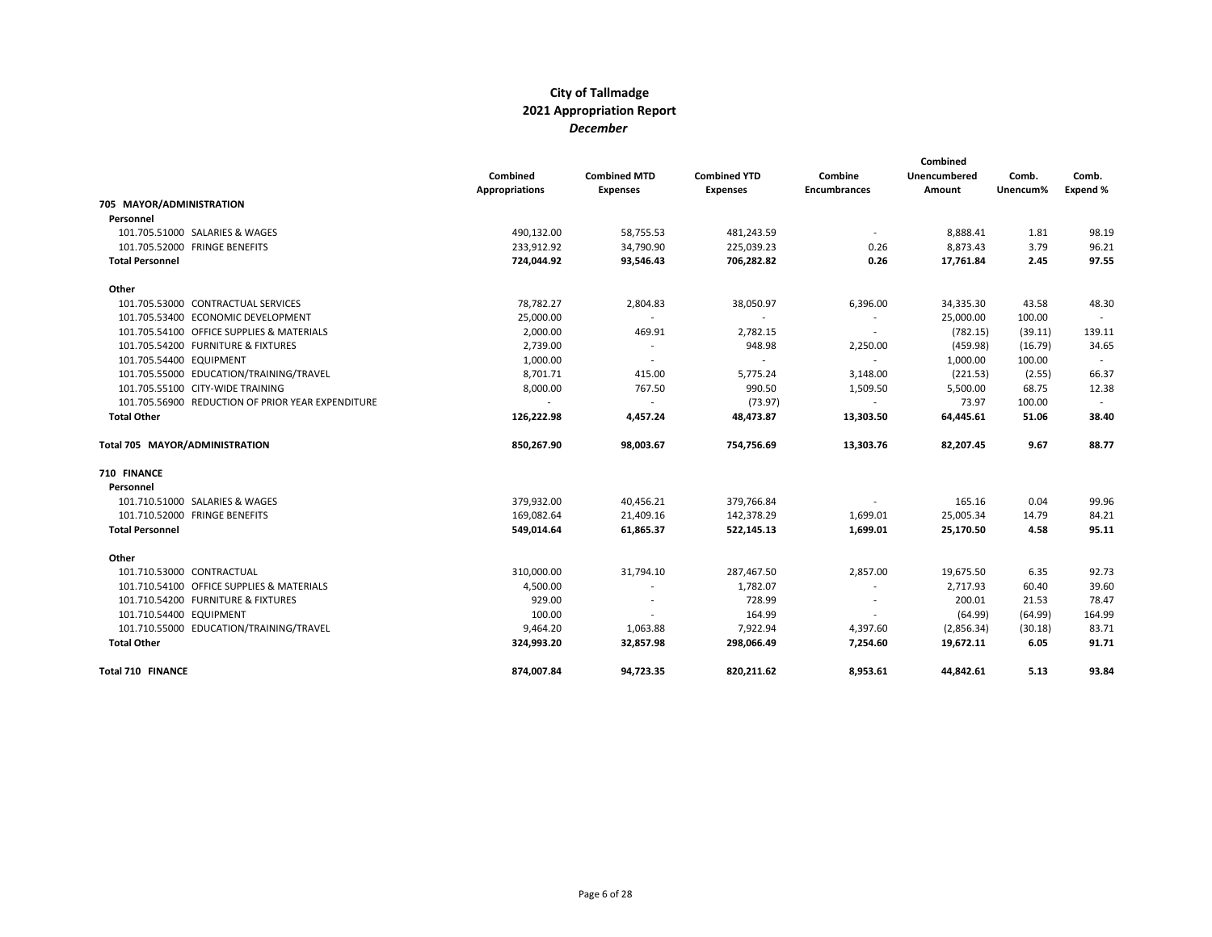|                                                   | Combined<br><b>Appropriations</b> | <b>Combined MTD</b><br><b>Expenses</b> | <b>Combined YTD</b><br><b>Expenses</b> | Combine<br><b>Encumbrances</b> | Combined<br>Unencumbered<br>Amount | Comb.<br>Unencum% | Comb.<br>Expend % |
|---------------------------------------------------|-----------------------------------|----------------------------------------|----------------------------------------|--------------------------------|------------------------------------|-------------------|-------------------|
| 705 MAYOR/ADMINISTRATION                          |                                   |                                        |                                        |                                |                                    |                   |                   |
| Personnel                                         |                                   |                                        |                                        |                                |                                    |                   |                   |
| 101.705.51000 SALARIES & WAGES                    | 490,132.00                        | 58,755.53                              | 481,243.59                             |                                | 8,888.41                           | 1.81              | 98.19             |
| 101.705.52000 FRINGE BENEFITS                     | 233,912.92                        | 34,790.90                              | 225,039.23                             | 0.26                           | 8,873.43                           | 3.79              | 96.21             |
| <b>Total Personnel</b>                            | 724,044.92                        | 93,546.43                              | 706,282.82                             | 0.26                           | 17,761.84                          | 2.45              | 97.55             |
| Other                                             |                                   |                                        |                                        |                                |                                    |                   |                   |
| 101.705.53000 CONTRACTUAL SERVICES                | 78,782.27                         | 2,804.83                               | 38,050.97                              | 6,396.00                       | 34,335.30                          | 43.58             | 48.30             |
| 101.705.53400 ECONOMIC DEVELOPMENT                | 25,000.00                         | $\sim$                                 | $\sim$                                 | $\overline{\phantom{a}}$       | 25,000.00                          | 100.00            |                   |
| 101.705.54100 OFFICE SUPPLIES & MATERIALS         | 2,000.00                          | 469.91                                 | 2,782.15                               | $\overline{\phantom{a}}$       | (782.15)                           | (39.11)           | 139.11            |
| 101.705.54200 FURNITURE & FIXTURES                | 2,739.00                          | $\sim$                                 | 948.98                                 | 2,250.00                       | (459.98)                           | (16.79)           | 34.65             |
| 101.705.54400 EQUIPMENT                           | 1,000.00                          | $\sim$                                 | $\sim$                                 | $\sim$                         | 1,000.00                           | 100.00            | $\sim$            |
| 101.705.55000 EDUCATION/TRAINING/TRAVEL           | 8,701.71                          | 415.00                                 | 5,775.24                               | 3,148.00                       | (221.53)                           | (2.55)            | 66.37             |
| 101.705.55100 CITY-WIDE TRAINING                  | 8,000.00                          | 767.50                                 | 990.50                                 | 1,509.50                       | 5,500.00                           | 68.75             | 12.38             |
| 101.705.56900 REDUCTION OF PRIOR YEAR EXPENDITURE |                                   | $\sim$                                 | (73.97)                                | $\sim$                         | 73.97                              | 100.00            |                   |
| <b>Total Other</b>                                | 126,222.98                        | 4,457.24                               | 48,473.87                              | 13,303.50                      | 64,445.61                          | 51.06             | 38.40             |
| Total 705 MAYOR/ADMINISTRATION                    | 850,267.90                        | 98,003.67                              | 754,756.69                             | 13,303.76                      | 82,207.45                          | 9.67              | 88.77             |
| 710 FINANCE                                       |                                   |                                        |                                        |                                |                                    |                   |                   |
| Personnel                                         |                                   |                                        |                                        |                                |                                    |                   |                   |
| 101.710.51000 SALARIES & WAGES                    | 379,932.00                        | 40,456.21                              | 379,766.84                             |                                | 165.16                             | 0.04              | 99.96             |
| 101.710.52000 FRINGE BENEFITS                     | 169,082.64                        | 21,409.16                              | 142,378.29                             | 1,699.01                       | 25,005.34                          | 14.79             | 84.21             |
| <b>Total Personnel</b>                            | 549,014.64                        | 61,865.37                              | 522,145.13                             | 1,699.01                       | 25,170.50                          | 4.58              | 95.11             |
| Other                                             |                                   |                                        |                                        |                                |                                    |                   |                   |
| 101.710.53000 CONTRACTUAL                         | 310,000.00                        | 31,794.10                              | 287,467.50                             | 2,857.00                       | 19,675.50                          | 6.35              | 92.73             |
| 101.710.54100 OFFICE SUPPLIES & MATERIALS         | 4,500.00                          | $\overline{\phantom{a}}$               | 1,782.07                               | $\sim$                         | 2,717.93                           | 60.40             | 39.60             |
| 101.710.54200 FURNITURE & FIXTURES                | 929.00                            | $\overline{\phantom{a}}$               | 728.99                                 | $\overline{\phantom{a}}$       | 200.01                             | 21.53             | 78.47             |
| 101.710.54400 EQUIPMENT                           | 100.00                            |                                        | 164.99                                 |                                | (64.99)                            | (64.99)           | 164.99            |
| 101.710.55000 EDUCATION/TRAINING/TRAVEL           | 9,464.20                          | 1,063.88                               | 7,922.94                               | 4,397.60                       | (2,856.34)                         | (30.18)           | 83.71             |
| <b>Total Other</b>                                | 324,993.20                        | 32,857.98                              | 298,066.49                             | 7,254.60                       | 19,672.11                          | 6.05              | 91.71             |
| Total 710 FINANCE                                 | 874.007.84                        | 94,723.35                              | 820,211.62                             | 8,953.61                       | 44,842.61                          | 5.13              | 93.84             |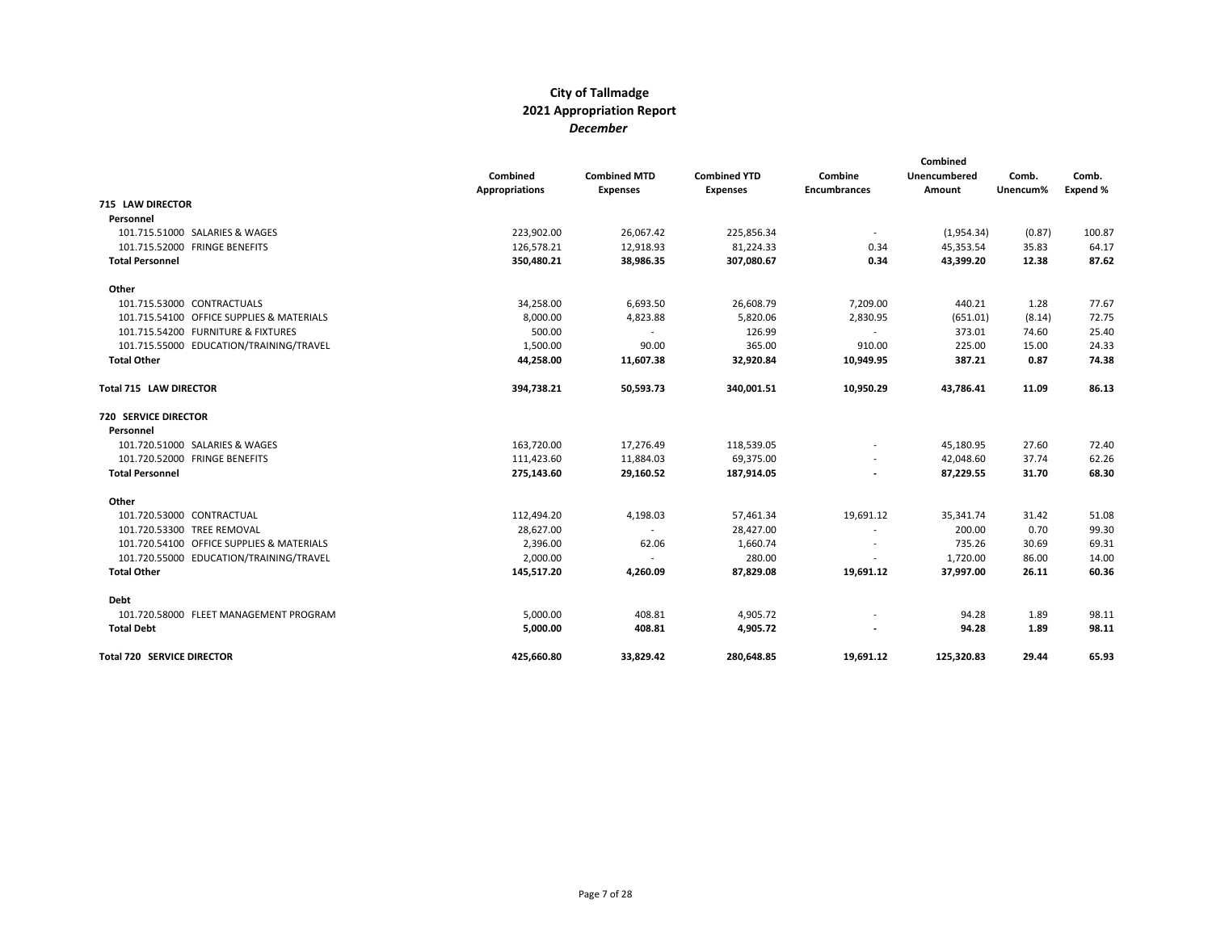|                                           | Combined<br><b>Appropriations</b> | <b>Combined MTD</b><br><b>Expenses</b> | <b>Combined YTD</b><br><b>Expenses</b> | Combine<br><b>Encumbrances</b> | Combined<br>Unencumbered<br>Amount | Comb.<br>Unencum% | Comb.<br>Expend % |
|-------------------------------------------|-----------------------------------|----------------------------------------|----------------------------------------|--------------------------------|------------------------------------|-------------------|-------------------|
| <b>715 LAW DIRECTOR</b>                   |                                   |                                        |                                        |                                |                                    |                   |                   |
| Personnel                                 |                                   |                                        |                                        |                                |                                    |                   |                   |
| 101.715.51000 SALARIES & WAGES            | 223,902.00                        | 26,067.42                              | 225,856.34                             |                                | (1,954.34)                         | (0.87)            | 100.87            |
| 101.715.52000 FRINGE BENEFITS             | 126,578.21                        | 12,918.93                              | 81,224.33                              | 0.34                           | 45,353.54                          | 35.83             | 64.17             |
| <b>Total Personnel</b>                    | 350,480.21                        | 38,986.35                              | 307,080.67                             | 0.34                           | 43,399.20                          | 12.38             | 87.62             |
| Other                                     |                                   |                                        |                                        |                                |                                    |                   |                   |
| 101.715.53000 CONTRACTUALS                | 34,258.00                         | 6,693.50                               | 26,608.79                              | 7,209.00                       | 440.21                             | 1.28              | 77.67             |
| 101.715.54100 OFFICE SUPPLIES & MATERIALS | 8,000.00                          | 4,823.88                               | 5,820.06                               | 2,830.95                       | (651.01)                           | (8.14)            | 72.75             |
| 101.715.54200 FURNITURE & FIXTURES        | 500.00                            | $\sim$                                 | 126.99                                 | $\sim$                         | 373.01                             | 74.60             | 25.40             |
| 101.715.55000 EDUCATION/TRAINING/TRAVEL   | 1,500.00                          | 90.00                                  | 365.00                                 | 910.00                         | 225.00                             | 15.00             | 24.33             |
| <b>Total Other</b>                        | 44,258.00                         | 11,607.38                              | 32,920.84                              | 10,949.95                      | 387.21                             | 0.87              | 74.38             |
| Total 715 LAW DIRECTOR                    | 394,738.21                        | 50,593.73                              | 340,001.51                             | 10,950.29                      | 43,786.41                          | 11.09             | 86.13             |
| <b>720 SERVICE DIRECTOR</b>               |                                   |                                        |                                        |                                |                                    |                   |                   |
| Personnel                                 |                                   |                                        |                                        |                                |                                    |                   |                   |
| 101.720.51000 SALARIES & WAGES            | 163,720.00                        | 17,276.49                              | 118,539.05                             |                                | 45,180.95                          | 27.60             | 72.40             |
| 101.720.52000 FRINGE BENEFITS             | 111,423.60                        | 11,884.03                              | 69,375.00                              |                                | 42,048.60                          | 37.74             | 62.26             |
| <b>Total Personnel</b>                    | 275,143.60                        | 29,160.52                              | 187,914.05                             |                                | 87,229.55                          | 31.70             | 68.30             |
| Other                                     |                                   |                                        |                                        |                                |                                    |                   |                   |
| 101.720.53000 CONTRACTUAL                 | 112,494.20                        | 4,198.03                               | 57,461.34                              | 19,691.12                      | 35,341.74                          | 31.42             | 51.08             |
| 101.720.53300 TREE REMOVAL                | 28,627.00                         | $\sim$                                 | 28,427.00                              | $\overline{\phantom{a}}$       | 200.00                             | 0.70              | 99.30             |
| 101.720.54100 OFFICE SUPPLIES & MATERIALS | 2,396.00                          | 62.06                                  | 1,660.74                               |                                | 735.26                             | 30.69             | 69.31             |
| 101.720.55000 EDUCATION/TRAINING/TRAVEL   | 2,000.00                          |                                        | 280.00                                 |                                | 1,720.00                           | 86.00             | 14.00             |
| <b>Total Other</b>                        | 145,517.20                        | 4,260.09                               | 87,829.08                              | 19,691.12                      | 37,997.00                          | 26.11             | 60.36             |
| Debt                                      |                                   |                                        |                                        |                                |                                    |                   |                   |
| 101.720.58000 FLEET MANAGEMENT PROGRAM    | 5,000.00                          | 408.81                                 | 4,905.72                               |                                | 94.28                              | 1.89              | 98.11             |
| <b>Total Debt</b>                         | 5,000.00                          | 408.81                                 | 4,905.72                               |                                | 94.28                              | 1.89              | 98.11             |
| <b>Total 720 SERVICE DIRECTOR</b>         | 425,660.80                        | 33,829.42                              | 280,648.85                             | 19,691.12                      | 125,320.83                         | 29.44             | 65.93             |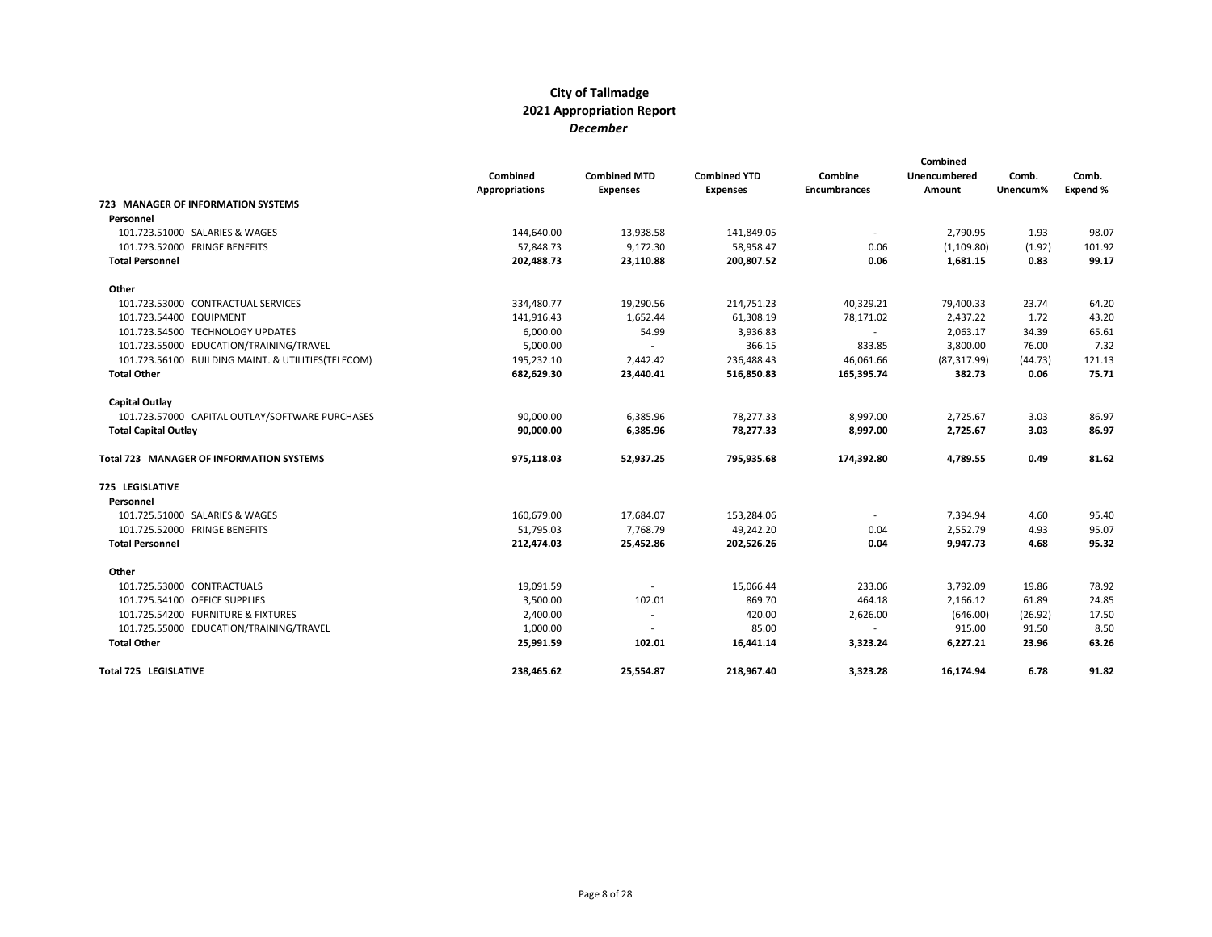|                                                    | Combined<br><b>Appropriations</b> | <b>Combined MTD</b><br><b>Expenses</b> | <b>Combined YTD</b><br><b>Expenses</b> | Combine<br><b>Encumbrances</b> | Combined<br>Unencumbered<br>Amount | Comb.<br>Unencum% | Comb.<br>Expend % |
|----------------------------------------------------|-----------------------------------|----------------------------------------|----------------------------------------|--------------------------------|------------------------------------|-------------------|-------------------|
| <b>723 MANAGER OF INFORMATION SYSTEMS</b>          |                                   |                                        |                                        |                                |                                    |                   |                   |
| Personnel                                          |                                   |                                        |                                        |                                |                                    |                   |                   |
| 101.723.51000 SALARIES & WAGES                     | 144,640.00                        | 13,938.58                              | 141,849.05                             |                                | 2,790.95                           | 1.93              | 98.07             |
| 101.723.52000 FRINGE BENEFITS                      | 57,848.73                         | 9,172.30                               | 58,958.47                              | 0.06                           | (1, 109.80)                        | (1.92)            | 101.92            |
| <b>Total Personnel</b>                             | 202,488.73                        | 23,110.88                              | 200,807.52                             | 0.06                           | 1,681.15                           | 0.83              | 99.17             |
| Other                                              |                                   |                                        |                                        |                                |                                    |                   |                   |
| 101.723.53000 CONTRACTUAL SERVICES                 | 334,480.77                        | 19,290.56                              | 214,751.23                             | 40,329.21                      | 79,400.33                          | 23.74             | 64.20             |
| 101.723.54400 EQUIPMENT                            | 141,916.43                        | 1,652.44                               | 61,308.19                              | 78,171.02                      | 2,437.22                           | 1.72              | 43.20             |
| 101.723.54500 TECHNOLOGY UPDATES                   | 6,000.00                          | 54.99                                  | 3,936.83                               | $\sim$                         | 2,063.17                           | 34.39             | 65.61             |
| 101.723.55000 EDUCATION/TRAINING/TRAVEL            | 5,000.00                          |                                        | 366.15                                 | 833.85                         | 3,800.00                           | 76.00             | 7.32              |
| 101.723.56100 BUILDING MAINT. & UTILITIES(TELECOM) | 195,232.10                        | 2,442.42                               | 236,488.43                             | 46,061.66                      | (87, 317.99)                       | (44.73)           | 121.13            |
| <b>Total Other</b>                                 | 682,629.30                        | 23,440.41                              | 516,850.83                             | 165,395.74                     | 382.73                             | 0.06              | 75.71             |
| Capital Outlay                                     |                                   |                                        |                                        |                                |                                    |                   |                   |
| 101.723.57000 CAPITAL OUTLAY/SOFTWARE PURCHASES    | 90,000.00                         | 6,385.96                               | 78,277.33                              | 8,997.00                       | 2,725.67                           | 3.03              | 86.97             |
| <b>Total Capital Outlay</b>                        | 90,000.00                         | 6,385.96                               | 78,277.33                              | 8,997.00                       | 2,725.67                           | 3.03              | 86.97             |
| Total 723 MANAGER OF INFORMATION SYSTEMS           | 975,118.03                        | 52,937.25                              | 795,935.68                             | 174,392.80                     | 4,789.55                           | 0.49              | 81.62             |
| 725 LEGISLATIVE                                    |                                   |                                        |                                        |                                |                                    |                   |                   |
| Personnel                                          |                                   |                                        |                                        |                                |                                    |                   |                   |
| 101.725.51000 SALARIES & WAGES                     | 160,679.00                        | 17,684.07                              | 153,284.06                             | $\overline{\phantom{a}}$       | 7,394.94                           | 4.60              | 95.40             |
| 101.725.52000 FRINGE BENEFITS                      | 51,795.03                         | 7,768.79                               | 49,242.20                              | 0.04                           | 2,552.79                           | 4.93              | 95.07             |
| <b>Total Personnel</b>                             | 212,474.03                        | 25,452.86                              | 202,526.26                             | 0.04                           | 9,947.73                           | 4.68              | 95.32             |
| Other                                              |                                   |                                        |                                        |                                |                                    |                   |                   |
| 101.725.53000 CONTRACTUALS                         | 19,091.59                         | $\overline{\phantom{a}}$               | 15,066.44                              | 233.06                         | 3,792.09                           | 19.86             | 78.92             |
| 101.725.54100 OFFICE SUPPLIES                      | 3,500.00                          | 102.01                                 | 869.70                                 | 464.18                         | 2,166.12                           | 61.89             | 24.85             |
| 101.725.54200 FURNITURE & FIXTURES                 | 2,400.00                          | $\overline{\phantom{a}}$               | 420.00                                 | 2,626.00                       | (646.00)                           | (26.92)           | 17.50             |
| 101.725.55000 EDUCATION/TRAINING/TRAVEL            | 1,000.00                          | $\overline{\phantom{a}}$               | 85.00                                  | $\overline{\phantom{a}}$       | 915.00                             | 91.50             | 8.50              |
| <b>Total Other</b>                                 | 25,991.59                         | 102.01                                 | 16,441.14                              | 3,323.24                       | 6,227.21                           | 23.96             | 63.26             |
| <b>Total 725 LEGISLATIVE</b>                       | 238.465.62                        | 25,554.87                              | 218,967.40                             | 3,323.28                       | 16.174.94                          | 6.78              | 91.82             |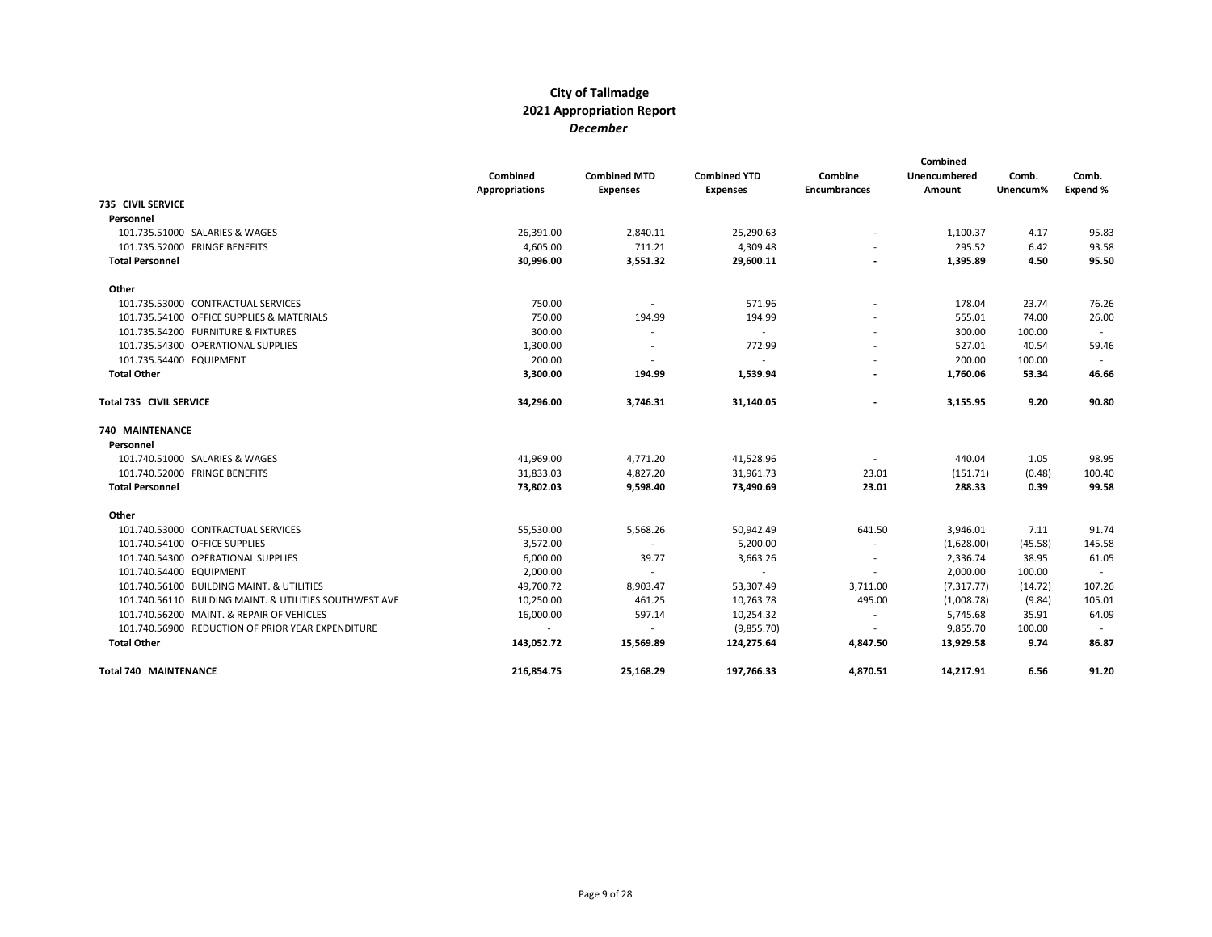|                                                        | Combined<br><b>Appropriations</b> | <b>Combined MTD</b><br><b>Expenses</b> | <b>Combined YTD</b><br><b>Expenses</b> | Combine<br><b>Encumbrances</b> | Combined<br>Unencumbered<br>Amount | Comb.<br>Unencum% | Comb.<br>Expend % |
|--------------------------------------------------------|-----------------------------------|----------------------------------------|----------------------------------------|--------------------------------|------------------------------------|-------------------|-------------------|
| <b>735 CIVIL SERVICE</b>                               |                                   |                                        |                                        |                                |                                    |                   |                   |
| Personnel                                              |                                   |                                        |                                        |                                |                                    |                   |                   |
| 101.735.51000 SALARIES & WAGES                         | 26,391.00                         | 2,840.11                               | 25,290.63                              |                                | 1,100.37                           | 4.17              | 95.83             |
| 101.735.52000 FRINGE BENEFITS                          | 4,605.00                          | 711.21                                 | 4,309.48                               |                                | 295.52                             | 6.42              | 93.58             |
| <b>Total Personnel</b>                                 | 30,996.00                         | 3,551.32                               | 29,600.11                              |                                | 1,395.89                           | 4.50              | 95.50             |
| Other                                                  |                                   |                                        |                                        |                                |                                    |                   |                   |
| 101.735.53000 CONTRACTUAL SERVICES                     | 750.00                            | $\sim$                                 | 571.96                                 |                                | 178.04                             | 23.74             | 76.26             |
| 101.735.54100 OFFICE SUPPLIES & MATERIALS              | 750.00                            | 194.99                                 | 194.99                                 |                                | 555.01                             | 74.00             | 26.00             |
| 101.735.54200 FURNITURE & FIXTURES                     | 300.00                            | $\overline{\phantom{a}}$               | $\sim$                                 |                                | 300.00                             | 100.00            |                   |
| 101.735.54300 OPERATIONAL SUPPLIES                     | 1,300.00                          | $\overline{\phantom{a}}$               | 772.99                                 |                                | 527.01                             | 40.54             | 59.46             |
| 101.735.54400 EQUIPMENT                                | 200.00                            | $\overline{\phantom{a}}$               | $\sim$                                 |                                | 200.00                             | 100.00            |                   |
| <b>Total Other</b>                                     | 3,300.00                          | 194.99                                 | 1,539.94                               |                                | 1,760.06                           | 53.34             | 46.66             |
| Total 735 CIVIL SERVICE                                | 34,296.00                         | 3,746.31                               | 31,140.05                              |                                | 3,155.95                           | 9.20              | 90.80             |
| 740 MAINTENANCE                                        |                                   |                                        |                                        |                                |                                    |                   |                   |
| Personnel                                              |                                   |                                        |                                        |                                |                                    |                   |                   |
| 101.740.51000 SALARIES & WAGES                         | 41,969.00                         | 4,771.20                               | 41,528.96                              | $\overline{\phantom{a}}$       | 440.04                             | 1.05              | 98.95             |
| 101.740.52000 FRINGE BENEFITS                          | 31,833.03                         | 4,827.20                               | 31,961.73                              | 23.01                          | (151.71)                           | (0.48)            | 100.40            |
| <b>Total Personnel</b>                                 | 73,802.03                         | 9,598.40                               | 73,490.69                              | 23.01                          | 288.33                             | 0.39              | 99.58             |
| Other                                                  |                                   |                                        |                                        |                                |                                    |                   |                   |
| 101.740.53000 CONTRACTUAL SERVICES                     | 55,530.00                         | 5,568.26                               | 50,942.49                              | 641.50                         | 3,946.01                           | 7.11              | 91.74             |
| 101.740.54100 OFFICE SUPPLIES                          | 3,572.00                          | $\sim$                                 | 5,200.00                               | $\overline{\phantom{a}}$       | (1,628.00)                         | (45.58)           | 145.58            |
| 101.740.54300 OPERATIONAL SUPPLIES                     | 6,000.00                          | 39.77                                  | 3,663.26                               |                                | 2,336.74                           | 38.95             | 61.05             |
| 101.740.54400 EQUIPMENT                                | 2,000.00                          | $\sim$                                 | $\sim$                                 |                                | 2,000.00                           | 100.00            | $\sim$            |
| 101.740.56100 BUILDING MAINT, & UTILITIES              | 49,700.72                         | 8,903.47                               | 53,307.49                              | 3,711.00                       | (7, 317, 77)                       | (14.72)           | 107.26            |
| 101.740.56110 BULDING MAINT. & UTILITIES SOUTHWEST AVE | 10,250.00                         | 461.25                                 | 10,763.78                              | 495.00                         | (1,008.78)                         | (9.84)            | 105.01            |
| 101.740.56200 MAINT. & REPAIR OF VEHICLES              | 16,000.00                         | 597.14                                 | 10,254.32                              | $\overline{\phantom{a}}$       | 5,745.68                           | 35.91             | 64.09             |
| 101.740.56900 REDUCTION OF PRIOR YEAR EXPENDITURE      | $\sim$                            | $\sim$                                 | (9,855.70)                             |                                | 9,855.70                           | 100.00            |                   |
| <b>Total Other</b>                                     | 143,052.72                        | 15,569.89                              | 124,275.64                             | 4,847.50                       | 13,929.58                          | 9.74              | 86.87             |
| <b>Total 740 MAINTENANCE</b>                           | 216.854.75                        | 25,168.29                              | 197.766.33                             | 4,870.51                       | 14,217.91                          | 6.56              | 91.20             |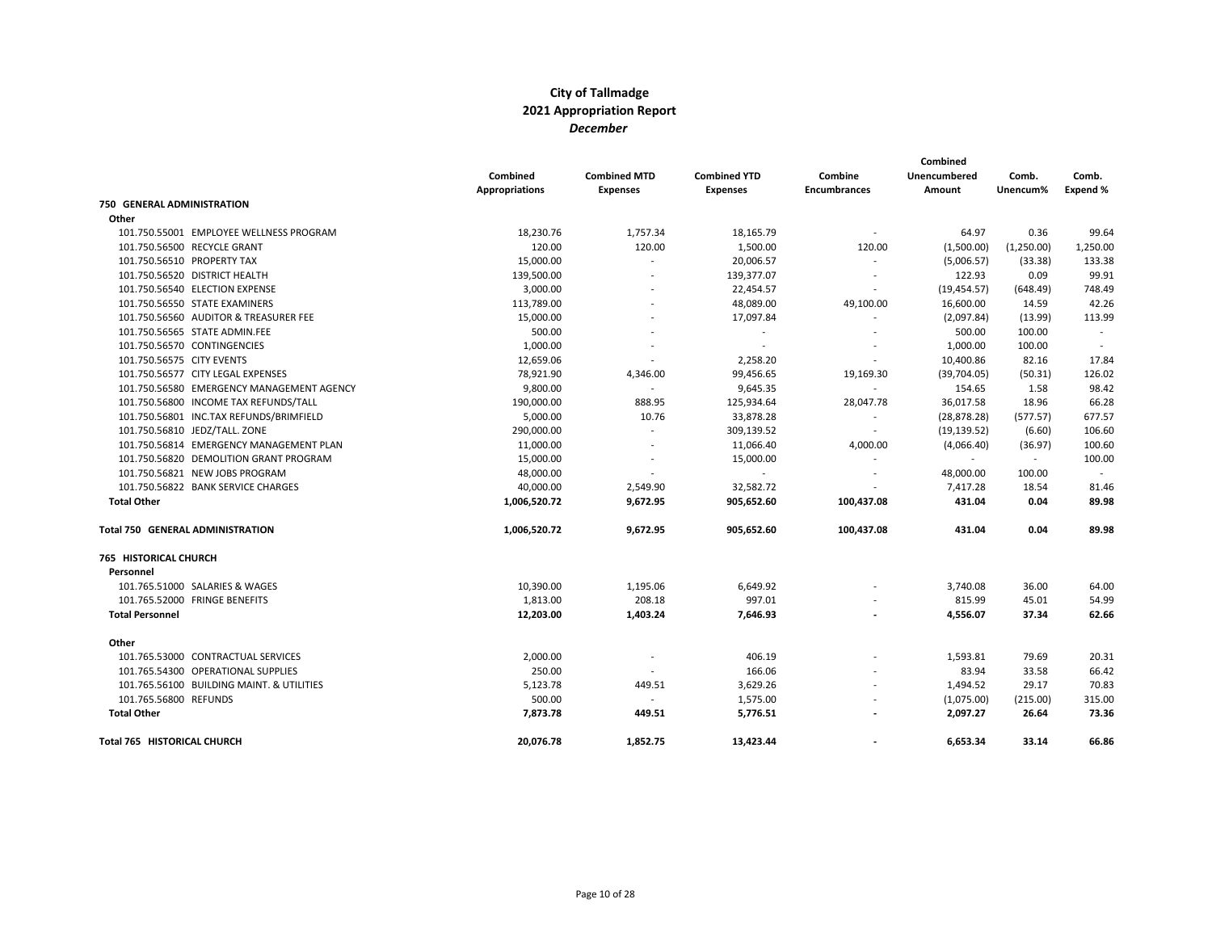|                                           |                       |                          |                     |                          | Combined     |            |          |
|-------------------------------------------|-----------------------|--------------------------|---------------------|--------------------------|--------------|------------|----------|
|                                           | Combined              | <b>Combined MTD</b>      | <b>Combined YTD</b> | Combine                  | Unencumbered | Comb.      | Comb.    |
|                                           | <b>Appropriations</b> | <b>Expenses</b>          | <b>Expenses</b>     | <b>Encumbrances</b>      | Amount       | Unencum%   | Expend % |
| 750 GENERAL ADMINISTRATION                |                       |                          |                     |                          |              |            |          |
| Other                                     |                       |                          |                     |                          |              |            |          |
| 101.750.55001 EMPLOYEE WELLNESS PROGRAM   | 18,230.76             | 1,757.34                 | 18,165.79           |                          | 64.97        | 0.36       | 99.64    |
| 101.750.56500 RECYCLE GRANT               | 120.00                | 120.00                   | 1,500.00            | 120.00                   | (1,500.00)   | (1,250.00) | 1,250.00 |
| 101.750.56510 PROPERTY TAX                | 15,000.00             | $\overline{\phantom{a}}$ | 20,006.57           | $\overline{\phantom{a}}$ | (5,006.57)   | (33.38)    | 133.38   |
| 101.750.56520 DISTRICT HEALTH             | 139,500.00            | $\overline{a}$           | 139,377.07          |                          | 122.93       | 0.09       | 99.91    |
| 101.750.56540 ELECTION EXPENSE            | 3,000.00              |                          | 22,454.57           | $\overline{\phantom{a}}$ | (19, 454.57) | (648.49)   | 748.49   |
| 101.750.56550 STATE EXAMINERS             | 113,789.00            |                          | 48,089.00           | 49,100.00                | 16,600.00    | 14.59      | 42.26    |
| 101.750.56560 AUDITOR & TREASURER FEE     | 15,000.00             |                          | 17,097.84           | $\overline{a}$           | (2,097.84)   | (13.99)    | 113.99   |
| 101.750.56565 STATE ADMIN.FEE             | 500.00                | $\overline{a}$           | $\sim$              |                          | 500.00       | 100.00     | $\sim$   |
| 101.750.56570 CONTINGENCIES               | 1,000.00              |                          |                     |                          | 1,000.00     | 100.00     |          |
| 101.750.56575 CITY EVENTS                 | 12,659.06             |                          | 2,258.20            |                          | 10,400.86    | 82.16      | 17.84    |
| 101.750.56577 CITY LEGAL EXPENSES         | 78,921.90             | 4,346.00                 | 99,456.65           | 19,169.30                | (39,704.05)  | (50.31)    | 126.02   |
| 101.750.56580 EMERGENCY MANAGEMENT AGENCY | 9,800.00              | $\overline{\phantom{a}}$ | 9,645.35            | $\blacksquare$           | 154.65       | 1.58       | 98.42    |
| 101.750.56800 INCOME TAX REFUNDS/TALL     | 190,000.00            | 888.95                   | 125,934.64          | 28,047.78                | 36,017.58    | 18.96      | 66.28    |
| 101.750.56801 INC.TAX REFUNDS/BRIMFIELD   | 5,000.00              | 10.76                    | 33,878.28           |                          | (28, 878.28) | (577.57)   | 677.57   |
| 101.750.56810 JEDZ/TALL. ZONE             | 290,000.00            | $\overline{\phantom{a}}$ | 309,139.52          | $\overline{\phantom{a}}$ | (19, 139.52) | (6.60)     | 106.60   |
| 101.750.56814 EMERGENCY MANAGEMENT PLAN   | 11,000.00             | $\overline{\phantom{a}}$ | 11,066.40           | 4,000.00                 | (4,066.40)   | (36.97)    | 100.60   |
| 101.750.56820 DEMOLITION GRANT PROGRAM    | 15,000.00             | $\overline{\phantom{a}}$ | 15,000.00           | $\overline{\phantom{a}}$ | $\sim$       | $\sim$     | 100.00   |
| 101.750.56821 NEW JOBS PROGRAM            | 48,000.00             | $\overline{\phantom{a}}$ | $\sim$              | $\overline{\phantom{a}}$ | 48,000.00    | 100.00     | $\sim$   |
| 101.750.56822 BANK SERVICE CHARGES        | 40,000.00             | 2,549.90                 | 32,582.72           |                          | 7,417.28     | 18.54      | 81.46    |
| <b>Total Other</b>                        | 1,006,520.72          | 9,672.95                 | 905,652.60          | 100,437.08               | 431.04       | 0.04       | 89.98    |
| <b>Total 750 GENERAL ADMINISTRATION</b>   | 1,006,520.72          | 9,672.95                 | 905,652.60          | 100,437.08               | 431.04       | 0.04       | 89.98    |
| <b>765 HISTORICAL CHURCH</b>              |                       |                          |                     |                          |              |            |          |
| Personnel                                 |                       |                          |                     |                          |              |            |          |
| 101.765.51000 SALARIES & WAGES            | 10,390.00             | 1,195.06                 | 6,649.92            |                          | 3,740.08     | 36.00      | 64.00    |
| 101.765.52000 FRINGE BENEFITS             | 1,813.00              | 208.18                   | 997.01              |                          | 815.99       | 45.01      | 54.99    |
| <b>Total Personnel</b>                    | 12,203.00             | 1,403.24                 | 7,646.93            |                          | 4,556.07     | 37.34      | 62.66    |
| Other                                     |                       |                          |                     |                          |              |            |          |
| 101.765.53000 CONTRACTUAL SERVICES        | 2,000.00              |                          | 406.19              |                          | 1,593.81     | 79.69      | 20.31    |
| 101.765.54300 OPERATIONAL SUPPLIES        | 250.00                | $\overline{\phantom{a}}$ | 166.06              |                          | 83.94        | 33.58      | 66.42    |
| 101.765.56100 BUILDING MAINT. & UTILITIES | 5,123.78              | 449.51                   | 3,629.26            |                          | 1,494.52     | 29.17      | 70.83    |
| 101.765.56800 REFUNDS                     | 500.00                | $\sim$                   | 1,575.00            |                          | (1,075.00)   | (215.00)   | 315.00   |
| <b>Total Other</b>                        | 7,873.78              | 449.51                   | 5,776.51            |                          | 2,097.27     | 26.64      | 73.36    |
| <b>Total 765 HISTORICAL CHURCH</b>        | 20,076.78             | 1,852.75                 | 13,423.44           |                          | 6,653.34     | 33.14      | 66.86    |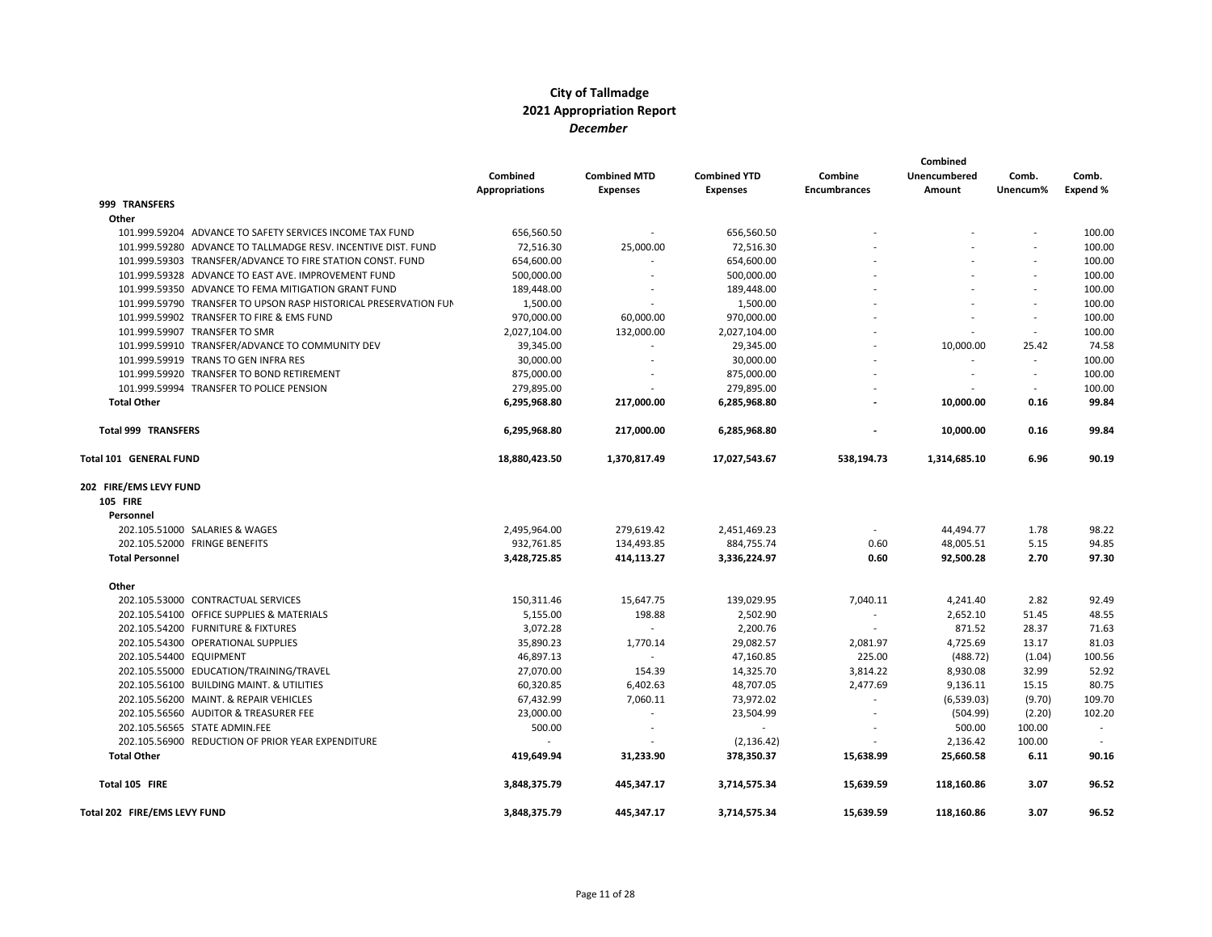|                                                                  |                       |                          |                     |                          | Combined     |                          |          |
|------------------------------------------------------------------|-----------------------|--------------------------|---------------------|--------------------------|--------------|--------------------------|----------|
|                                                                  | Combined              | <b>Combined MTD</b>      | <b>Combined YTD</b> | Combine                  | Unencumbered | Comb.                    | Comb.    |
|                                                                  | <b>Appropriations</b> | <b>Expenses</b>          | <b>Expenses</b>     | <b>Encumbrances</b>      | Amount       | Unencum%                 | Expend % |
| 999 TRANSFERS                                                    |                       |                          |                     |                          |              |                          |          |
| Other                                                            |                       |                          |                     |                          |              |                          |          |
| 101.999.59204 ADVANCE TO SAFETY SERVICES INCOME TAX FUND         | 656,560.50            | $\overline{\phantom{a}}$ | 656,560.50          |                          |              |                          | 100.00   |
| 101.999.59280 ADVANCE TO TALLMADGE RESV. INCENTIVE DIST. FUND    | 72,516.30             | 25,000.00                | 72,516.30           |                          |              |                          | 100.00   |
| 101.999.59303 TRANSFER/ADVANCE TO FIRE STATION CONST. FUND       | 654,600.00            |                          | 654,600.00          |                          |              |                          | 100.00   |
| 101.999.59328 ADVANCE TO EAST AVE. IMPROVEMENT FUND              | 500,000.00            |                          | 500,000.00          |                          |              | $\overline{a}$           | 100.00   |
| 101.999.59350 ADVANCE TO FEMA MITIGATION GRANT FUND              | 189,448.00            |                          | 189,448.00          |                          |              | $\overline{\phantom{0}}$ | 100.00   |
| 101.999.59790 TRANSFER TO UPSON RASP HISTORICAL PRESERVATION FUN | 1,500.00              |                          | 1,500.00            |                          |              |                          | 100.00   |
| 101.999.59902 TRANSFER TO FIRE & EMS FUND                        | 970,000.00            | 60,000.00                | 970,000.00          |                          |              | $\sim$                   | 100.00   |
| 101.999.59907 TRANSFER TO SMR                                    | 2,027,104.00          | 132,000.00               | 2,027,104.00        |                          |              | $\overline{\phantom{a}}$ | 100.00   |
| 101.999.59910 TRANSFER/ADVANCE TO COMMUNITY DEV                  | 39,345.00             |                          | 29,345.00           |                          | 10,000.00    | 25.42                    | 74.58    |
| 101.999.59919 TRANS TO GEN INFRA RES                             | 30,000.00             |                          | 30,000.00           |                          |              | $\overline{\phantom{a}}$ | 100.00   |
| 101.999.59920 TRANSFER TO BOND RETIREMENT                        | 875,000.00            |                          | 875,000.00          |                          |              | $\overline{a}$           | 100.00   |
| 101.999.59994 TRANSFER TO POLICE PENSION                         | 279,895.00            |                          | 279,895.00          |                          |              | $\overline{\phantom{a}}$ | 100.00   |
| <b>Total Other</b>                                               | 6,295,968.80          | 217,000.00               | 6,285,968.80        |                          | 10,000.00    | 0.16                     | 99.84    |
| <b>Total 999 TRANSFERS</b>                                       | 6,295,968.80          | 217,000.00               | 6,285,968.80        |                          | 10,000.00    | 0.16                     | 99.84    |
| Total 101 GENERAL FUND                                           | 18,880,423.50         | 1,370,817.49             | 17,027,543.67       | 538,194.73               | 1,314,685.10 | 6.96                     | 90.19    |
| 202 FIRE/EMS LEVY FUND                                           |                       |                          |                     |                          |              |                          |          |
| <b>105 FIRE</b>                                                  |                       |                          |                     |                          |              |                          |          |
| Personnel                                                        |                       |                          |                     |                          |              |                          |          |
| 202.105.51000 SALARIES & WAGES                                   | 2,495,964.00          | 279,619.42               | 2,451,469.23        | $\overline{\phantom{a}}$ | 44,494.77    | 1.78                     | 98.22    |
| 202.105.52000 FRINGE BENEFITS                                    | 932,761.85            | 134,493.85               | 884,755.74          | 0.60                     | 48,005.51    | 5.15                     | 94.85    |
| <b>Total Personnel</b>                                           | 3,428,725.85          | 414,113.27               | 3,336,224.97        | 0.60                     | 92,500.28    | 2.70                     | 97.30    |
| Other                                                            |                       |                          |                     |                          |              |                          |          |
| 202.105.53000 CONTRACTUAL SERVICES                               | 150,311.46            | 15,647.75                | 139,029.95          | 7,040.11                 | 4,241.40     | 2.82                     | 92.49    |
| 202.105.54100 OFFICE SUPPLIES & MATERIALS                        | 5,155.00              | 198.88                   | 2,502.90            | $\overline{\phantom{a}}$ | 2,652.10     | 51.45                    | 48.55    |
| 202.105.54200 FURNITURE & FIXTURES                               | 3,072.28              |                          | 2,200.76            |                          | 871.52       | 28.37                    | 71.63    |
| 202.105.54300 OPERATIONAL SUPPLIES                               | 35,890.23             | 1,770.14                 | 29,082.57           | 2,081.97                 | 4,725.69     | 13.17                    | 81.03    |
| 202.105.54400 EQUIPMENT                                          | 46,897.13             | $\overline{\phantom{a}}$ | 47,160.85           | 225.00                   | (488.72)     | (1.04)                   | 100.56   |
| 202.105.55000 EDUCATION/TRAINING/TRAVEL                          | 27,070.00             | 154.39                   | 14,325.70           | 3,814.22                 | 8,930.08     | 32.99                    | 52.92    |
| 202.105.56100 BUILDING MAINT. & UTILITIES                        | 60,320.85             | 6,402.63                 | 48,707.05           | 2,477.69                 | 9,136.11     | 15.15                    | 80.75    |
| 202.105.56200 MAINT. & REPAIR VEHICLES                           | 67,432.99             | 7,060.11                 | 73,972.02           | $\overline{\phantom{a}}$ | (6,539.03)   | (9.70)                   | 109.70   |
| 202.105.56560 AUDITOR & TREASURER FEE                            | 23,000.00             | $\overline{\phantom{a}}$ | 23,504.99           |                          | (504.99)     | (2.20)                   | 102.20   |
| 202.105.56565 STATE ADMIN.FEE                                    | 500.00                | $\overline{\phantom{a}}$ |                     |                          | 500.00       | 100.00                   | $\sim$   |
| 202.105.56900 REDUCTION OF PRIOR YEAR EXPENDITURE                |                       |                          | (2, 136.42)         |                          | 2,136.42     | 100.00                   |          |
| <b>Total Other</b>                                               | 419.649.94            | 31.233.90                | 378,350.37          | 15,638.99                | 25,660.58    | 6.11                     | 90.16    |
| Total 105 FIRE                                                   | 3,848,375.79          | 445,347.17               | 3,714,575.34        | 15,639.59                | 118,160.86   | 3.07                     | 96.52    |
| Total 202 FIRE/EMS LEVY FUND                                     | 3,848,375.79          | 445,347.17               | 3,714,575.34        | 15,639.59                | 118,160.86   | 3.07                     | 96.52    |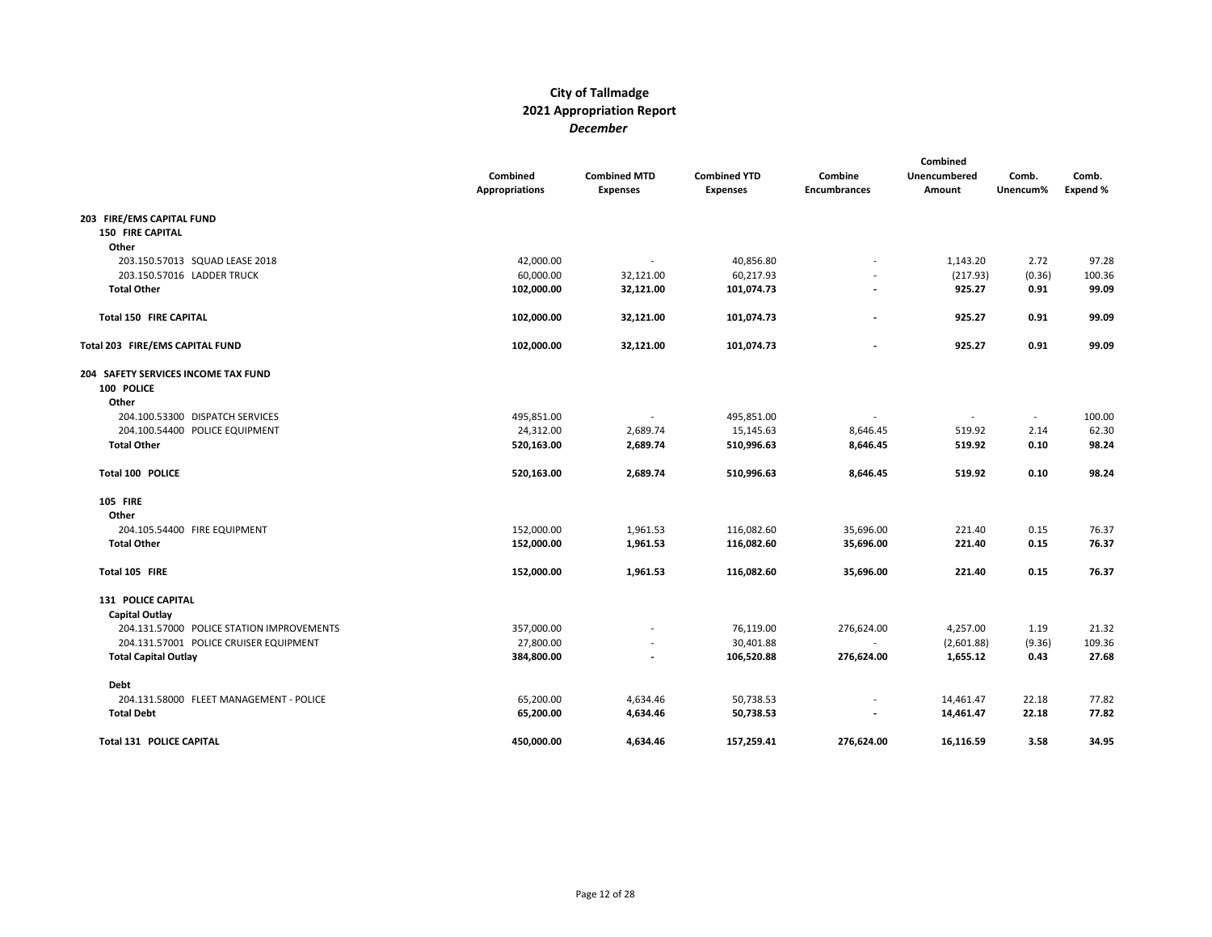|                                           | Combined<br><b>Appropriations</b> | <b>Combined MTD</b><br><b>Expenses</b> | <b>Combined YTD</b><br><b>Expenses</b> | Combine<br><b>Encumbrances</b> | Combined<br>Unencumbered<br>Amount | Comb.<br>Unencum%        | Comb.<br>Expend % |
|-------------------------------------------|-----------------------------------|----------------------------------------|----------------------------------------|--------------------------------|------------------------------------|--------------------------|-------------------|
| 203 FIRE/EMS CAPITAL FUND                 |                                   |                                        |                                        |                                |                                    |                          |                   |
| <b>150 FIRE CAPITAL</b>                   |                                   |                                        |                                        |                                |                                    |                          |                   |
| Other                                     |                                   |                                        |                                        |                                |                                    |                          |                   |
| 203.150.57013 SQUAD LEASE 2018            | 42,000.00                         | $\overline{\phantom{a}}$               | 40,856.80                              |                                | 1,143.20                           | 2.72                     | 97.28             |
| 203.150.57016 LADDER TRUCK                | 60,000.00                         | 32,121.00                              | 60,217.93                              |                                | (217.93)                           | (0.36)                   | 100.36            |
| <b>Total Other</b>                        | 102,000.00                        | 32,121.00                              | 101,074.73                             |                                | 925.27                             | 0.91                     | 99.09             |
| Total 150 FIRE CAPITAL                    | 102,000.00                        | 32,121.00                              | 101,074.73                             | $\overline{a}$                 | 925.27                             | 0.91                     | 99.09             |
| Total 203 FIRE/EMS CAPITAL FUND           | 102,000.00                        | 32,121.00                              | 101,074.73                             |                                | 925.27                             | 0.91                     | 99.09             |
| 204 SAFETY SERVICES INCOME TAX FUND       |                                   |                                        |                                        |                                |                                    |                          |                   |
| 100 POLICE                                |                                   |                                        |                                        |                                |                                    |                          |                   |
| Other                                     |                                   |                                        |                                        |                                |                                    |                          |                   |
| 204.100.53300 DISPATCH SERVICES           | 495,851.00                        |                                        | 495,851.00                             |                                |                                    | $\overline{\phantom{a}}$ | 100.00            |
| 204.100.54400 POLICE EQUIPMENT            | 24,312.00                         | 2,689.74                               | 15,145.63                              | 8,646.45                       | 519.92                             | 2.14                     | 62.30             |
| <b>Total Other</b>                        | 520,163.00                        | 2,689.74                               | 510,996.63                             | 8,646.45                       | 519.92                             | 0.10                     | 98.24             |
| Total 100 POLICE                          | 520,163.00                        | 2,689.74                               | 510,996.63                             | 8,646.45                       | 519.92                             | 0.10                     | 98.24             |
| <b>105 FIRE</b>                           |                                   |                                        |                                        |                                |                                    |                          |                   |
| Other                                     |                                   |                                        |                                        |                                |                                    |                          |                   |
| 204.105.54400 FIRE EQUIPMENT              | 152,000.00                        | 1,961.53                               | 116,082.60                             | 35,696.00                      | 221.40                             | 0.15                     | 76.37             |
| <b>Total Other</b>                        | 152,000.00                        | 1,961.53                               | 116,082.60                             | 35,696.00                      | 221.40                             | 0.15                     | 76.37             |
| Total 105 FIRE                            | 152,000.00                        | 1,961.53                               | 116,082.60                             | 35,696.00                      | 221.40                             | 0.15                     | 76.37             |
| 131 POLICE CAPITAL                        |                                   |                                        |                                        |                                |                                    |                          |                   |
| Capital Outlay                            |                                   |                                        |                                        |                                |                                    |                          |                   |
| 204.131.57000 POLICE STATION IMPROVEMENTS | 357,000.00                        |                                        | 76,119.00                              | 276,624.00                     | 4,257.00                           | 1.19                     | 21.32             |
| 204.131.57001 POLICE CRUISER EQUIPMENT    | 27,800.00                         |                                        | 30,401.88                              | $\overline{\phantom{a}}$       | (2,601.88)                         | (9.36)                   | 109.36            |
| <b>Total Capital Outlay</b>               | 384,800.00                        |                                        | 106,520.88                             | 276,624.00                     | 1,655.12                           | 0.43                     | 27.68             |
| Debt                                      |                                   |                                        |                                        |                                |                                    |                          |                   |
| 204.131.58000 FLEET MANAGEMENT - POLICE   | 65,200.00                         | 4,634.46                               | 50,738.53                              | $\overline{a}$                 | 14,461.47                          | 22.18                    | 77.82             |
| <b>Total Debt</b>                         | 65,200.00                         | 4,634.46                               | 50,738.53                              |                                | 14,461.47                          | 22.18                    | 77.82             |
| <b>Total 131 POLICE CAPITAL</b>           | 450,000.00                        | 4,634.46                               | 157,259.41                             | 276,624.00                     | 16,116.59                          | 3.58                     | 34.95             |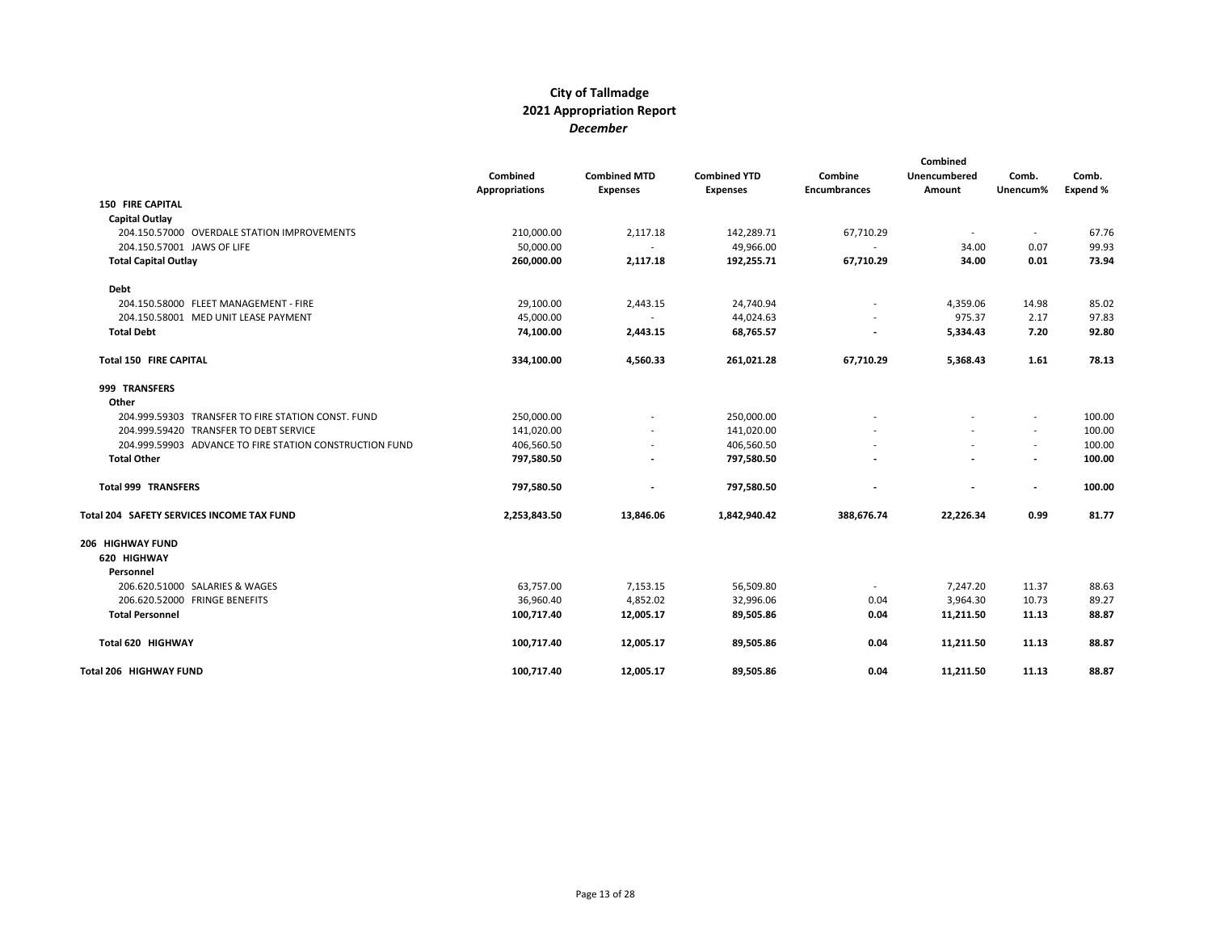|                                                         | Combined<br><b>Appropriations</b> | <b>Combined MTD</b><br><b>Expenses</b> | <b>Combined YTD</b><br><b>Expenses</b> | Combine<br><b>Encumbrances</b> | Combined<br>Unencumbered<br>Amount | Comb.<br>Unencum%        | Comb.<br>Expend % |
|---------------------------------------------------------|-----------------------------------|----------------------------------------|----------------------------------------|--------------------------------|------------------------------------|--------------------------|-------------------|
| <b>150 FIRE CAPITAL</b>                                 |                                   |                                        |                                        |                                |                                    |                          |                   |
| <b>Capital Outlay</b>                                   |                                   |                                        |                                        |                                |                                    |                          |                   |
| 204.150.57000 OVERDALE STATION IMPROVEMENTS             | 210,000.00                        | 2,117.18                               | 142,289.71                             | 67,710.29                      | $\sim$                             | $\sim$                   | 67.76             |
| 204.150.57001 JAWS OF LIFE                              | 50,000.00                         |                                        | 49,966.00                              |                                | 34.00                              | 0.07                     | 99.93             |
| <b>Total Capital Outlay</b>                             | 260,000.00                        | 2,117.18                               | 192,255.71                             | 67,710.29                      | 34.00                              | 0.01                     | 73.94             |
| <b>Debt</b>                                             |                                   |                                        |                                        |                                |                                    |                          |                   |
| 204.150.58000 FLEET MANAGEMENT - FIRE                   | 29,100.00                         | 2,443.15                               | 24,740.94                              | $\overline{a}$                 | 4,359.06                           | 14.98                    | 85.02             |
| 204.150.58001 MED UNIT LEASE PAYMENT                    | 45,000.00                         |                                        | 44,024.63                              |                                | 975.37                             | 2.17                     | 97.83             |
| <b>Total Debt</b>                                       | 74,100.00                         | 2,443.15                               | 68,765.57                              | $\overline{\phantom{0}}$       | 5,334.43                           | 7.20                     | 92.80             |
| <b>Total 150 FIRE CAPITAL</b>                           | 334,100.00                        | 4,560.33                               | 261,021.28                             | 67,710.29                      | 5,368.43                           | 1.61                     | 78.13             |
| 999 TRANSFERS                                           |                                   |                                        |                                        |                                |                                    |                          |                   |
| Other                                                   |                                   |                                        |                                        |                                |                                    |                          |                   |
| 204.999.59303 TRANSFER TO FIRE STATION CONST. FUND      | 250,000.00                        |                                        | 250,000.00                             |                                |                                    | $\overline{\phantom{a}}$ | 100.00            |
| 204.999.59420 TRANSFER TO DEBT SERVICE                  | 141,020.00                        |                                        | 141,020.00                             |                                | $\sim$                             | $\sim$                   | 100.00            |
| 204.999.59903 ADVANCE TO FIRE STATION CONSTRUCTION FUND | 406,560.50                        |                                        | 406,560.50                             |                                | $\sim$                             | $\sim$                   | 100.00            |
| <b>Total Other</b>                                      | 797,580.50                        |                                        | 797,580.50                             |                                | $\overline{a}$                     | $\overline{\phantom{a}}$ | 100.00            |
| <b>Total 999 TRANSFERS</b>                              | 797,580.50                        |                                        | 797,580.50                             |                                | $\blacksquare$                     | $\overline{\phantom{a}}$ | 100.00            |
| Total 204 SAFETY SERVICES INCOME TAX FUND               | 2,253,843.50                      | 13,846.06                              | 1,842,940.42                           | 388,676.74                     | 22,226.34                          | 0.99                     | 81.77             |
| 206 HIGHWAY FUND                                        |                                   |                                        |                                        |                                |                                    |                          |                   |
| 620 HIGHWAY<br>Personnel                                |                                   |                                        |                                        |                                |                                    |                          |                   |
| 206.620.51000 SALARIES & WAGES                          | 63,757.00                         | 7,153.15                               | 56,509.80                              | $\overline{\phantom{a}}$       | 7,247.20                           | 11.37                    | 88.63             |
| 206.620.52000 FRINGE BENEFITS                           | 36,960.40                         | 4,852.02                               | 32,996.06                              | 0.04                           | 3,964.30                           | 10.73                    | 89.27             |
| <b>Total Personnel</b>                                  | 100,717.40                        | 12,005.17                              | 89,505.86                              | 0.04                           | 11,211.50                          | 11.13                    | 88.87             |
| Total 620 HIGHWAY                                       | 100,717.40                        | 12,005.17                              | 89,505.86                              | 0.04                           | 11,211.50                          | 11.13                    | 88.87             |
| Total 206 HIGHWAY FUND                                  | 100,717.40                        | 12,005.17                              | 89,505.86                              | 0.04                           | 11,211.50                          | 11.13                    | 88.87             |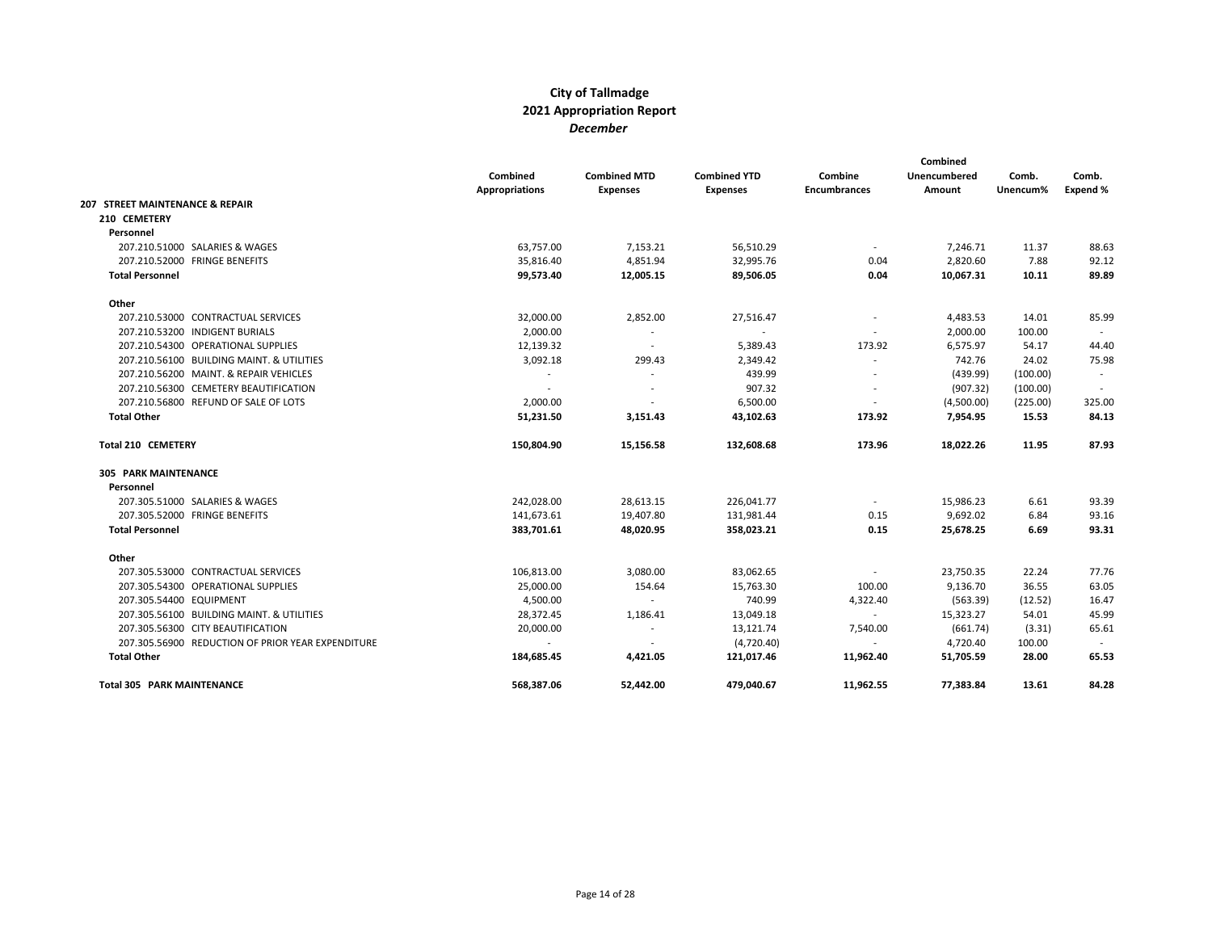|                                                   |                       |                          |                     | Combined            |              |          |          |
|---------------------------------------------------|-----------------------|--------------------------|---------------------|---------------------|--------------|----------|----------|
|                                                   | <b>Combined</b>       | <b>Combined MTD</b>      | <b>Combined YTD</b> | Combine             | Unencumbered | Comb.    | Comb.    |
|                                                   | <b>Appropriations</b> | <b>Expenses</b>          | <b>Expenses</b>     | <b>Encumbrances</b> | Amount       | Unencum% | Expend % |
| 207 STREET MAINTENANCE & REPAIR                   |                       |                          |                     |                     |              |          |          |
| 210 CEMETERY                                      |                       |                          |                     |                     |              |          |          |
| Personnel                                         |                       |                          |                     |                     |              |          |          |
| 207.210.51000 SALARIES & WAGES                    | 63,757.00             | 7,153.21                 | 56,510.29           | $\sim$              | 7,246.71     | 11.37    | 88.63    |
| 207.210.52000 FRINGE BENEFITS                     | 35,816.40             | 4,851.94                 | 32,995.76           | 0.04                | 2,820.60     | 7.88     | 92.12    |
| <b>Total Personnel</b>                            | 99,573.40             | 12,005.15                | 89,506.05           | 0.04                | 10,067.31    | 10.11    | 89.89    |
| Other                                             |                       |                          |                     |                     |              |          |          |
| 207.210.53000 CONTRACTUAL SERVICES                | 32,000.00             | 2,852.00                 | 27,516.47           |                     | 4,483.53     | 14.01    | 85.99    |
| 207.210.53200 INDIGENT BURIALS                    | 2,000.00              | $\sim$                   | $\sim$              |                     | 2,000.00     | 100.00   | $\sim$   |
| 207.210.54300 OPERATIONAL SUPPLIES                | 12,139.32             | $\sim$                   | 5,389.43            | 173.92              | 6,575.97     | 54.17    | 44.40    |
| 207.210.56100 BUILDING MAINT, & UTILITIES         | 3,092.18              | 299.43                   | 2,349.42            |                     | 742.76       | 24.02    | 75.98    |
| 207.210.56200 MAINT, & REPAIR VEHICLES            |                       | $\overline{\phantom{a}}$ | 439.99              |                     | (439.99)     | (100.00) | $\sim$   |
| 207.210.56300 CEMETERY BEAUTIFICATION             |                       |                          | 907.32              |                     | (907.32)     | (100.00) |          |
| 207.210.56800 REFUND OF SALE OF LOTS              | 2,000.00              | $\overline{\phantom{a}}$ | 6,500.00            |                     | (4,500.00)   | (225.00) | 325.00   |
| <b>Total Other</b>                                | 51,231.50             | 3,151.43                 | 43,102.63           | 173.92              | 7,954.95     | 15.53    | 84.13    |
| Total 210 CEMETERY                                | 150,804.90            | 15,156.58                | 132,608.68          | 173.96              | 18,022.26    | 11.95    | 87.93    |
| <b>305 PARK MAINTENANCE</b>                       |                       |                          |                     |                     |              |          |          |
| Personnel                                         |                       |                          |                     |                     |              |          |          |
| 207.305.51000 SALARIES & WAGES                    | 242,028.00            | 28,613.15                | 226,041.77          | $\sim$              | 15,986.23    | 6.61     | 93.39    |
| 207.305.52000 FRINGE BENEFITS                     | 141,673.61            | 19,407.80                | 131,981.44          | 0.15                | 9,692.02     | 6.84     | 93.16    |
| <b>Total Personnel</b>                            | 383,701.61            | 48,020.95                | 358,023.21          | 0.15                | 25,678.25    | 6.69     | 93.31    |
| Other                                             |                       |                          |                     |                     |              |          |          |
| 207.305.53000 CONTRACTUAL SERVICES                | 106,813.00            | 3,080.00                 | 83,062.65           |                     | 23,750.35    | 22.24    | 77.76    |
| 207.305.54300 OPERATIONAL SUPPLIES                | 25,000.00             | 154.64                   | 15,763.30           | 100.00              | 9,136.70     | 36.55    | 63.05    |
| 207.305.54400 EQUIPMENT                           | 4,500.00              | $\sim$                   | 740.99              | 4,322.40            | (563.39)     | (12.52)  | 16.47    |
| 207.305.56100 BUILDING MAINT. & UTILITIES         | 28,372.45             | 1,186.41                 | 13,049.18           | $\sim$              | 15,323.27    | 54.01    | 45.99    |
| 207.305.56300 CITY BEAUTIFICATION                 | 20,000.00             | $\sim$                   | 13,121.74           | 7,540.00            | (661.74)     | (3.31)   | 65.61    |
| 207.305.56900 REDUCTION OF PRIOR YEAR EXPENDITURE | $\sim$                | $\sim$                   | (4,720.40)          | $\sim$              | 4,720.40     | 100.00   |          |
| <b>Total Other</b>                                | 184,685.45            | 4,421.05                 | 121,017.46          | 11,962.40           | 51,705.59    | 28.00    | 65.53    |
| <b>Total 305 PARK MAINTENANCE</b>                 | 568,387.06            | 52,442.00                | 479,040.67          | 11,962.55           | 77,383.84    | 13.61    | 84.28    |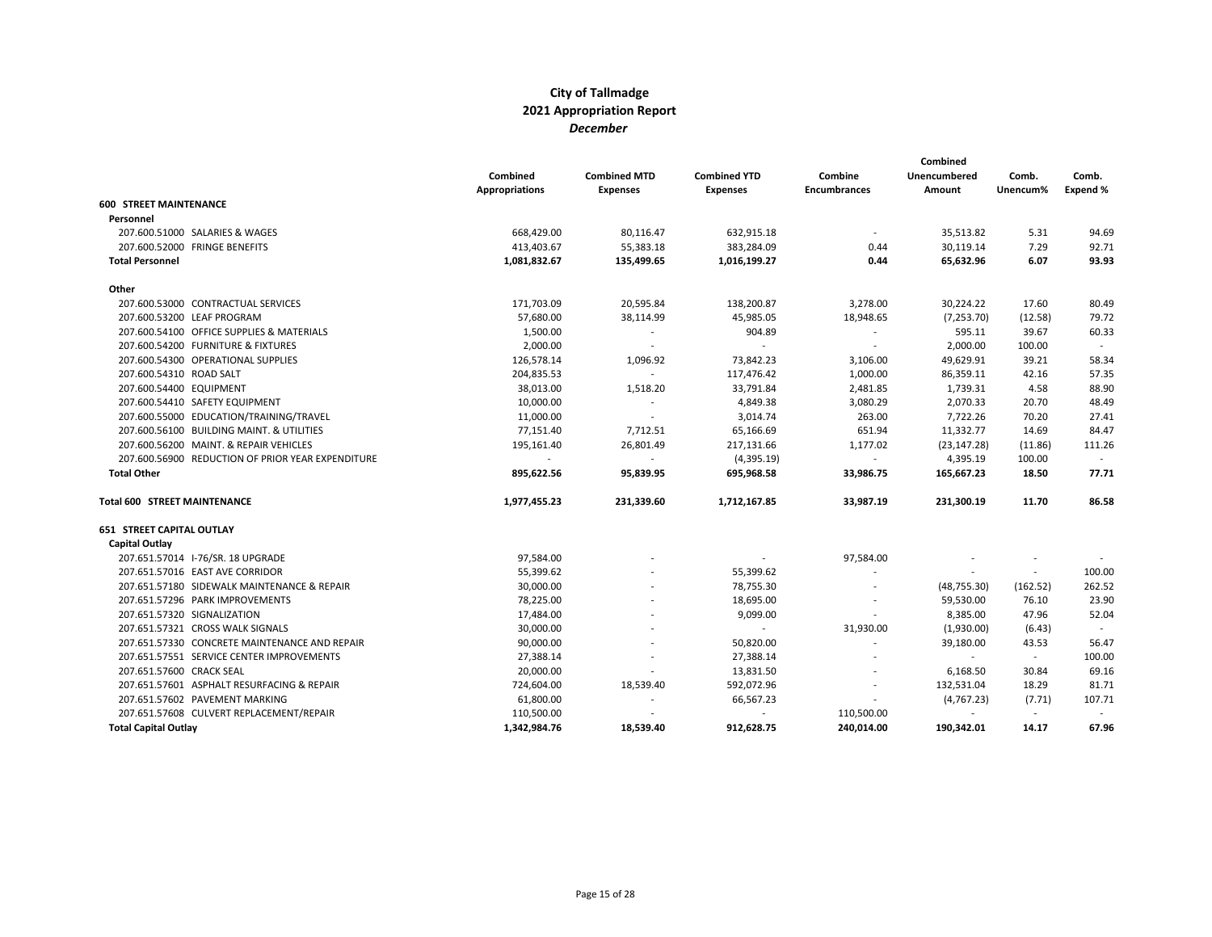|                                                   | Combined<br><b>Appropriations</b> | <b>Combined MTD</b><br><b>Expenses</b> | <b>Combined YTD</b><br><b>Expenses</b> | Combine<br><b>Encumbrances</b> | Combined<br>Unencumbered<br>Amount | Comb.<br>Unencum% | Comb.<br>Expend % |
|---------------------------------------------------|-----------------------------------|----------------------------------------|----------------------------------------|--------------------------------|------------------------------------|-------------------|-------------------|
| <b>600 STREET MAINTENANCE</b>                     |                                   |                                        |                                        |                                |                                    |                   |                   |
| Personnel                                         |                                   |                                        |                                        |                                |                                    |                   |                   |
| 207.600.51000 SALARIES & WAGES                    | 668,429.00                        | 80,116.47                              | 632,915.18                             | $\sim$                         | 35,513.82                          | 5.31              | 94.69             |
| 207.600.52000 FRINGE BENEFITS                     | 413,403.67                        | 55,383.18                              | 383,284.09                             | 0.44                           | 30,119.14                          | 7.29              | 92.71             |
| <b>Total Personnel</b>                            | 1,081,832.67                      | 135,499.65                             | 1,016,199.27                           | 0.44                           | 65,632.96                          | 6.07              | 93.93             |
| Other                                             |                                   |                                        |                                        |                                |                                    |                   |                   |
| 207.600.53000 CONTRACTUAL SERVICES                | 171,703.09                        | 20,595.84                              | 138,200.87                             | 3,278.00                       | 30,224.22                          | 17.60             | 80.49             |
| 207.600.53200 LEAF PROGRAM                        | 57,680.00                         | 38,114.99                              | 45,985.05                              | 18,948.65                      | (7, 253.70)                        | (12.58)           | 79.72             |
| 207.600.54100 OFFICE SUPPLIES & MATERIALS         | 1,500.00                          | $\overline{\phantom{a}}$               | 904.89                                 |                                | 595.11                             | 39.67             | 60.33             |
| 207.600.54200 FURNITURE & FIXTURES                | 2,000.00                          | $\sim$                                 | $\overline{\phantom{a}}$               | $\sim$                         | 2,000.00                           | 100.00            | $\sim$            |
| 207.600.54300 OPERATIONAL SUPPLIES                | 126,578.14                        | 1,096.92                               | 73,842.23                              | 3,106.00                       | 49,629.91                          | 39.21             | 58.34             |
| 207.600.54310 ROAD SALT                           | 204,835.53                        | $\sim$                                 | 117,476.42                             | 1,000.00                       | 86,359.11                          | 42.16             | 57.35             |
| 207.600.54400 EQUIPMENT                           | 38,013.00                         | 1,518.20                               | 33,791.84                              | 2,481.85                       | 1,739.31                           | 4.58              | 88.90             |
| 207.600.54410 SAFETY EQUIPMENT                    | 10,000.00                         | $\sim$                                 | 4,849.38                               | 3,080.29                       | 2,070.33                           | 20.70             | 48.49             |
| 207.600.55000 EDUCATION/TRAINING/TRAVEL           | 11,000.00                         | $\overline{\phantom{a}}$               | 3,014.74                               | 263.00                         | 7,722.26                           | 70.20             | 27.41             |
| 207.600.56100 BUILDING MAINT. & UTILITIES         | 77,151.40                         | 7,712.51                               | 65,166.69                              | 651.94                         | 11,332.77                          | 14.69             | 84.47             |
| 207.600.56200 MAINT. & REPAIR VEHICLES            | 195,161.40                        | 26,801.49                              | 217,131.66                             | 1,177.02                       | (23, 147.28)                       | (11.86)           | 111.26            |
| 207.600.56900 REDUCTION OF PRIOR YEAR EXPENDITURE |                                   | $\sim$                                 | (4,395.19)                             | $\blacksquare$                 | 4,395.19                           | 100.00            | $\sim$            |
| <b>Total Other</b>                                | 895,622.56                        | 95,839.95                              | 695,968.58                             | 33,986.75                      | 165,667.23                         | 18.50             | 77.71             |
| <b>Total 600 STREET MAINTENANCE</b>               | 1,977,455.23                      | 231,339.60                             | 1,712,167.85                           | 33,987.19                      | 231,300.19                         | 11.70             | 86.58             |
| <b>651 STREET CAPITAL OUTLAY</b>                  |                                   |                                        |                                        |                                |                                    |                   |                   |
| Capital Outlay                                    |                                   |                                        |                                        |                                |                                    |                   |                   |
| 207.651.57014 I-76/SR. 18 UPGRADE                 | 97,584.00                         |                                        |                                        | 97,584.00                      |                                    |                   |                   |
| 207.651.57016 EAST AVE CORRIDOR                   | 55,399.62                         |                                        | 55,399.62                              | $\overline{\phantom{a}}$       | $\sim$                             | $\sim$            | 100.00            |
| 207.651.57180 SIDEWALK MAINTENANCE & REPAIR       | 30,000.00                         |                                        | 78,755.30                              | $\overline{\phantom{a}}$       | (48, 755.30)                       | (162.52)          | 262.52            |
| 207.651.57296 PARK IMPROVEMENTS                   | 78,225.00                         |                                        | 18,695.00                              |                                | 59,530.00                          | 76.10             | 23.90             |
| 207.651.57320 SIGNALIZATION                       | 17,484.00                         |                                        | 9,099.00                               | $\overline{\phantom{a}}$       | 8,385.00                           | 47.96             | 52.04             |
| 207.651.57321 CROSS WALK SIGNALS                  | 30,000.00                         |                                        | $\sim$                                 | 31,930.00                      | (1,930.00)                         | (6.43)            |                   |
| 207.651.57330 CONCRETE MAINTENANCE AND REPAIR     | 90,000.00                         |                                        | 50,820.00                              |                                | 39,180.00                          | 43.53             | 56.47             |
| 207.651.57551 SERVICE CENTER IMPROVEMENTS         | 27,388.14                         | $\overline{\phantom{a}}$               | 27,388.14                              | $\overline{\phantom{a}}$       | $\sim$                             | $\sim$            | 100.00            |
| 207.651.57600 CRACK SEAL                          | 20,000.00                         | $\overline{a}$                         | 13,831.50                              |                                | 6,168.50                           | 30.84             | 69.16             |
| 207.651.57601 ASPHALT RESURFACING & REPAIR        | 724,604.00                        | 18,539.40                              | 592,072.96                             |                                | 132,531.04                         | 18.29             | 81.71             |
| 207.651.57602 PAVEMENT MARKING                    | 61,800.00                         | $\overline{a}$                         | 66,567.23                              | $\overline{\phantom{a}}$       | (4,767.23)                         | (7.71)            | 107.71            |
| 207.651.57608 CULVERT REPLACEMENT/REPAIR          | 110,500.00                        |                                        |                                        | 110,500.00                     |                                    | $\sim$            |                   |
| <b>Total Capital Outlay</b>                       | 1.342.984.76                      | 18.539.40                              | 912.628.75                             | 240.014.00                     | 190.342.01                         | 14.17             | 67.96             |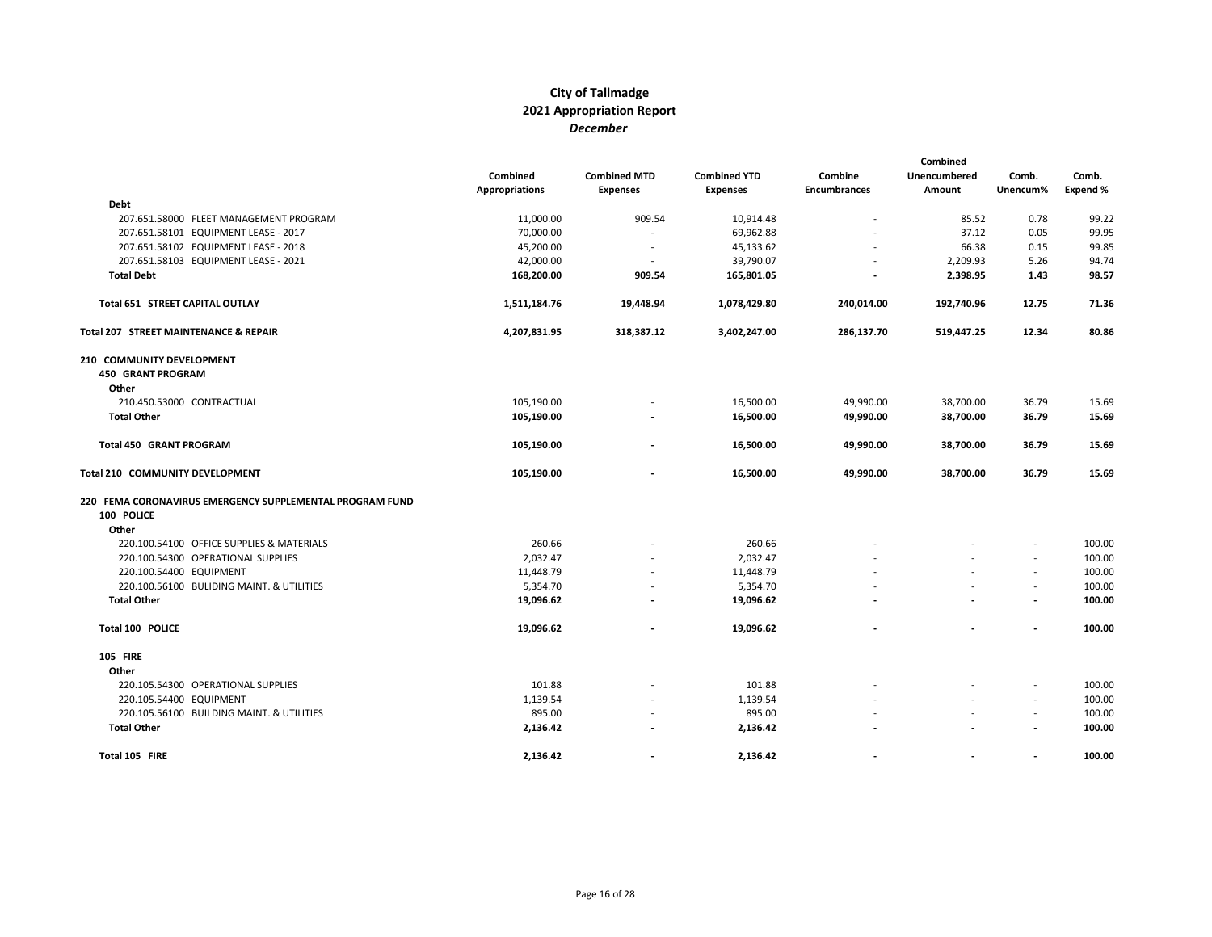|                                                          | Combined              | <b>Combined MTD</b>      | <b>Combined YTD</b> | Combine                  | Combined<br>Unencumbered | Comb.                    | Comb.    |
|----------------------------------------------------------|-----------------------|--------------------------|---------------------|--------------------------|--------------------------|--------------------------|----------|
|                                                          | <b>Appropriations</b> | <b>Expenses</b>          | <b>Expenses</b>     | <b>Encumbrances</b>      | Amount                   | Unencum%                 | Expend % |
| <b>Debt</b>                                              |                       |                          |                     |                          |                          |                          |          |
| 207.651.58000 FLEET MANAGEMENT PROGRAM                   | 11,000.00             | 909.54                   | 10,914.48           |                          | 85.52                    | 0.78                     | 99.22    |
| 207.651.58101 EQUIPMENT LEASE - 2017                     | 70,000.00             | $\overline{\phantom{a}}$ | 69,962.88           |                          | 37.12                    | 0.05                     | 99.95    |
| 207.651.58102 EQUIPMENT LEASE - 2018                     | 45,200.00             | $\overline{\phantom{a}}$ | 45,133.62           |                          | 66.38                    | 0.15                     | 99.85    |
| 207.651.58103 EQUIPMENT LEASE - 2021                     | 42,000.00             | $\overline{\phantom{a}}$ | 39,790.07           | $\overline{\phantom{a}}$ | 2,209.93                 | 5.26                     | 94.74    |
| <b>Total Debt</b>                                        | 168,200.00            | 909.54                   | 165,801.05          |                          | 2,398.95                 | 1.43                     | 98.57    |
| Total 651 STREET CAPITAL OUTLAY                          | 1,511,184.76          | 19,448.94                | 1,078,429.80        | 240,014.00               | 192,740.96               | 12.75                    | 71.36    |
| Total 207 STREET MAINTENANCE & REPAIR                    | 4,207,831.95          | 318,387.12               | 3,402,247.00        | 286,137.70               | 519,447.25               | 12.34                    | 80.86    |
| 210 COMMUNITY DEVELOPMENT                                |                       |                          |                     |                          |                          |                          |          |
| <b>450 GRANT PROGRAM</b>                                 |                       |                          |                     |                          |                          |                          |          |
| Other                                                    |                       |                          |                     |                          |                          |                          |          |
| 210.450.53000 CONTRACTUAL                                | 105,190.00            |                          | 16,500.00           | 49,990.00                | 38,700.00                | 36.79                    | 15.69    |
| <b>Total Other</b>                                       | 105,190.00            |                          | 16,500.00           | 49,990.00                | 38,700.00                | 36.79                    | 15.69    |
| Total 450 GRANT PROGRAM                                  | 105,190.00            |                          | 16,500.00           | 49,990.00                | 38,700.00                | 36.79                    | 15.69    |
| Total 210 COMMUNITY DEVELOPMENT                          | 105,190.00            |                          | 16,500.00           | 49,990.00                | 38,700.00                | 36.79                    | 15.69    |
| 220 FEMA CORONAVIRUS EMERGENCY SUPPLEMENTAL PROGRAM FUND |                       |                          |                     |                          |                          |                          |          |
| 100 POLICE                                               |                       |                          |                     |                          |                          |                          |          |
| Other                                                    |                       |                          |                     |                          |                          |                          |          |
| 220.100.54100 OFFICE SUPPLIES & MATERIALS                | 260.66                |                          | 260.66              |                          |                          |                          | 100.00   |
| 220.100.54300 OPERATIONAL SUPPLIES                       | 2,032.47              |                          | 2,032.47            |                          |                          | $\overline{\phantom{a}}$ | 100.00   |
| 220.100.54400 EQUIPMENT                                  | 11,448.79             |                          | 11,448.79           |                          |                          | $\overline{\phantom{a}}$ | 100.00   |
| 220.100.56100 BULIDING MAINT. & UTILITIES                | 5,354.70              |                          | 5,354.70            |                          |                          |                          | 100.00   |
| <b>Total Other</b>                                       | 19,096.62             |                          | 19,096.62           |                          |                          | $\overline{\phantom{a}}$ | 100.00   |
| Total 100 POLICE                                         | 19,096.62             |                          | 19,096.62           |                          |                          | $\overline{\phantom{a}}$ | 100.00   |
| <b>105 FIRE</b>                                          |                       |                          |                     |                          |                          |                          |          |
| Other                                                    |                       |                          |                     |                          |                          |                          |          |
| 220.105.54300 OPERATIONAL SUPPLIES                       | 101.88                |                          | 101.88              |                          |                          |                          | 100.00   |
| 220.105.54400 EQUIPMENT                                  | 1,139.54              |                          | 1,139.54            |                          |                          | $\overline{\phantom{a}}$ | 100.00   |
| 220.105.56100 BUILDING MAINT. & UTILITIES                | 895.00                |                          | 895.00              |                          |                          | $\overline{\phantom{a}}$ | 100.00   |
| <b>Total Other</b>                                       | 2,136.42              |                          | 2,136.42            |                          |                          | $\blacksquare$           | 100.00   |
| Total 105 FIRE                                           | 2,136.42              |                          | 2,136.42            |                          |                          | $\overline{\phantom{a}}$ | 100.00   |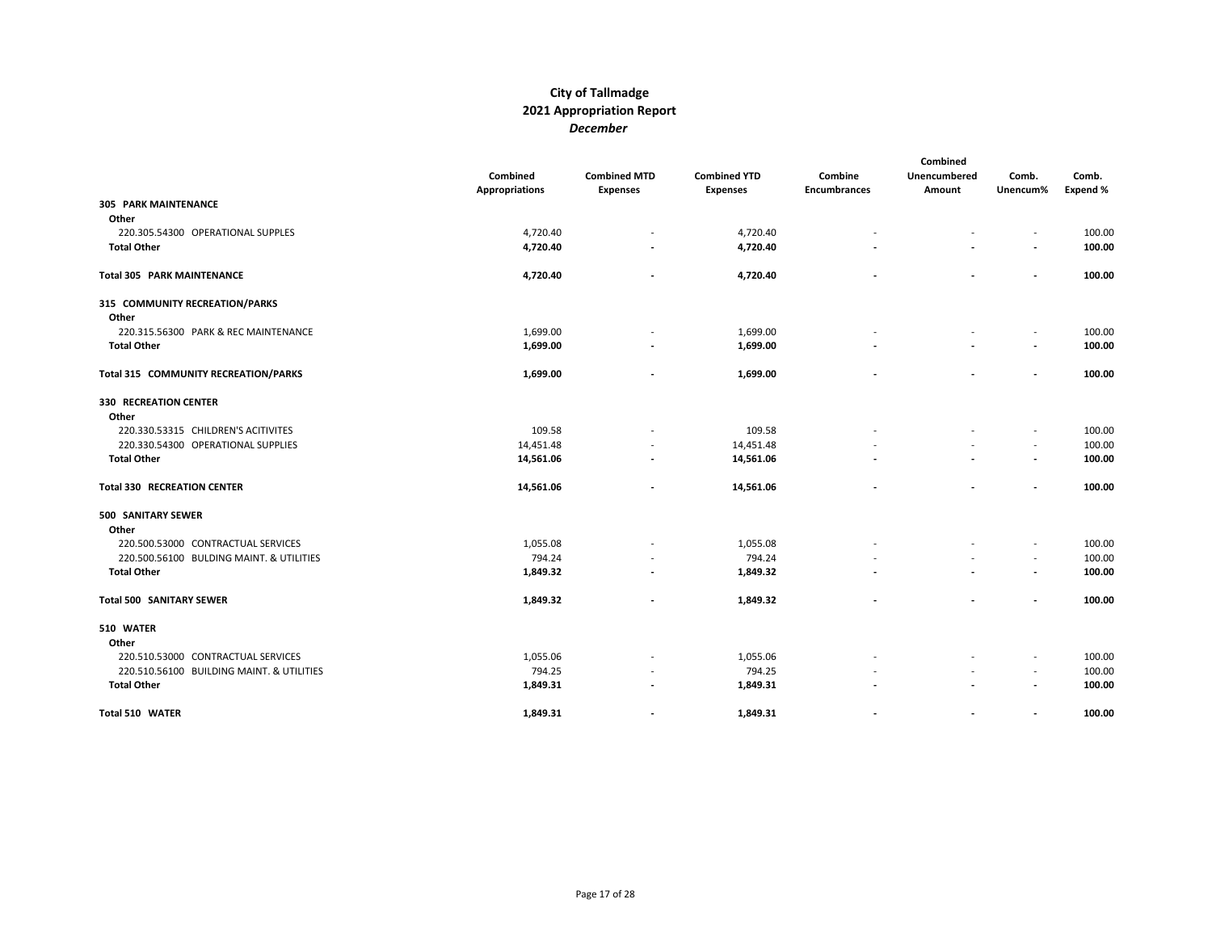|                                           | Combined              | <b>Combined MTD</b>      | <b>Combined YTD</b> | Combine                  | Combined<br>Unencumbered | Comb.                    | Comb.    |
|-------------------------------------------|-----------------------|--------------------------|---------------------|--------------------------|--------------------------|--------------------------|----------|
|                                           | <b>Appropriations</b> | <b>Expenses</b>          | <b>Expenses</b>     | <b>Encumbrances</b>      | Amount                   | Unencum%                 | Expend % |
| <b>305 PARK MAINTENANCE</b>               |                       |                          |                     |                          |                          |                          |          |
| Other                                     |                       |                          |                     |                          |                          |                          |          |
| 220.305.54300 OPERATIONAL SUPPLES         | 4,720.40              | $\overline{\phantom{a}}$ | 4,720.40            |                          |                          |                          | 100.00   |
| <b>Total Other</b>                        | 4,720.40              | $\overline{a}$           | 4,720.40            |                          |                          | $\overline{\phantom{a}}$ | 100.00   |
| <b>Total 305 PARK MAINTENANCE</b>         | 4,720.40              |                          | 4,720.40            |                          |                          | $\overline{\phantom{a}}$ | 100.00   |
| 315 COMMUNITY RECREATION/PARKS            |                       |                          |                     |                          |                          |                          |          |
| Other                                     |                       |                          |                     |                          |                          |                          |          |
| 220.315.56300 PARK & REC MAINTENANCE      | 1,699.00              | $\overline{\phantom{a}}$ | 1,699.00            |                          |                          |                          | 100.00   |
| <b>Total Other</b>                        | 1,699.00              | $\overline{\phantom{a}}$ | 1,699.00            |                          |                          |                          | 100.00   |
| Total 315 COMMUNITY RECREATION/PARKS      | 1,699.00              |                          | 1,699.00            |                          |                          | $\overline{\phantom{a}}$ | 100.00   |
| <b>330 RECREATION CENTER</b>              |                       |                          |                     |                          |                          |                          |          |
| Other                                     |                       |                          |                     |                          |                          |                          |          |
| 220.330.53315 CHILDREN'S ACITIVITES       | 109.58                |                          | 109.58              |                          |                          | $\overline{\phantom{a}}$ | 100.00   |
| 220.330.54300 OPERATIONAL SUPPLIES        | 14,451.48             |                          | 14,451.48           |                          |                          | $\sim$                   | 100.00   |
| <b>Total Other</b>                        | 14,561.06             | $\overline{\phantom{a}}$ | 14,561.06           |                          |                          | $\overline{\phantom{a}}$ | 100.00   |
| <b>Total 330 RECREATION CENTER</b>        | 14,561.06             |                          | 14,561.06           |                          |                          |                          | 100.00   |
| 500 SANITARY SEWER                        |                       |                          |                     |                          |                          |                          |          |
| Other                                     |                       |                          |                     |                          |                          |                          |          |
| 220.500.53000 CONTRACTUAL SERVICES        | 1,055.08              |                          | 1,055.08            |                          |                          |                          | 100.00   |
| 220.500.56100 BULDING MAINT. & UTILITIES  | 794.24                | $\overline{\phantom{a}}$ | 794.24              |                          |                          | $\overline{\phantom{a}}$ | 100.00   |
| <b>Total Other</b>                        | 1,849.32              | $\overline{\phantom{a}}$ | 1,849.32            |                          |                          | $\overline{\phantom{a}}$ | 100.00   |
| Total 500 SANITARY SEWER                  | 1,849.32              |                          | 1,849.32            |                          |                          |                          | 100.00   |
| 510 WATER                                 |                       |                          |                     |                          |                          |                          |          |
| Other                                     |                       |                          |                     |                          |                          |                          |          |
| 220.510.53000 CONTRACTUAL SERVICES        | 1,055.06              | $\overline{\phantom{a}}$ | 1,055.06            |                          |                          |                          | 100.00   |
| 220.510.56100 BUILDING MAINT. & UTILITIES | 794.25                |                          | 794.25              |                          |                          | $\sim$                   | 100.00   |
| <b>Total Other</b>                        | 1,849.31              |                          | 1,849.31            |                          |                          |                          | 100.00   |
| Total 510 WATER                           | 1,849.31              | $\blacksquare$           | 1,849.31            | $\overline{\phantom{a}}$ |                          | $\overline{\phantom{a}}$ | 100.00   |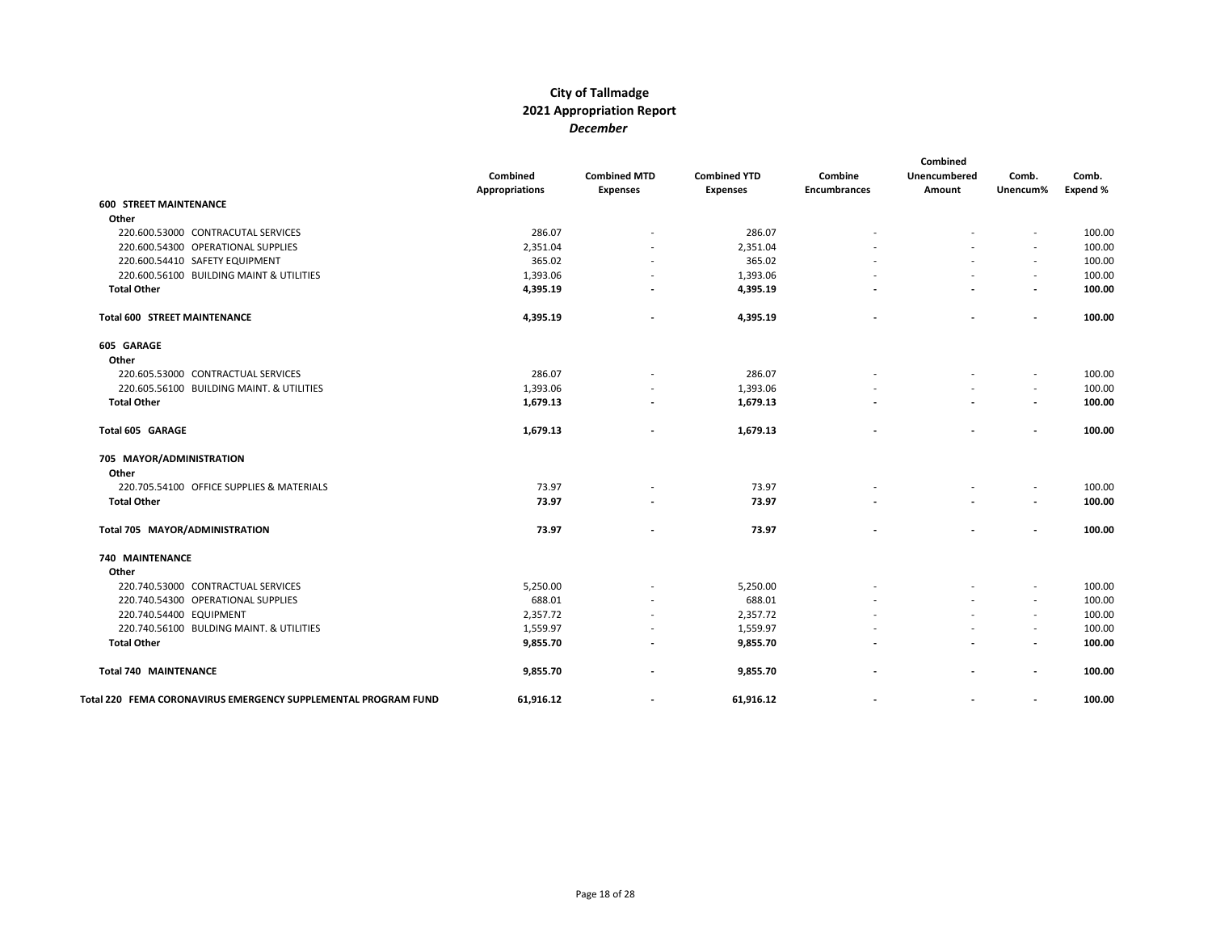|                                                                | Combined<br><b>Appropriations</b> | <b>Combined MTD</b><br><b>Expenses</b> | <b>Combined YTD</b><br><b>Expenses</b> | Combine<br><b>Encumbrances</b> | Combined<br><b>Unencumbered</b><br>Amount | Comb.<br>Unencum%        | Comb.<br>Expend % |
|----------------------------------------------------------------|-----------------------------------|----------------------------------------|----------------------------------------|--------------------------------|-------------------------------------------|--------------------------|-------------------|
| <b>600 STREET MAINTENANCE</b>                                  |                                   |                                        |                                        |                                |                                           |                          |                   |
| Other                                                          |                                   |                                        |                                        |                                |                                           |                          |                   |
| 220.600.53000 CONTRACUTAL SERVICES                             | 286.07                            |                                        | 286.07                                 |                                |                                           |                          | 100.00            |
| 220.600.54300 OPERATIONAL SUPPLIES                             | 2,351.04                          |                                        | 2,351.04                               |                                |                                           |                          | 100.00            |
| 220.600.54410 SAFETY EQUIPMENT                                 | 365.02                            |                                        | 365.02                                 |                                |                                           | $\overline{\phantom{a}}$ | 100.00            |
| 220.600.56100 BUILDING MAINT & UTILITIES                       | 1,393.06                          |                                        | 1,393.06                               |                                |                                           | $\overline{\phantom{a}}$ | 100.00            |
| <b>Total Other</b>                                             | 4,395.19                          |                                        | 4,395.19                               |                                |                                           | $\overline{\phantom{a}}$ | 100.00            |
| <b>Total 600 STREET MAINTENANCE</b>                            | 4,395.19                          |                                        | 4,395.19                               |                                | $\overline{\phantom{a}}$                  | $\overline{\phantom{a}}$ | 100.00            |
| 605 GARAGE                                                     |                                   |                                        |                                        |                                |                                           |                          |                   |
| Other                                                          |                                   |                                        |                                        |                                |                                           |                          |                   |
| 220.605.53000 CONTRACTUAL SERVICES                             | 286.07                            |                                        | 286.07                                 |                                |                                           |                          | 100.00            |
| 220.605.56100 BUILDING MAINT. & UTILITIES                      | 1,393.06                          |                                        | 1,393.06                               |                                |                                           | $\overline{\phantom{a}}$ | 100.00            |
| <b>Total Other</b>                                             | 1,679.13                          |                                        | 1,679.13                               |                                |                                           | $\overline{\phantom{a}}$ | 100.00            |
| Total 605 GARAGE                                               | 1,679.13                          |                                        | 1,679.13                               |                                |                                           | $\overline{\phantom{a}}$ | 100.00            |
| 705 MAYOR/ADMINISTRATION                                       |                                   |                                        |                                        |                                |                                           |                          |                   |
| Other                                                          |                                   |                                        |                                        |                                |                                           |                          |                   |
| 220.705.54100 OFFICE SUPPLIES & MATERIALS                      | 73.97                             |                                        | 73.97                                  |                                |                                           | $\overline{\phantom{a}}$ | 100.00            |
| <b>Total Other</b>                                             | 73.97                             |                                        | 73.97                                  |                                |                                           | $\overline{\phantom{a}}$ | 100.00            |
| Total 705 MAYOR/ADMINISTRATION                                 | 73.97                             |                                        | 73.97                                  |                                |                                           | $\overline{\phantom{a}}$ | 100.00            |
| 740 MAINTENANCE                                                |                                   |                                        |                                        |                                |                                           |                          |                   |
| Other                                                          |                                   |                                        |                                        |                                |                                           |                          |                   |
| 220.740.53000 CONTRACTUAL SERVICES                             | 5,250.00                          |                                        | 5,250.00                               |                                |                                           |                          | 100.00            |
| 220.740.54300 OPERATIONAL SUPPLIES                             | 688.01                            |                                        | 688.01                                 |                                |                                           | $\overline{\phantom{a}}$ | 100.00            |
| 220.740.54400 EQUIPMENT                                        | 2,357.72                          | $\overline{\phantom{a}}$               | 2,357.72                               |                                |                                           | $\overline{\phantom{a}}$ | 100.00            |
| 220.740.56100 BULDING MAINT. & UTILITIES                       | 1,559.97                          | $\overline{\phantom{a}}$               | 1,559.97                               |                                |                                           | $\overline{\phantom{a}}$ | 100.00            |
| <b>Total Other</b>                                             | 9,855.70                          |                                        | 9,855.70                               |                                |                                           | $\overline{\phantom{a}}$ | 100.00            |
| <b>Total 740 MAINTENANCE</b>                                   | 9,855.70                          |                                        | 9,855.70                               |                                |                                           | $\overline{\phantom{a}}$ | 100.00            |
| Total 220 FEMA CORONAVIRUS EMERGENCY SUPPLEMENTAL PROGRAM FUND | 61,916.12                         | $\overline{\phantom{a}}$               | 61,916.12                              | $\overline{a}$                 | $\blacksquare$                            | $\overline{\phantom{a}}$ | 100.00            |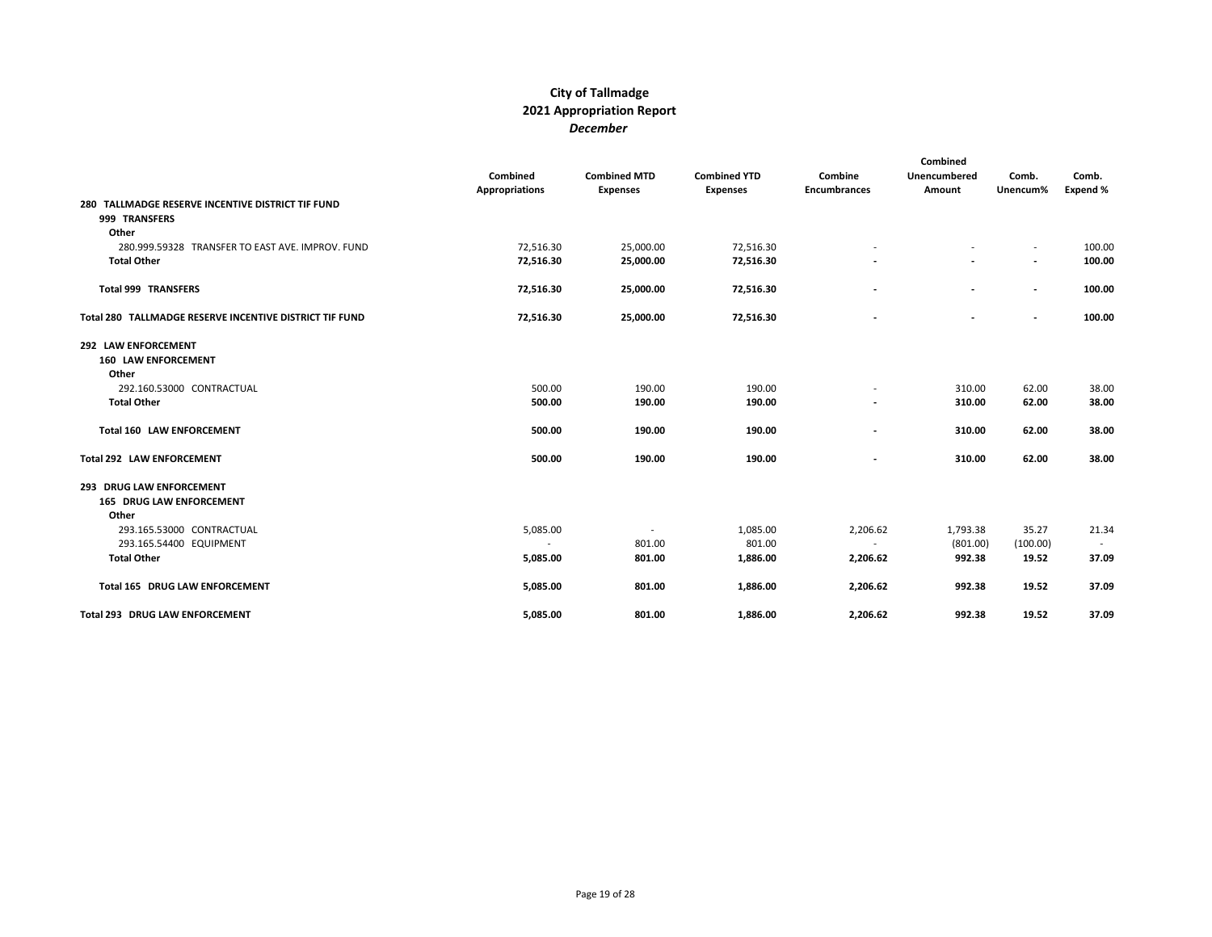|                                                                    | Combined<br><b>Appropriations</b> | <b>Combined MTD</b><br><b>Expenses</b> | <b>Combined YTD</b><br><b>Expenses</b> | Combine<br><b>Encumbrances</b> | Combined<br>Unencumbered<br>Amount | Comb.<br>Unencum%        | Comb.<br>Expend % |
|--------------------------------------------------------------------|-----------------------------------|----------------------------------------|----------------------------------------|--------------------------------|------------------------------------|--------------------------|-------------------|
| 280 TALLMADGE RESERVE INCENTIVE DISTRICT TIF FUND<br>999 TRANSFERS |                                   |                                        |                                        |                                |                                    |                          |                   |
| Other                                                              |                                   |                                        |                                        |                                |                                    |                          |                   |
| 280.999.59328 TRANSFER TO EAST AVE. IMPROV. FUND                   | 72,516.30                         | 25,000.00                              | 72,516.30                              |                                |                                    | $\sim$                   | 100.00            |
| <b>Total Other</b>                                                 | 72,516.30                         | 25,000.00                              | 72,516.30                              |                                |                                    | $\overline{\phantom{a}}$ | 100.00            |
| <b>Total 999 TRANSFERS</b>                                         | 72,516.30                         | 25,000.00                              | 72,516.30                              |                                |                                    | $\overline{\phantom{a}}$ | 100.00            |
| Total 280 TALLMADGE RESERVE INCENTIVE DISTRICT TIF FUND            | 72,516.30                         | 25,000.00                              | 72,516.30                              |                                | $\overline{\phantom{a}}$           | $\overline{\phantom{a}}$ | 100.00            |
| 292 LAW ENFORCEMENT<br><b>160 LAW ENFORCEMENT</b><br>Other         |                                   |                                        |                                        |                                |                                    |                          |                   |
| 292.160.53000 CONTRACTUAL                                          | 500.00                            | 190.00                                 | 190.00                                 |                                | 310.00                             | 62.00                    | 38.00             |
| <b>Total Other</b>                                                 | 500.00                            | 190.00                                 | 190.00                                 |                                | 310.00                             | 62.00                    | 38.00             |
|                                                                    |                                   |                                        |                                        |                                |                                    |                          |                   |
| <b>Total 160 LAW ENFORCEMENT</b>                                   | 500.00                            | 190.00                                 | 190.00                                 |                                | 310.00                             | 62.00                    | 38.00             |
| Total 292 LAW ENFORCEMENT                                          | 500.00                            | 190.00                                 | 190.00                                 |                                | 310.00                             | 62.00                    | 38.00             |
| 293 DRUG LAW ENFORCEMENT<br><b>165 DRUG LAW ENFORCEMENT</b>        |                                   |                                        |                                        |                                |                                    |                          |                   |
| Other                                                              |                                   |                                        |                                        |                                |                                    |                          |                   |
| 293.165.53000 CONTRACTUAL                                          | 5,085.00                          | $\sim$                                 | 1,085.00                               | 2,206.62                       | 1,793.38                           | 35.27                    | 21.34             |
| 293.165.54400 EQUIPMENT                                            | $\sim$                            | 801.00                                 | 801.00                                 | $\sim$                         | (801.00)                           | (100.00)                 |                   |
| <b>Total Other</b>                                                 | 5,085.00                          | 801.00                                 | 1,886.00                               | 2,206.62                       | 992.38                             | 19.52                    | 37.09             |
| Total 165 DRUG LAW ENFORCEMENT                                     | 5,085.00                          | 801.00                                 | 1,886.00                               | 2,206.62                       | 992.38                             | 19.52                    | 37.09             |
| <b>Total 293 DRUG LAW ENFORCEMENT</b>                              | 5,085.00                          | 801.00                                 | 1.886.00                               | 2,206.62                       | 992.38                             | 19.52                    | 37.09             |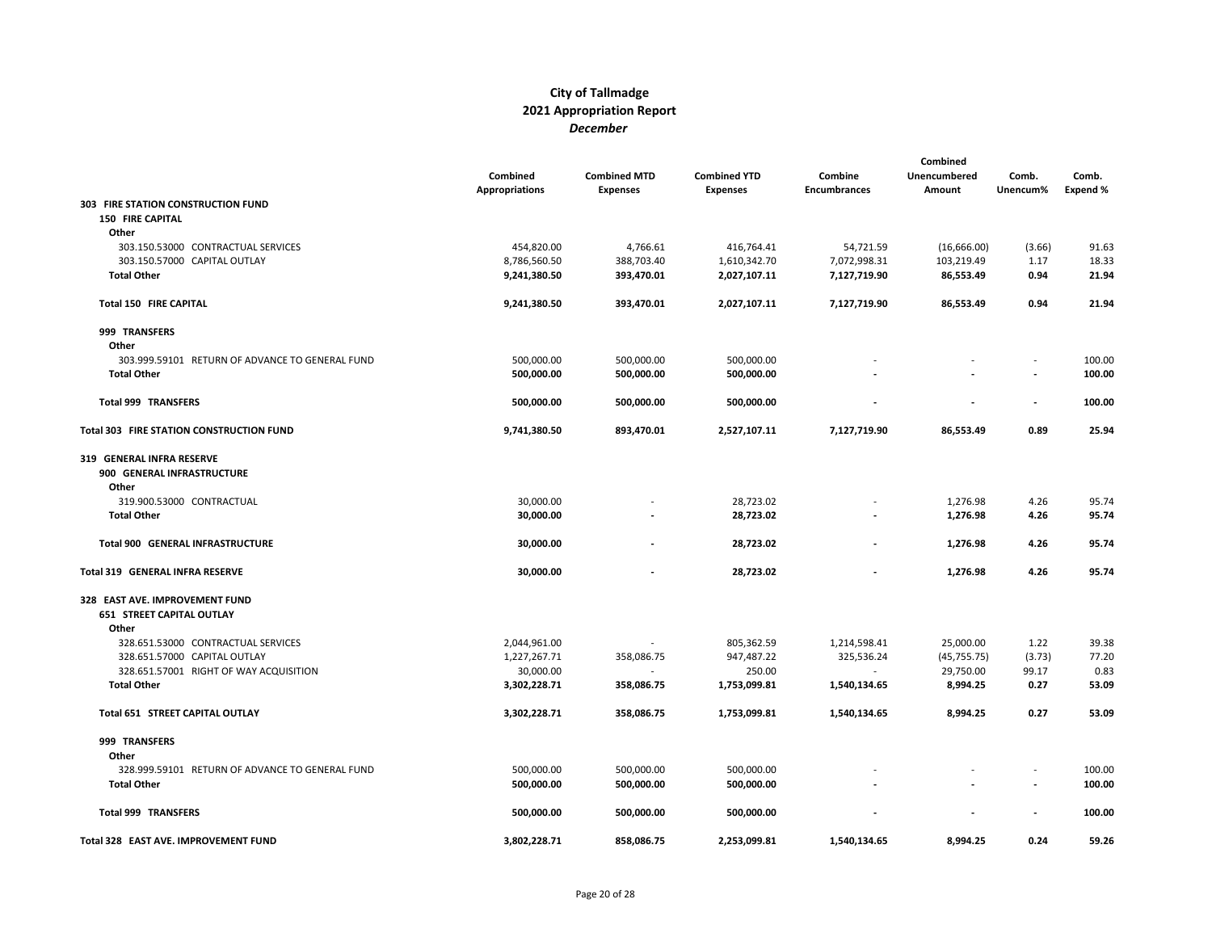|                                                 | Combined<br><b>Appropriations</b> | <b>Combined MTD</b><br><b>Expenses</b> | <b>Combined YTD</b><br><b>Expenses</b> | Combine<br><b>Encumbrances</b> | Combined<br>Unencumbered<br>Amount | Comb.<br>Unencum% | Comb.<br><b>Expend %</b> |
|-------------------------------------------------|-----------------------------------|----------------------------------------|----------------------------------------|--------------------------------|------------------------------------|-------------------|--------------------------|
| 303 FIRE STATION CONSTRUCTION FUND              |                                   |                                        |                                        |                                |                                    |                   |                          |
| <b>150 FIRE CAPITAL</b>                         |                                   |                                        |                                        |                                |                                    |                   |                          |
| Other                                           |                                   |                                        |                                        |                                |                                    |                   |                          |
| 303.150.53000 CONTRACTUAL SERVICES              | 454,820.00                        | 4,766.61                               | 416,764.41                             | 54,721.59                      | (16,666.00)                        | (3.66)            | 91.63                    |
| 303.150.57000 CAPITAL OUTLAY                    | 8,786,560.50                      | 388,703.40                             | 1,610,342.70                           | 7,072,998.31                   | 103,219.49                         | 1.17              | 18.33                    |
| <b>Total Other</b>                              | 9,241,380.50                      | 393,470.01                             | 2,027,107.11                           | 7,127,719.90                   | 86,553.49                          | 0.94              | 21.94                    |
| Total 150 FIRE CAPITAL                          | 9,241,380.50                      | 393,470.01                             | 2,027,107.11                           | 7,127,719.90                   | 86,553.49                          | 0.94              | 21.94                    |
| 999 TRANSFERS                                   |                                   |                                        |                                        |                                |                                    |                   |                          |
| Other                                           |                                   |                                        |                                        |                                |                                    |                   |                          |
| 303.999.59101 RETURN OF ADVANCE TO GENERAL FUND | 500,000.00                        | 500,000.00                             | 500,000.00                             |                                |                                    |                   | 100.00                   |
| <b>Total Other</b>                              | 500,000.00                        | 500,000.00                             | 500,000.00                             |                                |                                    |                   | 100.00                   |
| <b>Total 999 TRANSFERS</b>                      | 500,000.00                        | 500,000.00                             | 500,000.00                             |                                |                                    | $\overline{a}$    | 100.00                   |
| Total 303 FIRE STATION CONSTRUCTION FUND        | 9,741,380.50                      | 893,470.01                             | 2,527,107.11                           | 7,127,719.90                   | 86,553.49                          | 0.89              | 25.94                    |
| 319 GENERAL INFRA RESERVE                       |                                   |                                        |                                        |                                |                                    |                   |                          |
| 900 GENERAL INFRASTRUCTURE                      |                                   |                                        |                                        |                                |                                    |                   |                          |
| Other                                           |                                   |                                        |                                        |                                |                                    |                   |                          |
| 319.900.53000 CONTRACTUAL                       | 30,000.00                         |                                        | 28,723.02                              |                                | 1,276.98                           | 4.26              | 95.74                    |
| <b>Total Other</b>                              | 30,000.00                         |                                        | 28,723.02                              |                                | 1,276.98                           | 4.26              | 95.74                    |
| Total 900 GENERAL INFRASTRUCTURE                | 30,000.00                         |                                        | 28,723.02                              |                                | 1,276.98                           | 4.26              | 95.74                    |
| Total 319 GENERAL INFRA RESERVE                 | 30,000.00                         |                                        | 28,723.02                              |                                | 1,276.98                           | 4.26              | 95.74                    |
| 328 EAST AVE. IMPROVEMENT FUND                  |                                   |                                        |                                        |                                |                                    |                   |                          |
| <b>651 STREET CAPITAL OUTLAY</b>                |                                   |                                        |                                        |                                |                                    |                   |                          |
| Other                                           |                                   |                                        |                                        |                                |                                    |                   |                          |
| 328.651.53000 CONTRACTUAL SERVICES              | 2,044,961.00                      | $\overline{a}$                         | 805,362.59                             | 1,214,598.41                   | 25,000.00                          | 1.22              | 39.38                    |
| 328.651.57000 CAPITAL OUTLAY                    | 1,227,267.71                      | 358,086.75                             | 947,487.22                             | 325,536.24                     | (45, 755.75)                       | (3.73)            | 77.20                    |
| 328.651.57001 RIGHT OF WAY ACQUISITION          | 30,000.00                         |                                        | 250.00                                 |                                | 29,750.00                          | 99.17             | 0.83                     |
| <b>Total Other</b>                              | 3,302,228.71                      | 358,086.75                             | 1,753,099.81                           | 1,540,134.65                   | 8,994.25                           | 0.27              | 53.09                    |
| Total 651 STREET CAPITAL OUTLAY                 | 3,302,228.71                      | 358,086.75                             | 1,753,099.81                           | 1,540,134.65                   | 8,994.25                           | 0.27              | 53.09                    |
| 999 TRANSFERS                                   |                                   |                                        |                                        |                                |                                    |                   |                          |
| Other                                           |                                   |                                        |                                        |                                |                                    |                   |                          |
| 328.999.59101 RETURN OF ADVANCE TO GENERAL FUND | 500,000.00                        | 500,000.00                             | 500,000.00                             |                                |                                    |                   | 100.00                   |
| <b>Total Other</b>                              | 500,000.00                        | 500,000.00                             | 500,000.00                             |                                |                                    |                   | 100.00                   |
| <b>Total 999 TRANSFERS</b>                      | 500,000.00                        | 500,000.00                             | 500,000.00                             |                                |                                    |                   | 100.00                   |
| Total 328 EAST AVE. IMPROVEMENT FUND            | 3,802,228.71                      | 858.086.75                             | 2.253.099.81                           | 1,540,134.65                   | 8.994.25                           | 0.24              | 59.26                    |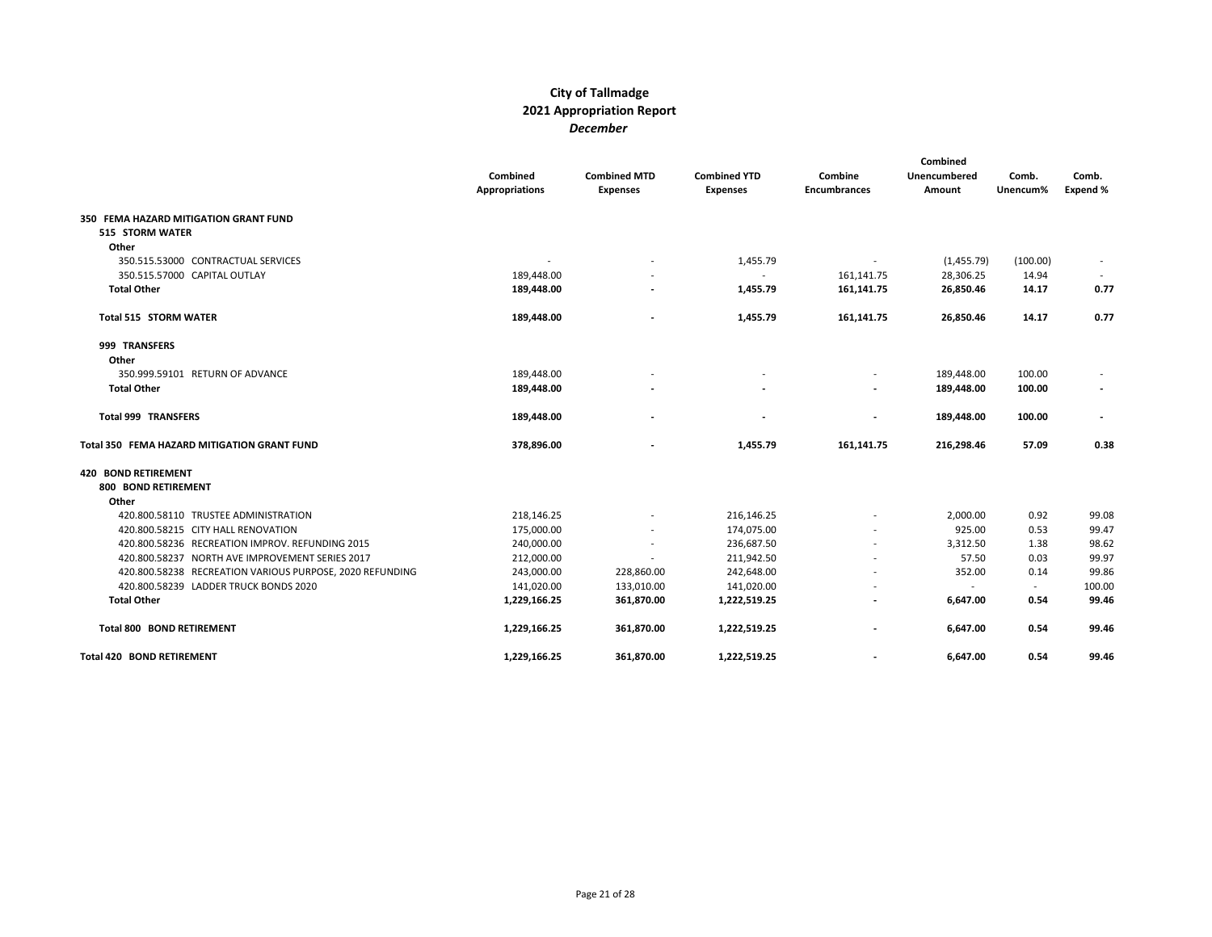|                                                          |                       |                          |                     |                     | Combined     |          |          |
|----------------------------------------------------------|-----------------------|--------------------------|---------------------|---------------------|--------------|----------|----------|
|                                                          | Combined              | <b>Combined MTD</b>      | <b>Combined YTD</b> | Combine             | Unencumbered | Comb.    | Comb.    |
|                                                          | <b>Appropriations</b> | <b>Expenses</b>          | <b>Expenses</b>     | <b>Encumbrances</b> | Amount       | Unencum% | Expend % |
| 350 FEMA HAZARD MITIGATION GRANT FUND                    |                       |                          |                     |                     |              |          |          |
| 515 STORM WATER                                          |                       |                          |                     |                     |              |          |          |
| Other                                                    |                       |                          |                     |                     |              |          |          |
| 350.515.53000 CONTRACTUAL SERVICES                       |                       |                          | 1,455.79            |                     | (1,455.79)   | (100.00) |          |
| 350.515.57000 CAPITAL OUTLAY                             | 189,448.00            |                          |                     | 161,141.75          | 28,306.25    | 14.94    |          |
| <b>Total Other</b>                                       | 189,448.00            | $\overline{\phantom{a}}$ | 1,455.79            | 161,141.75          | 26,850.46    | 14.17    | 0.77     |
| <b>Total 515 STORM WATER</b>                             | 189,448.00            |                          | 1,455.79            | 161,141.75          | 26,850.46    | 14.17    | 0.77     |
| 999 TRANSFERS                                            |                       |                          |                     |                     |              |          |          |
| Other                                                    |                       |                          |                     |                     |              |          |          |
| 350.999.59101 RETURN OF ADVANCE                          | 189,448.00            |                          |                     |                     | 189,448.00   | 100.00   |          |
| <b>Total Other</b>                                       | 189,448.00            |                          |                     |                     | 189,448.00   | 100.00   |          |
| <b>Total 999 TRANSFERS</b>                               | 189,448.00            |                          |                     |                     | 189,448.00   | 100.00   |          |
| Total 350 FEMA HAZARD MITIGATION GRANT FUND              | 378,896.00            |                          | 1,455.79            | 161,141.75          | 216,298.46   | 57.09    | 0.38     |
| <b>420 BOND RETIREMENT</b>                               |                       |                          |                     |                     |              |          |          |
| 800 BOND RETIREMENT                                      |                       |                          |                     |                     |              |          |          |
| Other                                                    |                       |                          |                     |                     |              |          |          |
| 420.800.58110 TRUSTEE ADMINISTRATION                     | 218,146.25            |                          | 216,146.25          |                     | 2,000.00     | 0.92     | 99.08    |
| 420.800.58215 CITY HALL RENOVATION                       | 175,000.00            |                          | 174,075.00          |                     | 925.00       | 0.53     | 99.47    |
| 420.800.58236 RECREATION IMPROV. REFUNDING 2015          | 240,000.00            |                          | 236,687.50          |                     | 3,312.50     | 1.38     | 98.62    |
| 420.800.58237 NORTH AVE IMPROVEMENT SERIES 2017          | 212,000.00            |                          | 211,942.50          |                     | 57.50        | 0.03     | 99.97    |
| 420.800.58238 RECREATION VARIOUS PURPOSE, 2020 REFUNDING | 243,000.00            | 228,860.00               | 242,648.00          |                     | 352.00       | 0.14     | 99.86    |
| 420.800.58239 LADDER TRUCK BONDS 2020                    | 141,020.00            | 133,010.00               | 141,020.00          |                     | ÷.           | $\sim$   | 100.00   |
| <b>Total Other</b>                                       | 1,229,166.25          | 361,870.00               | 1,222,519.25        |                     | 6,647.00     | 0.54     | 99.46    |
| <b>Total 800 BOND RETIREMENT</b>                         | 1,229,166.25          | 361,870.00               | 1,222,519.25        |                     | 6,647.00     | 0.54     | 99.46    |
| <b>Total 420 BOND RETIREMENT</b>                         | 1,229,166.25          | 361,870.00               | 1,222,519.25        |                     | 6,647.00     | 0.54     | 99.46    |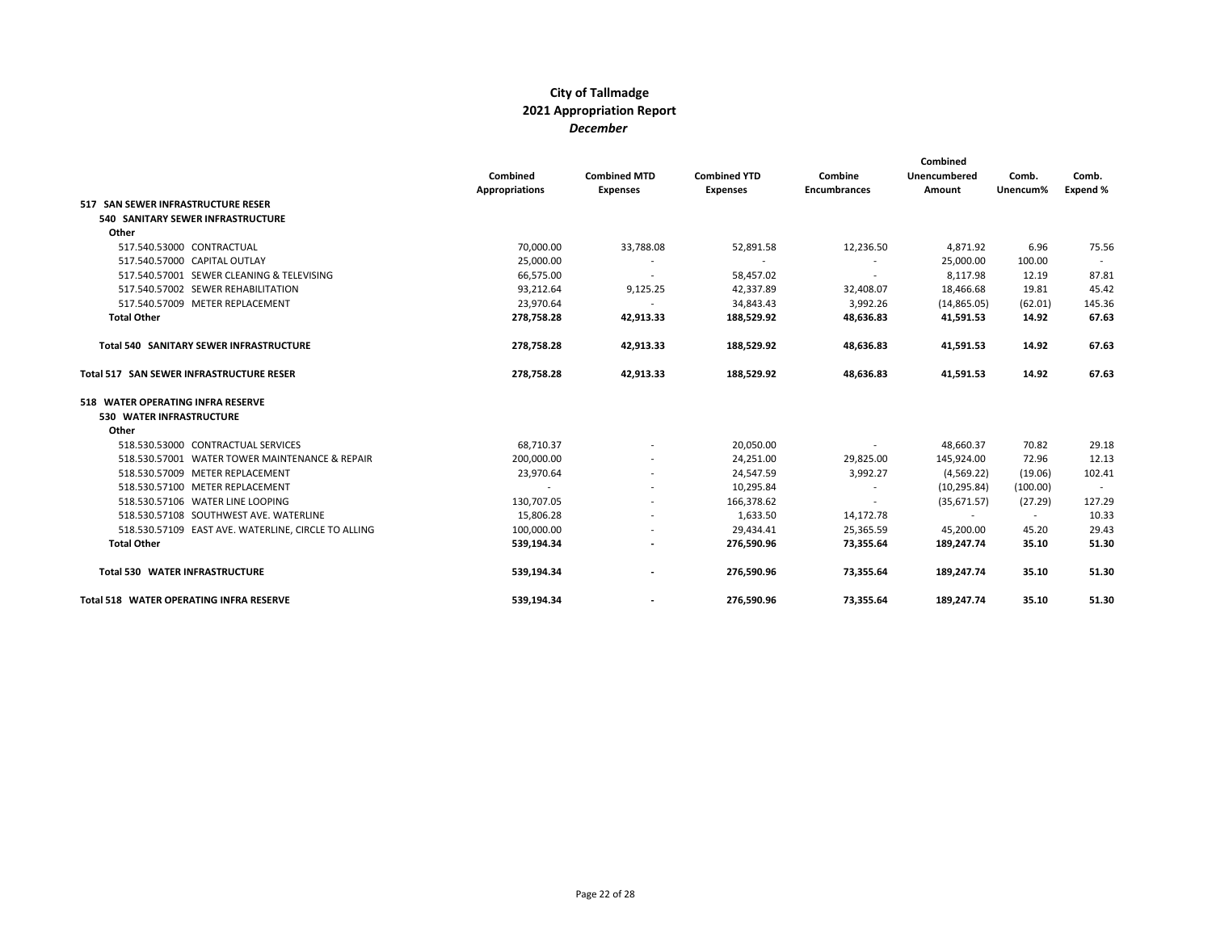|                                                     | Combined<br><b>Appropriations</b> | <b>Combined MTD</b><br><b>Expenses</b> | <b>Combined YTD</b><br><b>Expenses</b> | Combine<br><b>Encumbrances</b> | Combined<br>Unencumbered<br>Amount | Comb.<br>Unencum% | Comb.<br>Expend % |
|-----------------------------------------------------|-----------------------------------|----------------------------------------|----------------------------------------|--------------------------------|------------------------------------|-------------------|-------------------|
| 517 SAN SEWER INFRASTRUCTURE RESER                  |                                   |                                        |                                        |                                |                                    |                   |                   |
| <b>540 SANITARY SEWER INFRASTRUCTURE</b>            |                                   |                                        |                                        |                                |                                    |                   |                   |
| Other                                               |                                   |                                        |                                        |                                |                                    |                   |                   |
| 517.540.53000 CONTRACTUAL                           | 70,000.00                         | 33,788.08                              | 52,891.58                              | 12,236.50                      | 4,871.92                           | 6.96              | 75.56             |
| 517.540.57000 CAPITAL OUTLAY                        | 25,000.00                         |                                        |                                        |                                | 25,000.00                          | 100.00            |                   |
| 517.540.57001 SEWER CLEANING & TELEVISING           | 66,575.00                         | $\sim$                                 | 58,457.02                              | $\sim$                         | 8,117.98                           | 12.19             | 87.81             |
| 517.540.57002 SEWER REHABILITATION                  | 93,212.64                         | 9,125.25                               | 42,337.89                              | 32,408.07                      | 18,466.68                          | 19.81             | 45.42             |
| 517.540.57009 METER REPLACEMENT                     | 23,970.64                         |                                        | 34,843.43                              | 3,992.26                       | (14,865.05)                        | (62.01)           | 145.36            |
| <b>Total Other</b>                                  | 278,758.28                        | 42,913.33                              | 188,529.92                             | 48,636.83                      | 41,591.53                          | 14.92             | 67.63             |
| Total 540 SANITARY SEWER INFRASTRUCTURE             | 278,758.28                        | 42,913.33                              | 188,529.92                             | 48,636.83                      | 41,591.53                          | 14.92             | 67.63             |
| Total 517 SAN SEWER INFRASTRUCTURE RESER            | 278,758.28                        | 42,913.33                              | 188,529.92                             | 48,636.83                      | 41,591.53                          | 14.92             | 67.63             |
| 518 WATER OPERATING INFRA RESERVE                   |                                   |                                        |                                        |                                |                                    |                   |                   |
| 530 WATER INFRASTRUCTURE                            |                                   |                                        |                                        |                                |                                    |                   |                   |
| Other                                               |                                   |                                        |                                        |                                |                                    |                   |                   |
| 518.530.53000 CONTRACTUAL SERVICES                  | 68,710.37                         | $\overline{\phantom{a}}$               | 20,050.00                              | $\sim$                         | 48,660.37                          | 70.82             | 29.18             |
| 518.530.57001 WATER TOWER MAINTENANCE & REPAIR      | 200,000.00                        |                                        | 24,251.00                              | 29,825.00                      | 145,924.00                         | 72.96             | 12.13             |
| 518.530.57009 METER REPLACEMENT                     | 23,970.64                         |                                        | 24,547.59                              | 3,992.27                       | (4, 569.22)                        | (19.06)           | 102.41            |
| 518.530.57100 METER REPLACEMENT                     |                                   |                                        | 10,295.84                              |                                | (10, 295.84)                       | (100.00)          |                   |
| 518.530.57106 WATER LINE LOOPING                    | 130,707.05                        |                                        | 166,378.62                             | $\overline{\phantom{a}}$       | (35,671.57)                        | (27.29)           | 127.29            |
| 518.530.57108 SOUTHWEST AVE. WATERLINE              | 15,806.28                         |                                        | 1,633.50                               | 14,172.78                      | $\sim$                             | $\sim$            | 10.33             |
| 518.530.57109 EAST AVE. WATERLINE, CIRCLE TO ALLING | 100,000.00                        |                                        | 29,434.41                              | 25,365.59                      | 45,200.00                          | 45.20             | 29.43             |
| <b>Total Other</b>                                  | 539,194.34                        | $\overline{\phantom{a}}$               | 276,590.96                             | 73,355.64                      | 189,247.74                         | 35.10             | 51.30             |
| Total 530 WATER INFRASTRUCTURE                      | 539,194.34                        |                                        | 276,590.96                             | 73.355.64                      | 189,247.74                         | 35.10             | 51.30             |
| <b>Total 518 WATER OPERATING INFRA RESERVE</b>      | 539,194.34                        |                                        | 276,590.96                             | 73,355.64                      | 189,247.74                         | 35.10             | 51.30             |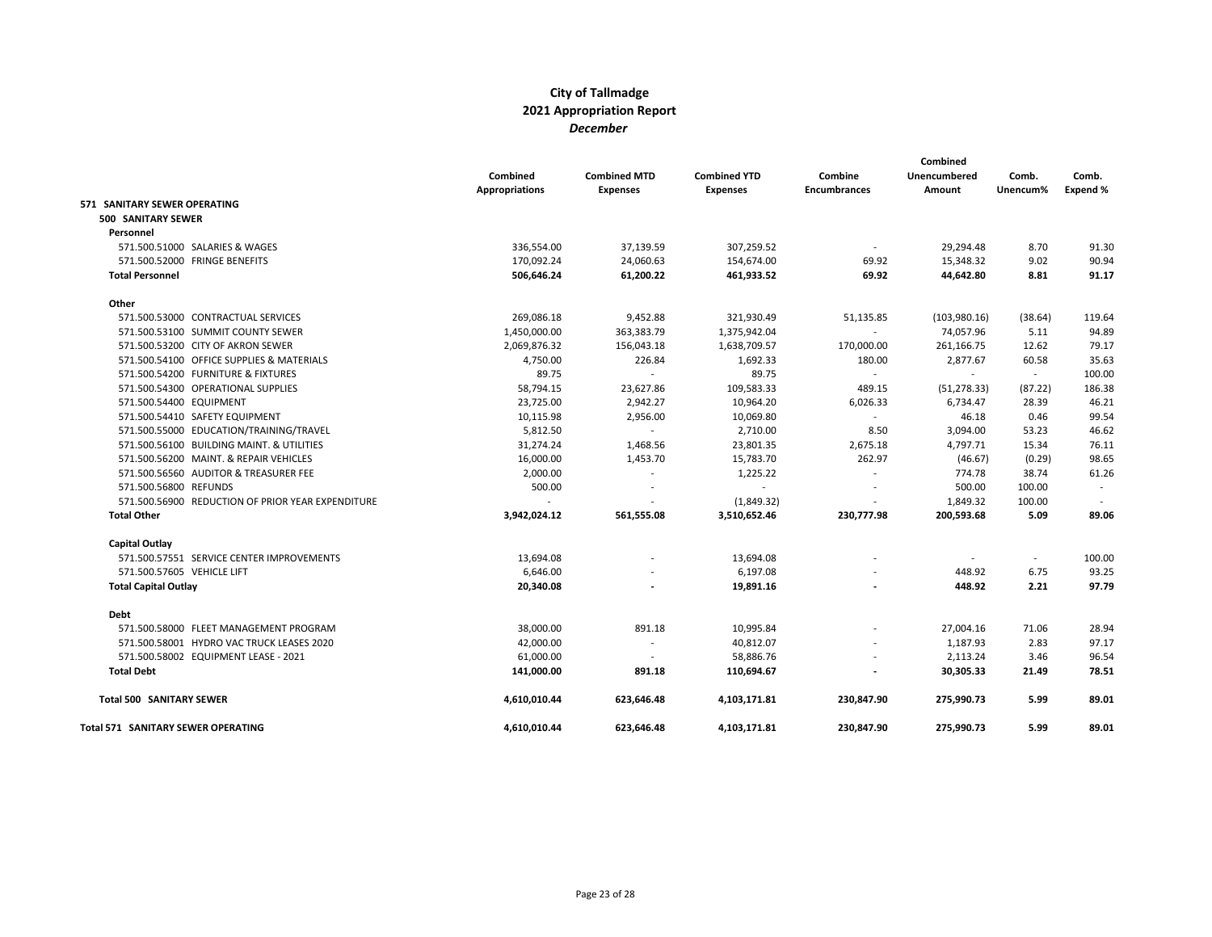|                                                   |                       |                     |                     |                     | Combined     |          |          |
|---------------------------------------------------|-----------------------|---------------------|---------------------|---------------------|--------------|----------|----------|
|                                                   | Combined              | <b>Combined MTD</b> | <b>Combined YTD</b> | Combine             | Unencumbered | Comb.    | Comb.    |
|                                                   | <b>Appropriations</b> | <b>Expenses</b>     | <b>Expenses</b>     | <b>Encumbrances</b> | Amount       | Unencum% | Expend % |
| 571 SANITARY SEWER OPERATING                      |                       |                     |                     |                     |              |          |          |
| 500 SANITARY SEWER                                |                       |                     |                     |                     |              |          |          |
| Personnel                                         |                       |                     |                     |                     |              |          |          |
| 571.500.51000 SALARIES & WAGES                    | 336,554.00            | 37,139.59           | 307,259.52          |                     | 29,294.48    | 8.70     | 91.30    |
| 571.500.52000 FRINGE BENEFITS                     | 170,092.24            | 24,060.63           | 154,674.00          | 69.92               | 15,348.32    | 9.02     | 90.94    |
| <b>Total Personnel</b>                            | 506,646.24            | 61,200.22           | 461,933.52          | 69.92               | 44,642.80    | 8.81     | 91.17    |
| Other                                             |                       |                     |                     |                     |              |          |          |
| 571.500.53000 CONTRACTUAL SERVICES                | 269,086.18            | 9,452.88            | 321,930.49          | 51,135.85           | (103,980.16) | (38.64)  | 119.64   |
| 571.500.53100 SUMMIT COUNTY SEWER                 | 1,450,000.00          | 363,383.79          | 1,375,942.04        |                     | 74,057.96    | 5.11     | 94.89    |
| 571.500.53200 CITY OF AKRON SEWER                 | 2,069,876.32          | 156,043.18          | 1,638,709.57        | 170,000.00          | 261,166.75   | 12.62    | 79.17    |
| 571.500.54100 OFFICE SUPPLIES & MATERIALS         | 4,750.00              | 226.84              | 1,692.33            | 180.00              | 2,877.67     | 60.58    | 35.63    |
| 571.500.54200 FURNITURE & FIXTURES                | 89.75                 | $\sim$              | 89.75               | $\blacksquare$      | $\sim$       | $\sim$   | 100.00   |
| 571.500.54300 OPERATIONAL SUPPLIES                | 58,794.15             | 23,627.86           | 109,583.33          | 489.15              | (51, 278.33) | (87.22)  | 186.38   |
| 571.500.54400 EQUIPMENT                           | 23,725.00             | 2,942.27            | 10,964.20           | 6,026.33            | 6,734.47     | 28.39    | 46.21    |
| 571.500.54410 SAFETY EQUIPMENT                    | 10,115.98             | 2,956.00            | 10,069.80           | $\sim$              | 46.18        | 0.46     | 99.54    |
| 571.500.55000 EDUCATION/TRAINING/TRAVEL           | 5,812.50              | $\sim$              | 2,710.00            | 8.50                | 3,094.00     | 53.23    | 46.62    |
| 571.500.56100 BUILDING MAINT. & UTILITIES         | 31,274.24             | 1,468.56            | 23,801.35           | 2,675.18            | 4,797.71     | 15.34    | 76.11    |
| 571.500.56200 MAINT. & REPAIR VEHICLES            | 16,000.00             | 1,453.70            | 15,783.70           | 262.97              | (46.67)      | (0.29)   | 98.65    |
| 571.500.56560 AUDITOR & TREASURER FEE             | 2,000.00              | $\sim$              | 1,225.22            |                     | 774.78       | 38.74    | 61.26    |
| 571.500.56800 REFUNDS                             | 500.00                |                     |                     |                     | 500.00       | 100.00   |          |
| 571.500.56900 REDUCTION OF PRIOR YEAR EXPENDITURE |                       |                     | (1,849.32)          |                     | 1,849.32     | 100.00   |          |
| <b>Total Other</b>                                | 3,942,024.12          | 561,555.08          | 3,510,652.46        | 230,777.98          | 200.593.68   | 5.09     | 89.06    |
| <b>Capital Outlay</b>                             |                       |                     |                     |                     |              |          |          |
| 571.500.57551 SERVICE CENTER IMPROVEMENTS         | 13,694.08             |                     | 13,694.08           |                     |              | $\sim$   | 100.00   |
| 571.500.57605 VEHICLE LIFT                        | 6,646.00              |                     | 6,197.08            |                     | 448.92       | 6.75     | 93.25    |
| <b>Total Capital Outlay</b>                       | 20,340.08             |                     | 19,891.16           |                     | 448.92       | 2.21     | 97.79    |
| Debt                                              |                       |                     |                     |                     |              |          |          |
| 571.500.58000 FLEET MANAGEMENT PROGRAM            | 38,000.00             | 891.18              | 10,995.84           |                     | 27,004.16    | 71.06    | 28.94    |
| 571.500.58001 HYDRO VAC TRUCK LEASES 2020         | 42,000.00             |                     | 40,812.07           |                     | 1,187.93     | 2.83     | 97.17    |
| 571.500.58002 EQUIPMENT LEASE - 2021              | 61,000.00             |                     | 58,886.76           |                     | 2,113.24     | 3.46     | 96.54    |
| <b>Total Debt</b>                                 | 141,000.00            | 891.18              | 110,694.67          |                     | 30,305.33    | 21.49    | 78.51    |
| <b>Total 500 SANITARY SEWER</b>                   | 4,610,010.44          | 623,646.48          | 4,103,171.81        | 230,847.90          | 275,990.73   | 5.99     | 89.01    |
| Total 571 SANITARY SEWER OPERATING                | 4,610,010.44          | 623,646.48          | 4,103,171.81        | 230,847.90          | 275,990.73   | 5.99     | 89.01    |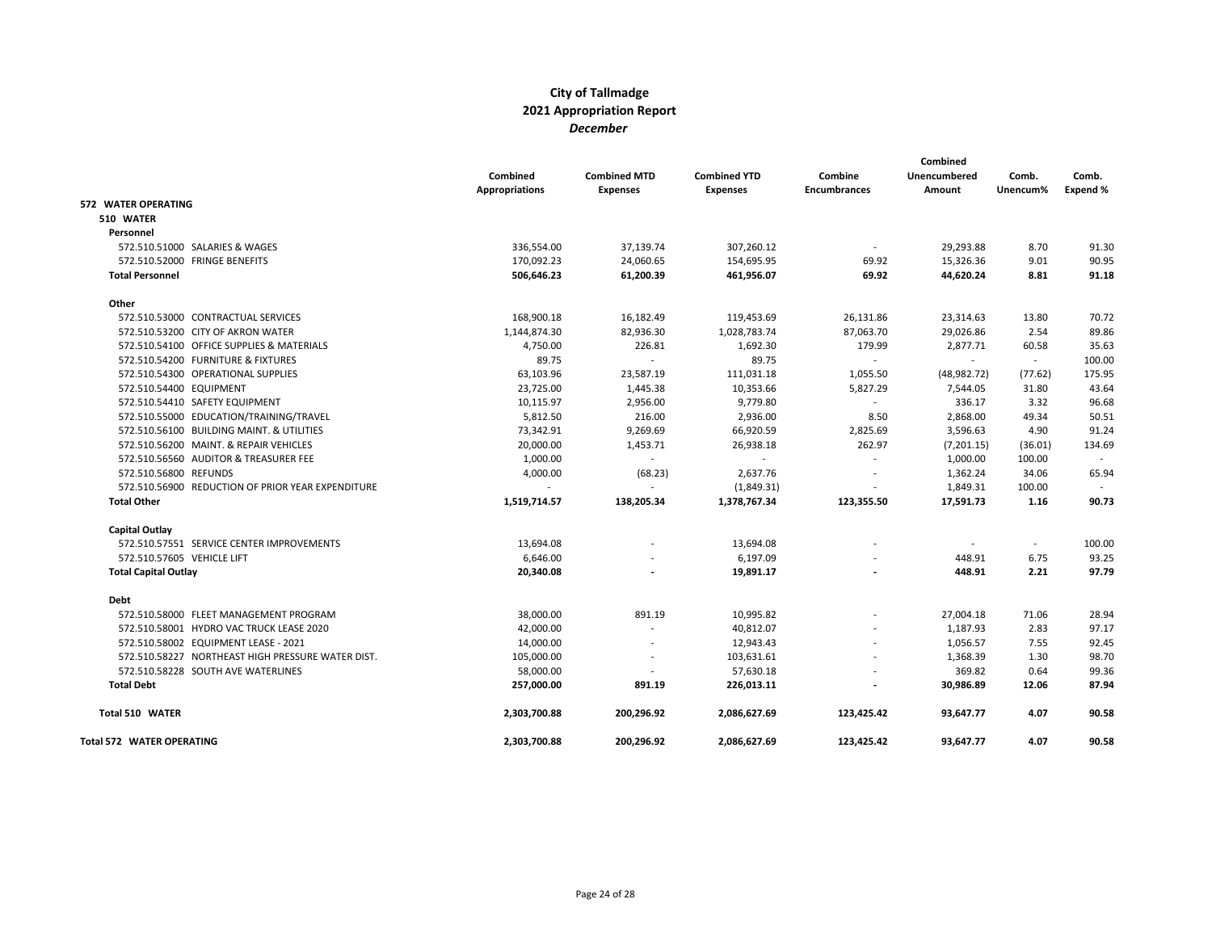|                                  |                                                   | Combined<br><b>Appropriations</b> | <b>Combined MTD</b><br><b>Expenses</b> | <b>Combined YTD</b><br><b>Expenses</b> | Combine<br><b>Encumbrances</b> | Combined<br>Unencumbered<br>Amount | Comb.<br>Unencum% | Comb.<br>Expend % |
|----------------------------------|---------------------------------------------------|-----------------------------------|----------------------------------------|----------------------------------------|--------------------------------|------------------------------------|-------------------|-------------------|
| <b>572 WATER OPERATING</b>       |                                                   |                                   |                                        |                                        |                                |                                    |                   |                   |
| 510 WATER                        |                                                   |                                   |                                        |                                        |                                |                                    |                   |                   |
| Personnel                        |                                                   |                                   |                                        |                                        |                                |                                    |                   |                   |
|                                  | 572.510.51000 SALARIES & WAGES                    | 336,554.00                        | 37,139.74                              | 307,260.12                             |                                | 29,293.88                          | 8.70              | 91.30             |
|                                  | 572.510.52000 FRINGE BENEFITS                     | 170,092.23                        | 24,060.65                              | 154,695.95                             | 69.92                          | 15,326.36                          | 9.01              | 90.95             |
| <b>Total Personnel</b>           |                                                   | 506,646.23                        | 61,200.39                              | 461,956.07                             | 69.92                          | 44,620.24                          | 8.81              | 91.18             |
| Other                            |                                                   |                                   |                                        |                                        |                                |                                    |                   |                   |
|                                  | 572.510.53000 CONTRACTUAL SERVICES                | 168,900.18                        | 16,182.49                              | 119,453.69                             | 26,131.86                      | 23,314.63                          | 13.80             | 70.72             |
|                                  | 572.510.53200 CITY OF AKRON WATER                 | 1,144,874.30                      | 82,936.30                              | 1,028,783.74                           | 87,063.70                      | 29,026.86                          | 2.54              | 89.86             |
|                                  | 572.510.54100 OFFICE SUPPLIES & MATERIALS         | 4,750.00                          | 226.81                                 | 1,692.30                               | 179.99                         | 2,877.71                           | 60.58             | 35.63             |
|                                  | 572.510.54200 FURNITURE & FIXTURES                | 89.75                             | $\overline{\phantom{a}}$               | 89.75                                  | $\overline{\phantom{a}}$       | $\overline{\phantom{a}}$           | $\sim$            | 100.00            |
|                                  | 572.510.54300 OPERATIONAL SUPPLIES                | 63,103.96                         | 23,587.19                              | 111,031.18                             | 1,055.50                       | (48, 982.72)                       | (77.62)           | 175.95            |
| 572.510.54400 EQUIPMENT          |                                                   | 23,725.00                         | 1,445.38                               | 10,353.66                              | 5,827.29                       | 7,544.05                           | 31.80             | 43.64             |
|                                  | 572.510.54410 SAFETY EQUIPMENT                    | 10,115.97                         | 2,956.00                               | 9,779.80                               | $\overline{\phantom{a}}$       | 336.17                             | 3.32              | 96.68             |
|                                  | 572.510.55000 EDUCATION/TRAINING/TRAVEL           | 5,812.50                          | 216.00                                 | 2,936.00                               | 8.50                           | 2,868.00                           | 49.34             | 50.51             |
|                                  | 572.510.56100 BUILDING MAINT. & UTILITIES         | 73,342.91                         | 9,269.69                               | 66,920.59                              | 2,825.69                       | 3,596.63                           | 4.90              | 91.24             |
|                                  | 572.510.56200 MAINT, & REPAIR VEHICLES            | 20,000.00                         | 1,453.71                               | 26,938.18                              | 262.97                         | (7,201.15)                         | (36.01)           | 134.69            |
|                                  | 572.510.56560 AUDITOR & TREASURER FEE             | 1,000.00                          | $\overline{\phantom{a}}$               | $\overline{\phantom{a}}$               | $\sim$                         | 1,000.00                           | 100.00            | $\sim$            |
| 572.510.56800 REFUNDS            |                                                   | 4,000.00                          | (68.23)                                | 2,637.76                               |                                | 1,362.24                           | 34.06             | 65.94             |
|                                  | 572.510.56900 REDUCTION OF PRIOR YEAR EXPENDITURE |                                   | $\overline{\phantom{a}}$               | (1,849.31)                             |                                | 1,849.31                           | 100.00            |                   |
| <b>Total Other</b>               |                                                   | 1,519,714.57                      | 138,205.34                             | 1,378,767.34                           | 123,355.50                     | 17,591.73                          | 1.16              | 90.73             |
| Capital Outlay                   |                                                   |                                   |                                        |                                        |                                |                                    |                   |                   |
|                                  | 572.510.57551 SERVICE CENTER IMPROVEMENTS         | 13,694.08                         |                                        | 13,694.08                              |                                |                                    | $\sim$            | 100.00            |
| 572.510.57605 VEHICLE LIFT       |                                                   | 6,646.00                          |                                        | 6,197.09                               |                                | 448.91                             | 6.75              | 93.25             |
| <b>Total Capital Outlay</b>      |                                                   | 20,340.08                         |                                        | 19,891.17                              |                                | 448.91                             | 2.21              | 97.79             |
| <b>Debt</b>                      |                                                   |                                   |                                        |                                        |                                |                                    |                   |                   |
|                                  | 572.510.58000 FLEET MANAGEMENT PROGRAM            | 38,000.00                         | 891.19                                 | 10,995.82                              |                                | 27,004.18                          | 71.06             | 28.94             |
|                                  | 572.510.58001 HYDRO VAC TRUCK LEASE 2020          | 42,000.00                         |                                        | 40,812.07                              |                                | 1,187.93                           | 2.83              | 97.17             |
|                                  | 572.510.58002 EQUIPMENT LEASE - 2021              | 14,000.00                         | $\overline{a}$                         | 12,943.43                              |                                | 1,056.57                           | 7.55              | 92.45             |
|                                  | 572.510.58227 NORTHEAST HIGH PRESSURE WATER DIST. | 105,000.00                        | $\overline{\phantom{a}}$               | 103,631.61                             |                                | 1,368.39                           | 1.30              | 98.70             |
|                                  | 572.510.58228 SOUTH AVE WATERLINES                | 58,000.00                         |                                        | 57,630.18                              |                                | 369.82                             | 0.64              | 99.36             |
| <b>Total Debt</b>                |                                                   | 257,000.00                        | 891.19                                 | 226,013.11                             |                                | 30,986.89                          | 12.06             | 87.94             |
| Total 510 WATER                  |                                                   | 2,303,700.88                      | 200,296.92                             | 2,086,627.69                           | 123,425.42                     | 93,647.77                          | 4.07              | 90.58             |
| <b>Total 572 WATER OPERATING</b> |                                                   | 2,303,700.88                      | 200,296.92                             | 2,086,627.69                           | 123,425.42                     | 93,647.77                          | 4.07              | 90.58             |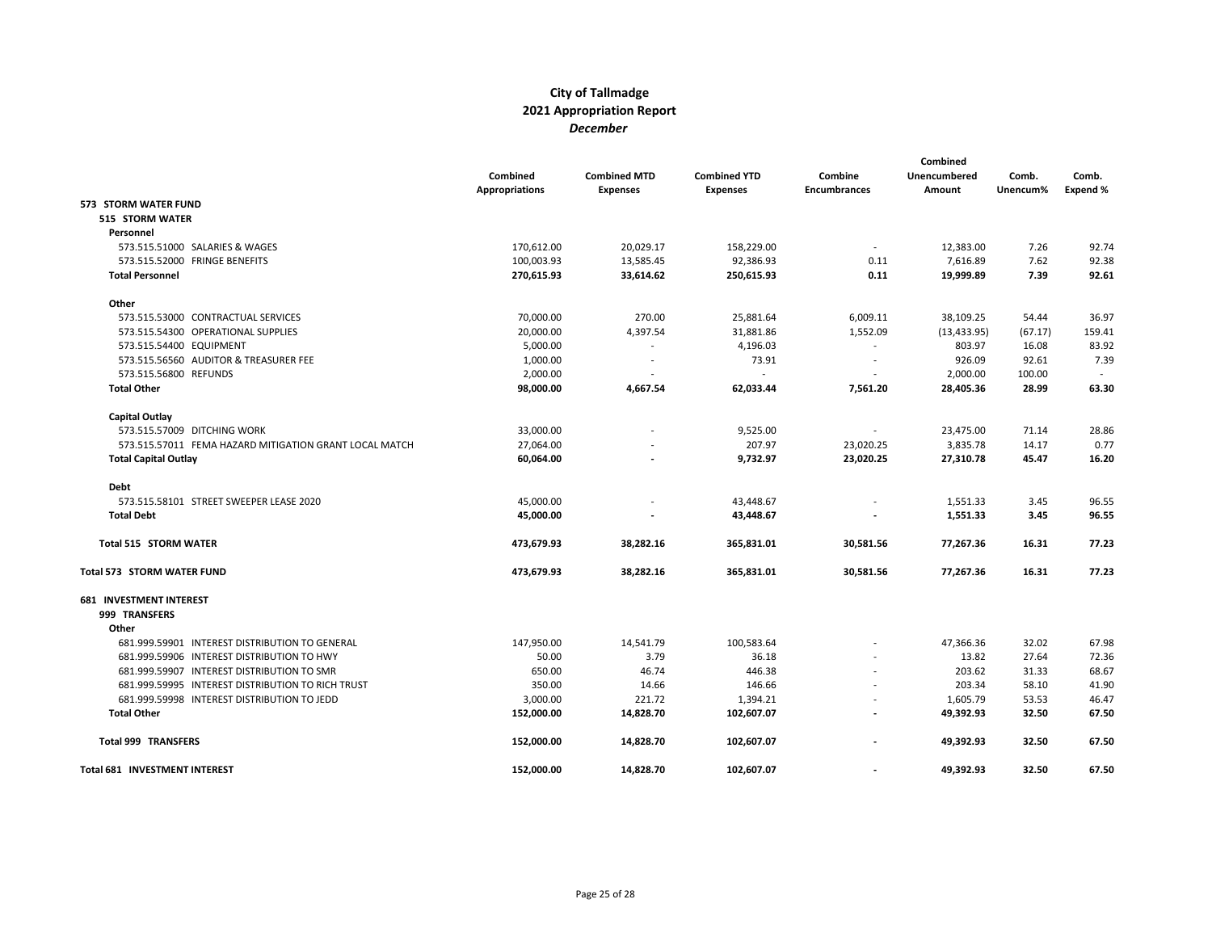|                                                        | Combined<br><b>Appropriations</b> | <b>Combined MTD</b><br><b>Expenses</b> | <b>Combined YTD</b><br><b>Expenses</b> | Combine<br><b>Encumbrances</b> | Combined<br><b>Unencumbered</b><br>Amount | Comb.<br>Unencum% | Comb.<br>Expend % |
|--------------------------------------------------------|-----------------------------------|----------------------------------------|----------------------------------------|--------------------------------|-------------------------------------------|-------------------|-------------------|
| 573 STORM WATER FUND                                   |                                   |                                        |                                        |                                |                                           |                   |                   |
| <b>515 STORM WATER</b>                                 |                                   |                                        |                                        |                                |                                           |                   |                   |
| Personnel                                              |                                   |                                        |                                        |                                |                                           |                   |                   |
| 573.515.51000 SALARIES & WAGES                         | 170,612.00                        | 20,029.17                              | 158,229.00                             | $\sim$                         | 12,383.00                                 | 7.26              | 92.74             |
| 573.515.52000 FRINGE BENEFITS                          | 100,003.93                        | 13,585.45                              | 92,386.93                              | 0.11                           | 7,616.89                                  | 7.62              | 92.38             |
| <b>Total Personnel</b>                                 | 270,615.93                        | 33,614.62                              | 250,615.93                             | 0.11                           | 19,999.89                                 | 7.39              | 92.61             |
| Other                                                  |                                   |                                        |                                        |                                |                                           |                   |                   |
| 573.515.53000 CONTRACTUAL SERVICES                     | 70,000.00                         | 270.00                                 | 25,881.64                              | 6,009.11                       | 38,109.25                                 | 54.44             | 36.97             |
| 573.515.54300 OPERATIONAL SUPPLIES                     | 20,000.00                         | 4,397.54                               | 31,881.86                              | 1,552.09                       | (13, 433.95)                              | (67.17)           | 159.41            |
| 573.515.54400 EQUIPMENT                                | 5,000.00                          | $\overline{\phantom{a}}$               | 4,196.03                               | $\overline{\phantom{a}}$       | 803.97                                    | 16.08             | 83.92             |
| 573.515.56560 AUDITOR & TREASURER FEE                  | 1,000.00                          |                                        | 73.91                                  |                                | 926.09                                    | 92.61             | 7.39              |
| 573.515.56800 REFUNDS                                  | 2,000.00                          |                                        | $\overline{\phantom{a}}$               | $\overline{a}$                 | 2,000.00                                  | 100.00            |                   |
| <b>Total Other</b>                                     | 98,000.00                         | 4,667.54                               | 62,033.44                              | 7,561.20                       | 28,405.36                                 | 28.99             | 63.30             |
| Capital Outlay                                         |                                   |                                        |                                        |                                |                                           |                   |                   |
| 573.515.57009 DITCHING WORK                            | 33,000.00                         |                                        | 9,525.00                               | $\overline{\phantom{a}}$       | 23,475.00                                 | 71.14             | 28.86             |
| 573.515.57011 FEMA HAZARD MITIGATION GRANT LOCAL MATCH | 27,064.00                         |                                        | 207.97                                 | 23,020.25                      | 3,835.78                                  | 14.17             | 0.77              |
| <b>Total Capital Outlay</b>                            | 60,064.00                         |                                        | 9,732.97                               | 23,020.25                      | 27,310.78                                 | 45.47             | 16.20             |
| Debt                                                   |                                   |                                        |                                        |                                |                                           |                   |                   |
| 573.515.58101 STREET SWEEPER LEASE 2020                | 45,000.00                         |                                        | 43,448.67                              |                                | 1,551.33                                  | 3.45              | 96.55             |
| <b>Total Debt</b>                                      | 45,000.00                         |                                        | 43,448.67                              |                                | 1,551.33                                  | 3.45              | 96.55             |
| <b>Total 515 STORM WATER</b>                           | 473,679.93                        | 38,282.16                              | 365,831.01                             | 30,581.56                      | 77,267.36                                 | 16.31             | 77.23             |
| Total 573 STORM WATER FUND                             | 473,679.93                        | 38,282.16                              | 365,831.01                             | 30,581.56                      | 77,267.36                                 | 16.31             | 77.23             |
| <b>681 INVESTMENT INTEREST</b>                         |                                   |                                        |                                        |                                |                                           |                   |                   |
| 999 TRANSFERS<br>Other                                 |                                   |                                        |                                        |                                |                                           |                   |                   |
| 681.999.59901 INTEREST DISTRIBUTION TO GENERAL         |                                   |                                        |                                        |                                |                                           | 32.02             | 67.98             |
| 681.999.59906 INTEREST DISTRIBUTION TO HWY             | 147,950.00<br>50.00               | 14,541.79<br>3.79                      | 100,583.64<br>36.18                    |                                | 47,366.36<br>13.82                        | 27.64             | 72.36             |
| 681.999.59907 INTEREST DISTRIBUTION TO SMR             | 650.00                            | 46.74                                  | 446.38                                 |                                | 203.62                                    | 31.33             | 68.67             |
| 681.999.59995 INTEREST DISTRIBUTION TO RICH TRUST      | 350.00                            | 14.66                                  | 146.66                                 |                                | 203.34                                    | 58.10             | 41.90             |
| 681.999.59998 INTEREST DISTRIBUTION TO JEDD            | 3,000.00                          | 221.72                                 | 1,394.21                               |                                | 1,605.79                                  | 53.53             | 46.47             |
| <b>Total Other</b>                                     | 152,000.00                        | 14,828.70                              | 102,607.07                             | $\overline{a}$                 | 49,392.93                                 | 32.50             | 67.50             |
|                                                        |                                   |                                        |                                        |                                |                                           |                   |                   |
| <b>Total 999 TRANSFERS</b>                             | 152,000.00                        | 14,828.70                              | 102,607.07                             | $\overline{a}$                 | 49,392.93                                 | 32.50             | 67.50             |
| Total 681 INVESTMENT INTEREST                          | 152,000.00                        | 14,828.70                              | 102,607.07                             |                                | 49,392.93                                 | 32.50             | 67.50             |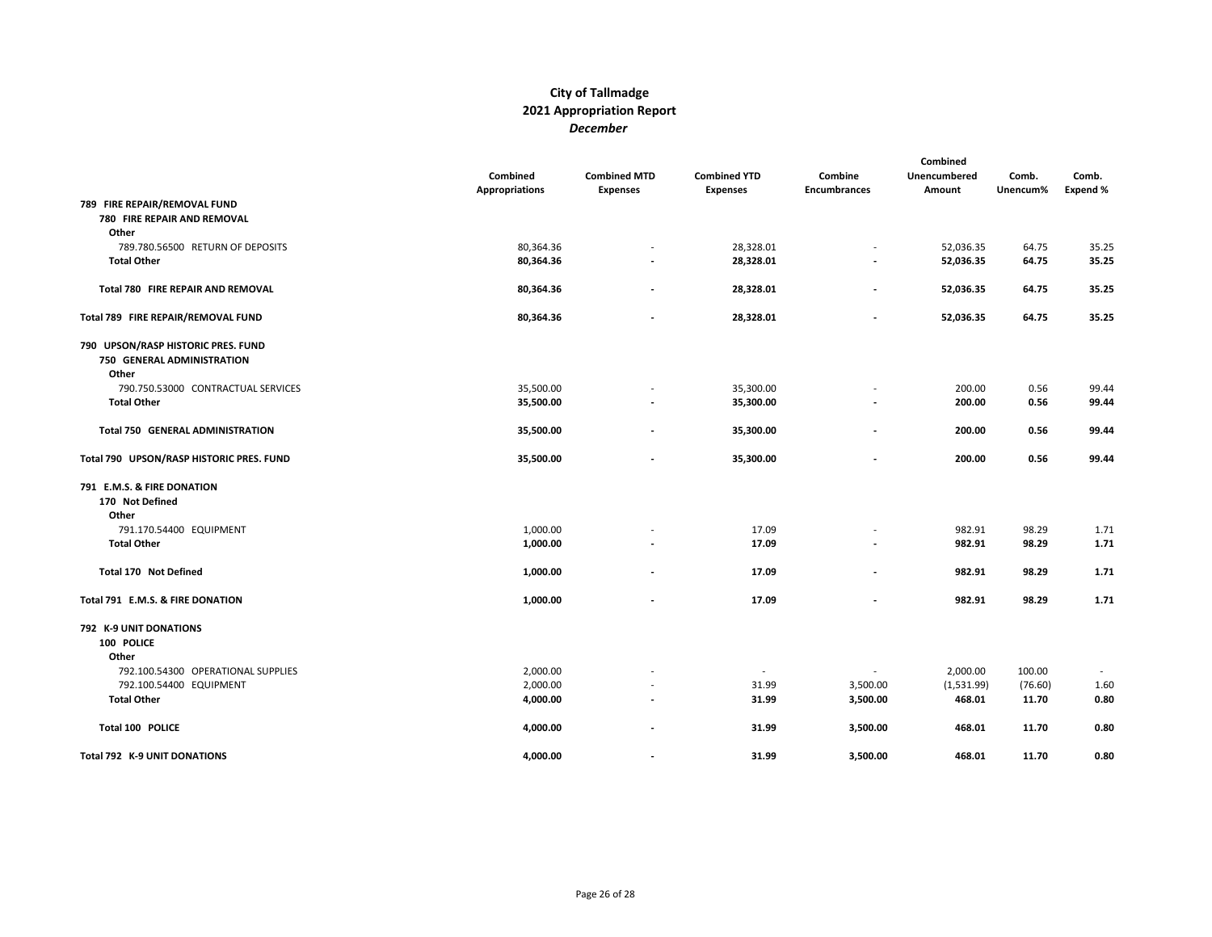|                                          | Combined<br><b>Appropriations</b> | <b>Combined MTD</b><br><b>Expenses</b> | <b>Combined YTD</b><br><b>Expenses</b> | Combine<br>Encumbrances  | Combined<br>Unencumbered<br>Amount | Comb.<br>Unencum% | Comb.<br>Expend % |
|------------------------------------------|-----------------------------------|----------------------------------------|----------------------------------------|--------------------------|------------------------------------|-------------------|-------------------|
| 789 FIRE REPAIR/REMOVAL FUND             |                                   |                                        |                                        |                          |                                    |                   |                   |
| 780 FIRE REPAIR AND REMOVAL              |                                   |                                        |                                        |                          |                                    |                   |                   |
| Other                                    |                                   |                                        |                                        |                          |                                    |                   |                   |
| 789.780.56500 RETURN OF DEPOSITS         | 80,364.36                         |                                        | 28,328.01                              | $\overline{\phantom{a}}$ | 52,036.35                          | 64.75             | 35.25             |
| <b>Total Other</b>                       | 80,364.36                         |                                        | 28,328.01                              | $\overline{\phantom{a}}$ | 52,036.35                          | 64.75             | 35.25             |
| Total 780 FIRE REPAIR AND REMOVAL        | 80,364.36                         | $\overline{a}$                         | 28,328.01                              | $\overline{a}$           | 52,036.35                          | 64.75             | 35.25             |
| Total 789 FIRE REPAIR/REMOVAL FUND       | 80,364.36                         |                                        | 28,328.01                              | $\overline{\phantom{a}}$ | 52,036.35                          | 64.75             | 35.25             |
| 790 UPSON/RASP HISTORIC PRES. FUND       |                                   |                                        |                                        |                          |                                    |                   |                   |
| 750 GENERAL ADMINISTRATION               |                                   |                                        |                                        |                          |                                    |                   |                   |
| Other                                    |                                   |                                        |                                        |                          |                                    |                   |                   |
| 790.750.53000 CONTRACTUAL SERVICES       | 35,500.00                         |                                        | 35,300.00                              |                          | 200.00                             | 0.56              | 99.44             |
| <b>Total Other</b>                       | 35,500.00                         |                                        | 35,300.00                              |                          | 200.00                             | 0.56              | 99.44             |
| <b>Total 750 GENERAL ADMINISTRATION</b>  | 35,500.00                         |                                        | 35,300.00                              |                          | 200.00                             | 0.56              | 99.44             |
| Total 790 UPSON/RASP HISTORIC PRES. FUND | 35,500.00                         |                                        | 35,300.00                              |                          | 200.00                             | 0.56              | 99.44             |
| 791 E.M.S. & FIRE DONATION               |                                   |                                        |                                        |                          |                                    |                   |                   |
| 170 Not Defined                          |                                   |                                        |                                        |                          |                                    |                   |                   |
| Other                                    |                                   |                                        |                                        |                          |                                    |                   |                   |
| 791.170.54400 EQUIPMENT                  | 1,000.00                          |                                        | 17.09                                  |                          | 982.91                             | 98.29             | 1.71              |
| <b>Total Other</b>                       | 1,000.00                          |                                        | 17.09                                  |                          | 982.91                             | 98.29             | 1.71              |
| <b>Total 170 Not Defined</b>             | 1,000.00                          |                                        | 17.09                                  |                          | 982.91                             | 98.29             | 1.71              |
| Total 791 E.M.S. & FIRE DONATION         | 1,000.00                          |                                        | 17.09                                  |                          | 982.91                             | 98.29             | 1.71              |
| 792 K-9 UNIT DONATIONS                   |                                   |                                        |                                        |                          |                                    |                   |                   |
| 100 POLICE                               |                                   |                                        |                                        |                          |                                    |                   |                   |
| Other                                    |                                   |                                        |                                        |                          |                                    |                   |                   |
| 792.100.54300 OPERATIONAL SUPPLIES       | 2,000.00                          |                                        |                                        |                          | 2,000.00                           | 100.00            |                   |
| 792.100.54400 EQUIPMENT                  | 2,000.00                          |                                        | 31.99                                  | 3,500.00                 | (1,531.99)                         | (76.60)           | 1.60              |
| <b>Total Other</b>                       | 4,000.00                          |                                        | 31.99                                  | 3,500.00                 | 468.01                             | 11.70             | 0.80              |
| Total 100 POLICE                         | 4,000.00                          | $\overline{a}$                         | 31.99                                  | 3,500.00                 | 468.01                             | 11.70             | 0.80              |
| Total 792 K-9 UNIT DONATIONS             | 4,000.00                          |                                        | 31.99                                  | 3,500.00                 | 468.01                             | 11.70             | 0.80              |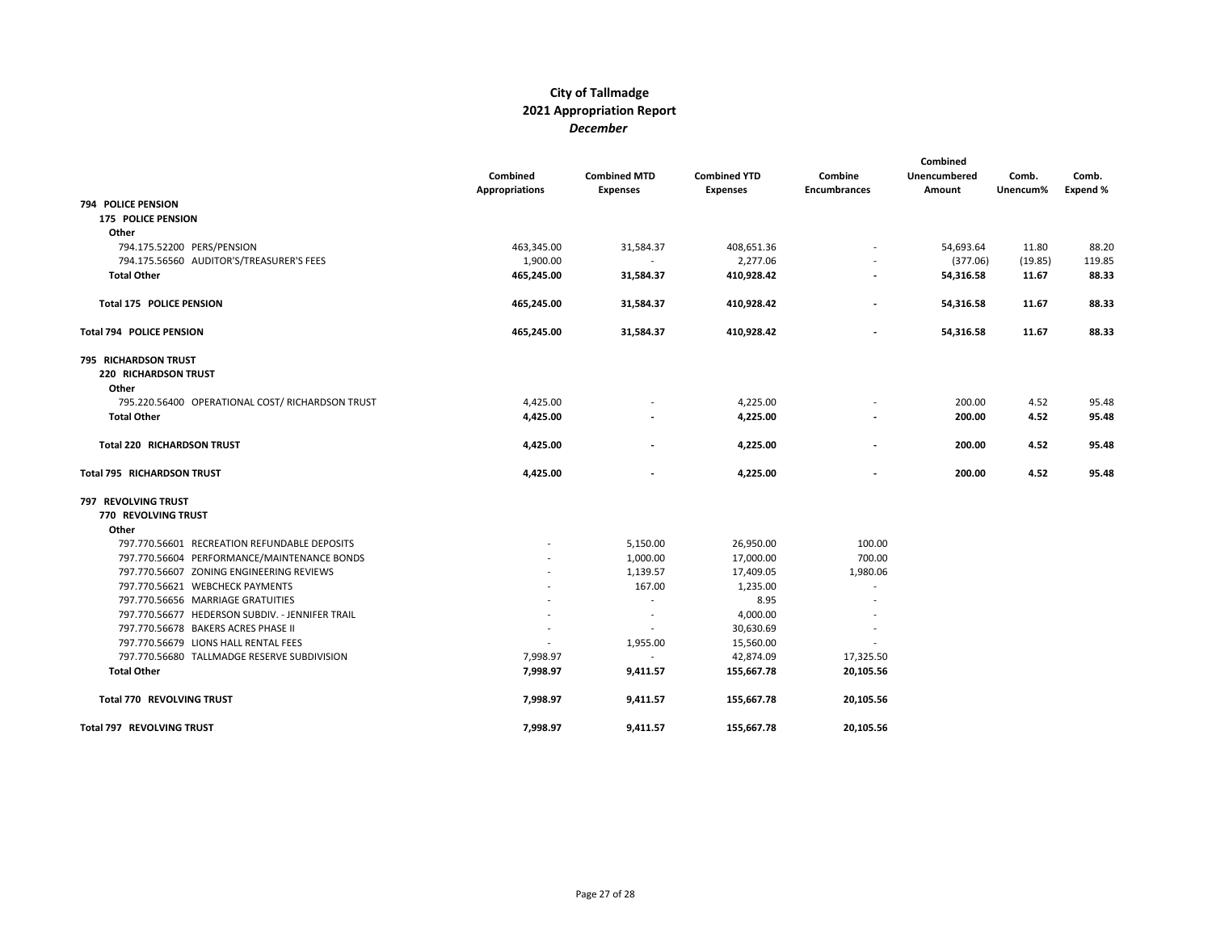|                                                              | Combined<br><b>Appropriations</b> | <b>Combined MTD</b><br><b>Expenses</b> | <b>Combined YTD</b><br><b>Expenses</b> | Combine<br><b>Encumbrances</b> | Combined<br>Unencumbered<br>Amount | Comb.<br>Unencum% | Comb.<br>Expend % |
|--------------------------------------------------------------|-----------------------------------|----------------------------------------|----------------------------------------|--------------------------------|------------------------------------|-------------------|-------------------|
| <b>794 POLICE PENSION</b>                                    |                                   |                                        |                                        |                                |                                    |                   |                   |
| <b>175 POLICE PENSION</b>                                    |                                   |                                        |                                        |                                |                                    |                   |                   |
| Other                                                        |                                   |                                        |                                        |                                |                                    |                   |                   |
| 794.175.52200 PERS/PENSION                                   | 463,345.00                        | 31,584.37                              | 408,651.36                             | $\overline{\phantom{a}}$       | 54,693.64                          | 11.80             | 88.20             |
| 794.175.56560 AUDITOR'S/TREASURER'S FEES                     | 1,900.00                          |                                        | 2,277.06                               |                                | (377.06)                           | (19.85)           | 119.85            |
| <b>Total Other</b>                                           | 465,245.00                        | 31,584.37                              | 410,928.42                             |                                | 54,316.58                          | 11.67             | 88.33             |
| <b>Total 175 POLICE PENSION</b>                              | 465,245.00                        | 31,584.37                              | 410,928.42                             | $\blacksquare$                 | 54,316.58                          | 11.67             | 88.33             |
| Total 794 POLICE PENSION                                     | 465,245.00                        | 31,584.37                              | 410,928.42                             |                                | 54,316.58                          | 11.67             | 88.33             |
| 795 RICHARDSON TRUST<br><b>220 RICHARDSON TRUST</b><br>Other |                                   |                                        |                                        |                                |                                    |                   |                   |
| 795.220.56400 OPERATIONAL COST/ RICHARDSON TRUST             | 4,425.00                          |                                        | 4,225.00                               |                                | 200.00                             | 4.52              | 95.48             |
| <b>Total Other</b>                                           | 4,425.00                          |                                        | 4,225.00                               |                                | 200.00                             | 4.52              | 95.48             |
| <b>Total 220 RICHARDSON TRUST</b>                            | 4,425.00                          |                                        | 4,225.00                               |                                | 200.00                             | 4.52              | 95.48             |
| Total 795 RICHARDSON TRUST                                   | 4,425.00                          |                                        | 4,225.00                               |                                | 200.00                             | 4.52              | 95.48             |
| 797 REVOLVING TRUST                                          |                                   |                                        |                                        |                                |                                    |                   |                   |
| 770 REVOLVING TRUST                                          |                                   |                                        |                                        |                                |                                    |                   |                   |
| Other                                                        |                                   |                                        |                                        |                                |                                    |                   |                   |
| 797.770.56601 RECREATION REFUNDABLE DEPOSITS                 |                                   | 5,150.00                               | 26,950.00                              | 100.00                         |                                    |                   |                   |
| 797.770.56604 PERFORMANCE/MAINTENANCE BONDS                  |                                   | 1,000.00                               | 17,000.00                              | 700.00                         |                                    |                   |                   |
| 797.770.56607 ZONING ENGINEERING REVIEWS                     |                                   | 1,139.57                               | 17,409.05                              | 1,980.06                       |                                    |                   |                   |
| 797.770.56621 WEBCHECK PAYMENTS                              |                                   | 167.00                                 | 1,235.00                               | $\overline{\phantom{a}}$       |                                    |                   |                   |
| 797.770.56656 MARRIAGE GRATUITIES                            |                                   | $\overline{\phantom{0}}$               | 8.95                                   | $\overline{\phantom{a}}$       |                                    |                   |                   |
| 797.770.56677 HEDERSON SUBDIV. - JENNIFER TRAIL              |                                   | $\overline{a}$                         | 4,000.00                               |                                |                                    |                   |                   |
| 797.770.56678 BAKERS ACRES PHASE II                          | $\overline{\phantom{a}}$          |                                        | 30,630.69                              | $\overline{\phantom{a}}$       |                                    |                   |                   |
| 797.770.56679 LIONS HALL RENTAL FEES                         |                                   | 1,955.00                               | 15,560.00                              |                                |                                    |                   |                   |
| 797.770.56680 TALLMADGE RESERVE SUBDIVISION                  | 7,998.97                          |                                        | 42,874.09                              | 17,325.50                      |                                    |                   |                   |
| <b>Total Other</b>                                           | 7,998.97                          | 9,411.57                               | 155,667.78                             | 20,105.56                      |                                    |                   |                   |
| Total 770 REVOLVING TRUST                                    | 7,998.97                          | 9,411.57                               | 155,667.78                             | 20,105.56                      |                                    |                   |                   |
| Total 797 REVOLVING TRUST                                    | 7,998.97                          | 9,411.57                               | 155,667.78                             | 20,105.56                      |                                    |                   |                   |